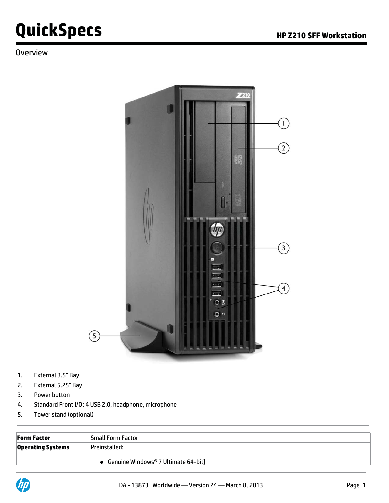#### **Overview**



- 1. External 3.5" Bay
- 2. External 5.25" Bay
- 3. Power button
- 4. Standard Front I/O: 4 USB 2.0, headphone, microphone
- 5. Tower stand (optional)

| Form Factor              | Small Form Factor                   |
|--------------------------|-------------------------------------|
| <b>Operating Systems</b> | Preinstalled:                       |
|                          | Genuine Windows® 7 Ultimate 64-bit] |

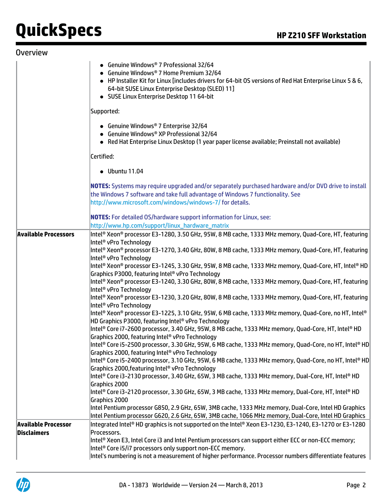| <b>Overview</b>             |                                                                                                                                                                                                                                                                                                                                                                                                                                                                                                                                                                                                                                                                                                                                                                                                                                                                                                                                                                                                                                                                                                                                                                                                                                                                                                                                                                                                                                                                                                                                                                                                                                                                                                                                                                                                                                                                     |
|-----------------------------|---------------------------------------------------------------------------------------------------------------------------------------------------------------------------------------------------------------------------------------------------------------------------------------------------------------------------------------------------------------------------------------------------------------------------------------------------------------------------------------------------------------------------------------------------------------------------------------------------------------------------------------------------------------------------------------------------------------------------------------------------------------------------------------------------------------------------------------------------------------------------------------------------------------------------------------------------------------------------------------------------------------------------------------------------------------------------------------------------------------------------------------------------------------------------------------------------------------------------------------------------------------------------------------------------------------------------------------------------------------------------------------------------------------------------------------------------------------------------------------------------------------------------------------------------------------------------------------------------------------------------------------------------------------------------------------------------------------------------------------------------------------------------------------------------------------------------------------------------------------------|
|                             | • Genuine Windows® 7 Professional 32/64<br>Genuine Windows® 7 Home Premium 32/64<br>• HP Installer Kit for Linux [includes drivers for 64-bit OS versions of Red Hat Enterprise Linux 5 & 6,<br>64-bit SUSE Linux Enterprise Desktop (SLED) 11]<br>• SUSE Linux Enterprise Desktop 11 64-bit                                                                                                                                                                                                                                                                                                                                                                                                                                                                                                                                                                                                                                                                                                                                                                                                                                                                                                                                                                                                                                                                                                                                                                                                                                                                                                                                                                                                                                                                                                                                                                        |
|                             | Supported:                                                                                                                                                                                                                                                                                                                                                                                                                                                                                                                                                                                                                                                                                                                                                                                                                                                                                                                                                                                                                                                                                                                                                                                                                                                                                                                                                                                                                                                                                                                                                                                                                                                                                                                                                                                                                                                          |
|                             | • Genuine Windows® 7 Enterprise 32/64<br>• Genuine Windows® XP Professional 32/64<br>• Red Hat Enterprise Linux Desktop (1 year paper license available; Preinstall not available)                                                                                                                                                                                                                                                                                                                                                                                                                                                                                                                                                                                                                                                                                                                                                                                                                                                                                                                                                                                                                                                                                                                                                                                                                                                                                                                                                                                                                                                                                                                                                                                                                                                                                  |
|                             | Certified:                                                                                                                                                                                                                                                                                                                                                                                                                                                                                                                                                                                                                                                                                                                                                                                                                                                                                                                                                                                                                                                                                                                                                                                                                                                                                                                                                                                                                                                                                                                                                                                                                                                                                                                                                                                                                                                          |
|                             | $\bullet$ Ubuntu 11.04                                                                                                                                                                                                                                                                                                                                                                                                                                                                                                                                                                                                                                                                                                                                                                                                                                                                                                                                                                                                                                                                                                                                                                                                                                                                                                                                                                                                                                                                                                                                                                                                                                                                                                                                                                                                                                              |
|                             | NOTES: Systems may require upgraded and/or separately purchased hardware and/or DVD drive to install<br>the Windows 7 software and take full advantage of Windows 7 functionality. See<br>http://www.microsoft.com/windows/windows-7/ for details.                                                                                                                                                                                                                                                                                                                                                                                                                                                                                                                                                                                                                                                                                                                                                                                                                                                                                                                                                                                                                                                                                                                                                                                                                                                                                                                                                                                                                                                                                                                                                                                                                  |
|                             | <b>NOTES:</b> For detailed OS/hardware support information for Linux, see:                                                                                                                                                                                                                                                                                                                                                                                                                                                                                                                                                                                                                                                                                                                                                                                                                                                                                                                                                                                                                                                                                                                                                                                                                                                                                                                                                                                                                                                                                                                                                                                                                                                                                                                                                                                          |
|                             | http://www.hp.com/support/linux_hardware_matrix                                                                                                                                                                                                                                                                                                                                                                                                                                                                                                                                                                                                                                                                                                                                                                                                                                                                                                                                                                                                                                                                                                                                                                                                                                                                                                                                                                                                                                                                                                                                                                                                                                                                                                                                                                                                                     |
| <b>Available Processors</b> | Intel® Xeon® processor E3-1280, 3.50 GHz, 95W, 8 MB cache, 1333 MHz memory, Quad-Core, HT, featuring<br>Intel <sup>®</sup> vPro Technology<br>Intel® Xeon® processor E3-1270, 3.40 GHz, 80W, 8 MB cache, 1333 MHz memory, Quad-Core, HT, featuring<br>Intel <sup>®</sup> vPro Technology<br>Intel® Xeon® processor E3-1245, 3.30 GHz, 95W, 8 MB cache, 1333 MHz memory, Quad-Core, HT, Intel® HD<br>Graphics P3000, featuring Intel® vPro Technology<br>Intel® Xeon® processor E3-1240, 3.30 GHz, 80W, 8 MB cache, 1333 MHz memory, Quad-Core, HT, featuring<br>Intel <sup>®</sup> vPro Technology<br>Intel® Xeon® processor E3-1230, 3.20 GHz, 80W, 8 MB cache, 1333 MHz memory, Quad-Core, HT, featuring<br>Intel <sup>®</sup> vPro Technology<br>Intel® Xeon® processor E3-1225, 3.10 GHz, 95W, 6 MB cache, 1333 MHz memory, Quad-Core, no HT, Intel®<br>HD Graphics P3000, featuring Intel® vPro Technology<br>Intel® Core i7-2600 processor, 3.40 GHz, 95W, 8 MB cache, 1333 MHz memory, Quad-Core, HT, Intel® HD<br>Graphics 2000, featuring Intel® vPro Technology<br>Intel® Core i5-2500 processor, 3.30 GHz, 95W, 6 MB cache, 1333 MHz memory, Quad-Core, no HT, Intel® HD<br>Graphics 2000, featuring Intel® vPro Technology<br>Intel® Core i5-2400 processor, 3.10 GHz, 95W, 6 MB cache, 1333 MHz memory, Quad-Core, no HT, Intel® HD<br>Graphics 2000, featuring Intel® vPro Technology<br>Intel® Core i3-2130 processor, 3.40 GHz, 65W, 3 MB cache, 1333 MHz memory, Dual-Core, HT, Intel® HD<br>Graphics 2000<br>Intel® Core i3-2120 processor, 3.30 GHz, 65W, 3 MB cache, 1333 MHz memory, Dual-Core, HT, Intel® HD<br>Graphics 2000<br>Intel Pentium processor G850, 2.9 GHz, 65W, 3MB cache, 1333 MHz memory, Dual-Core, Intel HD Graphics<br>Intel Pentium processor G620, 2.6 GHz, 65W, 3MB cache, 1066 MHz memory, Dual-Core, Intel HD Graphics |
| Available Processor         | Integrated Intel® HD graphics is not supported on the Intel® Xeon E3-1230, E3-1240, E3-1270 or E3-1280                                                                                                                                                                                                                                                                                                                                                                                                                                                                                                                                                                                                                                                                                                                                                                                                                                                                                                                                                                                                                                                                                                                                                                                                                                                                                                                                                                                                                                                                                                                                                                                                                                                                                                                                                              |
| Disclaimers                 | Processors.<br>Intel® Xeon E3, Intel Core i3 and Intel Pentium processors can support either ECC or non-ECC memory;<br>Intel® Core i5/i7 processors only support non-ECC memory.<br>Intel's numbering is not a measurement of higher performance. Processor numbers differentiate features                                                                                                                                                                                                                                                                                                                                                                                                                                                                                                                                                                                                                                                                                                                                                                                                                                                                                                                                                                                                                                                                                                                                                                                                                                                                                                                                                                                                                                                                                                                                                                          |

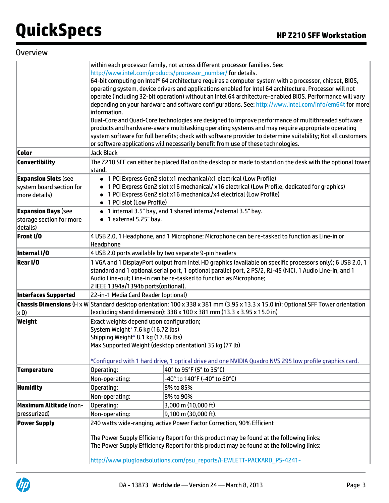|  |  |  | Overview |  |
|--|--|--|----------|--|
|  |  |  |          |  |

|                                           | within each processor family, not across different processor families. See:<br>http://www.intel.com/products/processor_number/ for details. |                                                                                                                                                                                                                                                                                                                                                                                                                                            |  |  |  |  |  |
|-------------------------------------------|---------------------------------------------------------------------------------------------------------------------------------------------|--------------------------------------------------------------------------------------------------------------------------------------------------------------------------------------------------------------------------------------------------------------------------------------------------------------------------------------------------------------------------------------------------------------------------------------------|--|--|--|--|--|
|                                           | linformation.                                                                                                                               | $64$ -bit computing on Intel® 64 architecture requires a computer system with a processor, chipset, BIOS,<br>operating system, device drivers and applications enabled for Intel 64 architecture. Processor will not<br>operate (including 32-bit operation) without an Intel 64 architecture-enabled BIOS. Performance will vary<br>depending on your hardware and software configurations. See: http://www.intel.com/info/em64t for more |  |  |  |  |  |
|                                           |                                                                                                                                             | Dual-Core and Quad-Core technologies are designed to improve performance of multithreaded software<br>products and hardware-aware multitasking operating systems and may require appropriate operating<br>system software for full benefits; check with software provider to determine suitability; Not all customers<br>or software applications will necessarily benefit from use of these technologies.                                 |  |  |  |  |  |
| Color                                     | Jack Black                                                                                                                                  |                                                                                                                                                                                                                                                                                                                                                                                                                                            |  |  |  |  |  |
| Convertibility                            | stand.                                                                                                                                      | The Z210 SFF can either be placed flat on the desktop or made to stand on the desk with the optional tower                                                                                                                                                                                                                                                                                                                                 |  |  |  |  |  |
| <b>Expansion Slots (see</b>               |                                                                                                                                             | • 1 PCI Express Gen2 slot x1 mechanical/x1 electrical (Low Profile)                                                                                                                                                                                                                                                                                                                                                                        |  |  |  |  |  |
| system board section for<br>more details) | • 1 PCI slot (Low Profile)                                                                                                                  | • 1 PCI Express Gen2 slot x16 mechanical/ x16 electrical (Low Profile, dedicated for graphics)<br>• 1 PCI Express Gen2 slot x16 mechanical/x4 electrical (Low Profile)                                                                                                                                                                                                                                                                     |  |  |  |  |  |
| <b>Expansion Bays (see</b>                |                                                                                                                                             | · 1 internal 3.5" bay, and 1 shared internal/external 3.5" bay.                                                                                                                                                                                                                                                                                                                                                                            |  |  |  |  |  |
| storage section for more<br>details)      |                                                                                                                                             | • 1 external 5.25" bay.                                                                                                                                                                                                                                                                                                                                                                                                                    |  |  |  |  |  |
| Front I/O                                 | Headphone                                                                                                                                   | 4 USB 2.0, 1 Headphone, and 1 Microphone; Microphone can be re-tasked to function as Line-in or                                                                                                                                                                                                                                                                                                                                            |  |  |  |  |  |
| Internal I/O                              |                                                                                                                                             | 4 USB 2.0 ports available by two separate 9-pin headers                                                                                                                                                                                                                                                                                                                                                                                    |  |  |  |  |  |
| Rear I/O                                  |                                                                                                                                             | 1 VGA and 1 DisplayPort output from Intel HD graphics (available on specific processors only); 6 USB 2.0, 1<br>standard and 1 optional serial port, 1 optional parallel port, 2 PS/2, RJ-45 (NIC), 1 Audio Line-in, and 1<br>Audio Line-out; Line-in can be re-tasked to function as Microphone;<br>2 IEEE 1394a/1394b ports(optional).                                                                                                    |  |  |  |  |  |
| <b>Interfaces Supported</b>               | 22-in-1 Media Card Reader (optional)                                                                                                        |                                                                                                                                                                                                                                                                                                                                                                                                                                            |  |  |  |  |  |
| xD)                                       |                                                                                                                                             | Chassis Dimensions (H x W Standard desktop orientation: 100 x 338 x 381 mm (3.95 x 13.3 x 15.0 in); Optional SFF Tower orientation<br>(excluding stand dimension): 338 x 100 x 381 mm (13.3 x 3.95 x 15.0 in)                                                                                                                                                                                                                              |  |  |  |  |  |
| Weight                                    | Exact weights depend upon configuration;<br>System Weight* 7.6 kg (16.72 lbs)<br>Shipping Weight* 8.1 kg (17.86 lbs)                        | Max Supported Weight (desktop orientation) 35 kg (77 lb)<br>*Configured with 1 hard drive, 1 optical drive and one NVIDIA Quadro NVS 295 low profile graphics card.                                                                                                                                                                                                                                                                        |  |  |  |  |  |
| Temperature                               | Operating:                                                                                                                                  | 40° to 95°F (5° to 35°C)                                                                                                                                                                                                                                                                                                                                                                                                                   |  |  |  |  |  |
|                                           | Non-operating:                                                                                                                              | -40° to 140°F (-40° to 60°C)                                                                                                                                                                                                                                                                                                                                                                                                               |  |  |  |  |  |
| <b>Humidity</b>                           | Operating:                                                                                                                                  | 8% to 85%                                                                                                                                                                                                                                                                                                                                                                                                                                  |  |  |  |  |  |
|                                           | Non-operating:                                                                                                                              | 8% to 90%                                                                                                                                                                                                                                                                                                                                                                                                                                  |  |  |  |  |  |
| <b>Maximum Altitude</b> (non-             | Operating:                                                                                                                                  | 3,000 m (10,000 ft)                                                                                                                                                                                                                                                                                                                                                                                                                        |  |  |  |  |  |
| pressurized)                              | Non-operating:                                                                                                                              | 9,100 m (30,000 ft).                                                                                                                                                                                                                                                                                                                                                                                                                       |  |  |  |  |  |
| <b>Power Supply</b>                       |                                                                                                                                             | 240 watts wide-ranging, active Power Factor Correction, 90% Efficient                                                                                                                                                                                                                                                                                                                                                                      |  |  |  |  |  |
|                                           |                                                                                                                                             | The Power Supply Efficiency Report for this product may be found at the following links:<br>The Power Supply Efficiency Report for this product may be found at the following links:                                                                                                                                                                                                                                                       |  |  |  |  |  |
|                                           |                                                                                                                                             | http://www.plugloadsolutions.com/psu_reports/HEWLETT-PACKARD_PS-4241-                                                                                                                                                                                                                                                                                                                                                                      |  |  |  |  |  |

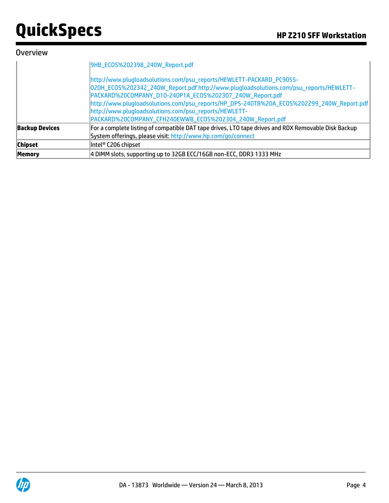#### **Overview**

|                       | 9HB_ECOS%202398_240W_Report.pdf                                                                                                                                                                                                                                                                                                                                                                                                              |
|-----------------------|----------------------------------------------------------------------------------------------------------------------------------------------------------------------------------------------------------------------------------------------------------------------------------------------------------------------------------------------------------------------------------------------------------------------------------------------|
|                       | http://www.plugloadsolutions.com/psu_reports/HEWLETT-PACKARD_PC9055-<br>020H_ECOS%202342_240W_Report.pdf http://www.plugloadsolutions.com/psu_reports/HEWLETT-<br>PACKARD%20COMPANY_D10-240P1A_ECOS%202307_240W_Report.pdf<br>http://www.plugloadsolutions.com/psu_reports/HP_DPS-240TB%20A_ECOS%202299_240W_Report.pdf<br>http://www.plugloadsolutions.com/psu_reports/HEWLETT-<br>PACKARD%20COMPANY_CFH240EWWB_EC0S%202304_240W_Report.pdf |
| <b>Backup Devices</b> | For a complete listing of compatible DAT tape drives, LTO tape drives and RDX Removable Disk Backup<br>System offerings, please visit: http://www.hp.com/go/connect                                                                                                                                                                                                                                                                          |
| <b>Chipset</b>        | Intel® C206 chipset                                                                                                                                                                                                                                                                                                                                                                                                                          |
| <b>Memory</b>         | 4 DIMM slots, supporting up to 32GB ECC/16GB non-ECC, DDR3 1333 MHz                                                                                                                                                                                                                                                                                                                                                                          |

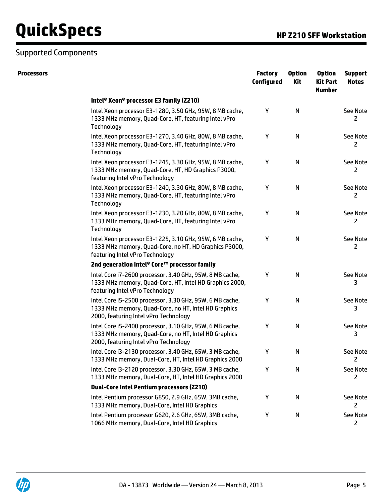#### Supported Components

| <b>Processors</b> |                                                                                                                                                           | <b>Factory</b><br><b>Configured</b> | <b>Option</b><br><b>Kit</b> | <b>Option</b><br><b>Kit Part</b><br><b>Number</b> | <b>Support</b><br><b>Notes</b> |
|-------------------|-----------------------------------------------------------------------------------------------------------------------------------------------------------|-------------------------------------|-----------------------------|---------------------------------------------------|--------------------------------|
|                   | Intel <sup>®</sup> Xeon <sup>®</sup> processor E3 family (Z210)                                                                                           |                                     |                             |                                                   |                                |
|                   | Intel Xeon processor E3-1280, 3.50 GHz, 95W, 8 MB cache,<br>1333 MHz memory, Quad-Core, HT, featuring Intel vPro<br>Technology                            | Y                                   | N                           |                                                   | <b>See Note</b><br>2           |
|                   | Intel Xeon processor E3-1270, 3.40 GHz, 80W, 8 MB cache,<br>1333 MHz memory, Quad-Core, HT, featuring Intel vPro<br>Technology                            | Y                                   | $\mathsf{N}$                |                                                   | <b>See Note</b><br>2           |
|                   | Intel Xeon processor E3-1245, 3.30 GHz, 95W, 8 MB cache,<br>1333 MHz memory, Quad-Core, HT, HD Graphics P3000,<br>featuring Intel vPro Technology         | Y                                   | N                           |                                                   | See Note<br>2                  |
|                   | Intel Xeon processor E3-1240, 3.30 GHz, 80W, 8 MB cache,<br>1333 MHz memory, Quad-Core, HT, featuring Intel vPro<br>Technology                            | Y                                   | N                           |                                                   | <b>See Note</b><br>2           |
|                   | Intel Xeon processor E3-1230, 3.20 GHz, 80W, 8 MB cache,<br>1333 MHz memory, Quad-Core, HT, featuring Intel vPro<br>Technology                            | Υ                                   | ${\sf N}$                   |                                                   | See Note<br>2                  |
|                   | Intel Xeon processor E3-1225, 3.10 GHz, 95W, 6 MB cache,<br>1333 MHz memory, Quad-Core, no HT, HD Graphics P3000,<br>featuring Intel vPro Technology      | Y                                   | N                           |                                                   | <b>See Note</b><br>2           |
|                   | 2nd generation Intel® Core™ processor family                                                                                                              |                                     |                             |                                                   |                                |
|                   | Intel Core i7-2600 processor, 3.40 GHz, 95W, 8 MB cache,<br>1333 MHz memory, Quad-Core, HT, Intel HD Graphics 2000,<br>featuring Intel vPro Technology    | Υ                                   | N                           |                                                   | <b>See Note</b><br>3           |
|                   | Intel Core i5-2500 processor, 3.30 GHz, 95W, 6 MB cache,<br>1333 MHz memory, Quad-Core, no HT, Intel HD Graphics<br>2000, featuring Intel vPro Technology | Y                                   | N                           |                                                   | <b>See Note</b><br>3           |
|                   | Intel Core i5-2400 processor, 3.10 GHz, 95W, 6 MB cache,<br>1333 MHz memory, Quad-Core, no HT, Intel HD Graphics<br>2000, featuring Intel vPro Technology | Υ                                   | N                           |                                                   | <b>See Note</b><br>3           |
|                   | Intel Core i3-2130 processor, 3.40 GHz, 65W, 3 MB cache,<br>1333 MHz memory, Dual-Core, HT, Intel HD Graphics 2000                                        | Υ                                   | N                           |                                                   | See Note<br>$\mathsf{Z}$       |
|                   | Intel Core i3-2120 processor, 3.30 GHz, 65W, 3 MB cache,<br>1333 MHz memory, Dual-Core, HT, Intel HD Graphics 2000                                        | Υ                                   | ${\sf N}$                   |                                                   | See Note<br>2                  |
|                   | <b>Dual-Core Intel Pentium processors (Z210)</b>                                                                                                          |                                     |                             |                                                   |                                |
|                   | Intel Pentium processor G850, 2.9 GHz, 65W, 3MB cache,<br>1333 MHz memory, Dual-Core, Intel HD Graphics                                                   | Y                                   | N                           |                                                   | See Note<br>2                  |
|                   | Intel Pentium processor G620, 2.6 GHz, 65W, 3MB cache,<br>1066 MHz memory, Dual-Core, Intel HD Graphics                                                   | Y                                   | N                           |                                                   | <b>See Note</b><br>2           |

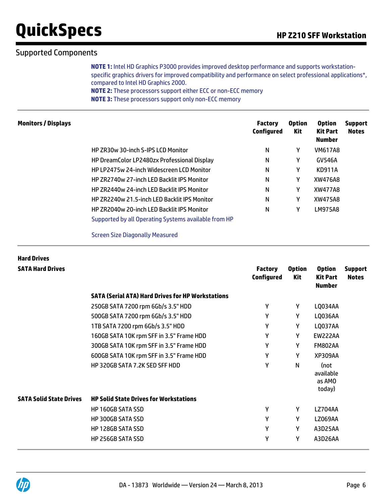#### Supported Components

**NOTE 1:** Intel HD Graphics P3000 provides improved desktop performance and supports workstationspecific graphics drivers for improved compatibility and performance on select professional applications\*, compared to Intel HD Graphics 2000. **NOTE 2:** These processors support either ECC or non-ECC memory **NOTE 3:** These processors support only non-ECC memory

| <b>Monitors / Displays</b> |                                                      | <b>Factory</b><br><b>Configured</b> | <b>Option</b><br>Kit | <b>Option</b><br><b>Kit Part</b><br><b>Number</b> | <b>Support</b><br><b>Notes</b> |
|----------------------------|------------------------------------------------------|-------------------------------------|----------------------|---------------------------------------------------|--------------------------------|
|                            | HP ZR30w 30-inch S-IPS LCD Monitor                   | N                                   | Υ                    | <b>VM617A8</b>                                    |                                |
|                            | HP DreamColor LP2480zx Professional Display          | N                                   | Υ                    | <b>GV546A</b>                                     |                                |
|                            | <b>HP LP2475w 24-inch Widescreen LCD Monitor</b>     | N                                   | γ                    | <b>KD911A</b>                                     |                                |
|                            | <b>HP ZR2740w 27-inch LED Backlit IPS Monitor</b>    | N                                   | Υ                    | XW476A8                                           |                                |
|                            | <b>HP ZR2440w 24-inch LED Backlit IPS Monitor</b>    | N                                   | Υ                    | XW477A8                                           |                                |
|                            | HP ZR2240w 21.5-inch LED Backlit IPS Monitor         | N                                   | Υ                    | XW475A8                                           |                                |
|                            | <b>HP ZR2040w 20-inch LED Backlit IPS Monitor</b>    | N                                   | γ                    | LM975A8                                           |                                |
|                            | Supported by all Operating Systems available from HP |                                     |                      |                                                   |                                |

Screen Size Diagonally Measured

| <b>Hard Drives</b>             |                                                          |                                     |                      |                                                   |                                |
|--------------------------------|----------------------------------------------------------|-------------------------------------|----------------------|---------------------------------------------------|--------------------------------|
| <b>SATA Hard Drives</b>        |                                                          | <b>Factory</b><br><b>Configured</b> | <b>Option</b><br>Kit | <b>Option</b><br><b>Kit Part</b><br><b>Number</b> | <b>Support</b><br><b>Notes</b> |
|                                | <b>SATA (Serial ATA) Hard Drives for HP Workstations</b> |                                     |                      |                                                   |                                |
|                                | 250GB SATA 7200 rpm 6Gb/s 3.5" HDD                       | Y                                   | Y                    | LQ034AA                                           |                                |
|                                | 500GB SATA 7200 rpm 6Gb/s 3.5" HDD                       | Y                                   | Y                    | LQ036AA                                           |                                |
|                                | 1TB SATA 7200 rpm 6Gb/s 3.5" HDD                         | Y                                   | Y                    | LQ037AA                                           |                                |
|                                | 160GB SATA 10K rpm SFF in 3.5" Frame HDD                 | Υ                                   | Y                    | <b>EW222AA</b>                                    |                                |
|                                | 300GB SATA 10K rpm SFF in 3.5" Frame HDD                 | Y                                   | Y                    | <b>FM802AA</b>                                    |                                |
|                                | 600GB SATA 10K rpm SFF in 3.5" Frame HDD                 | Υ                                   | Υ                    | <b>XP309AA</b>                                    |                                |
|                                | HP 320GB SATA 7.2K SED SFF HDD                           | γ                                   | N                    | (not<br>available<br>as AMO<br>today)             |                                |
| <b>SATA Solid State Drives</b> | <b>HP Solid State Drives for Workstations</b>            |                                     |                      |                                                   |                                |
|                                | <b>HP 160GB SATA SSD</b>                                 | Y                                   | Y                    | <b>LZ704AA</b>                                    |                                |
|                                | <b>HP 300GB SATA SSD</b>                                 | Y                                   | Y                    | <b>LZ069AA</b>                                    |                                |
|                                | HP 128GB SATA SSD                                        | Y                                   | Υ                    | A3D25AA                                           |                                |
|                                | <b>HP 256GB SATA SSD</b>                                 | γ                                   | Y                    | A3D26AA                                           |                                |

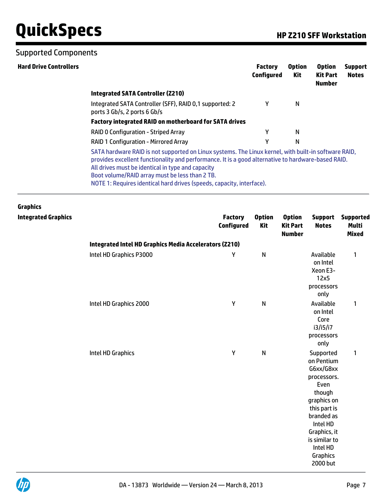#### Supported Components

| N |                                                               |                                                                                                                                                                                                            |  |  |  |  |  |  |  |
|---|---------------------------------------------------------------|------------------------------------------------------------------------------------------------------------------------------------------------------------------------------------------------------------|--|--|--|--|--|--|--|
|   |                                                               |                                                                                                                                                                                                            |  |  |  |  |  |  |  |
|   |                                                               |                                                                                                                                                                                                            |  |  |  |  |  |  |  |
|   | <b>Factory integrated RAID on motherboard for SATA drives</b> |                                                                                                                                                                                                            |  |  |  |  |  |  |  |
| N |                                                               |                                                                                                                                                                                                            |  |  |  |  |  |  |  |
| N |                                                               |                                                                                                                                                                                                            |  |  |  |  |  |  |  |
|   |                                                               |                                                                                                                                                                                                            |  |  |  |  |  |  |  |
|   |                                                               | SATA hardware RAID is not supported on Linux systems. The Linux kernel, with built-in software RAID,<br>provides excellent functionality and performance. It is a good alternative to hardware-based RAID. |  |  |  |  |  |  |  |

| <b>Graphics</b>            |                                                        |                                     |                             |                                                   |                                                                                                                                                                                                     |                                                  |  |  |  |  |
|----------------------------|--------------------------------------------------------|-------------------------------------|-----------------------------|---------------------------------------------------|-----------------------------------------------------------------------------------------------------------------------------------------------------------------------------------------------------|--------------------------------------------------|--|--|--|--|
| <b>Integrated Graphics</b> |                                                        | <b>Factory</b><br><b>Configured</b> | <b>Option</b><br><b>Kit</b> | <b>Option</b><br><b>Kit Part</b><br><b>Number</b> | <b>Support</b><br><b>Notes</b>                                                                                                                                                                      | <b>Supported</b><br><b>Multi</b><br><b>Mixed</b> |  |  |  |  |
|                            | Integrated Intel HD Graphics Media Accelerators (Z210) |                                     |                             |                                                   |                                                                                                                                                                                                     |                                                  |  |  |  |  |
|                            | Intel HD Graphics P3000                                | Υ                                   | $\mathsf{N}$                |                                                   | Available<br>on Intel<br>Xeon E3-<br>12x5<br>processors<br>only                                                                                                                                     | $\mathbf{1}$                                     |  |  |  |  |
|                            | Intel HD Graphics 2000                                 | Υ                                   | $\mathsf{N}$                |                                                   | Available<br>on Intel<br>Core<br>i3/i5/i7<br>processors<br>only                                                                                                                                     | $\mathbf{1}$                                     |  |  |  |  |
|                            | Intel HD Graphics                                      | Υ                                   | $\mathsf{N}$                |                                                   | Supported<br>on Pentium<br>G6xx/G8xx<br>processors.<br>Even<br>though<br>graphics on<br>this part is<br>branded as<br>Intel HD<br>Graphics, it<br>is similar to<br>Intel HD<br>Graphics<br>2000 but | $\mathbf{1}$                                     |  |  |  |  |

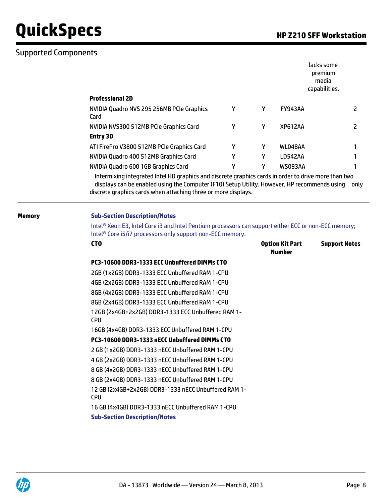#### Supported Components

|                                                   |   |   | lacks some<br>premium<br>media<br>capabilities. |   |
|---------------------------------------------------|---|---|-------------------------------------------------|---|
| <b>Professional 2D</b>                            |   |   |                                                 |   |
| NVIDIA Quadro NVS 295 256MB PCIe Graphics<br>Card | Υ | γ | <b>FY943AA</b>                                  |   |
| NVIDIA NVS300 512MB PCIe Graphics Card            | Υ | γ | <b>XP612AA</b>                                  | 2 |
| <b>Entry 3D</b>                                   |   |   |                                                 |   |
| ATI FirePro V3800 512MB PCIe Graphics Card        | γ | γ | WL048AA                                         |   |
| NVIDIA Quadro 400 512MB Graphics Card             | γ | γ | LD542AA                                         |   |
| NVIDIA Quadro 600 1GB Graphics Card               | Υ | γ | WS093AA                                         |   |

 Intermixing integrated Intel HD graphics and discrete graphics cards in order to drive more than two displays can be enabled using the Computer (F10) Setup Utility. However, HP recommends using only discrete graphics cards when attaching three or more displays.

#### **Memory Sub-Section Description/Notes**

Intel® Xeon E3, Intel Core i3 and Intel Pentium processors can support either ECC or non-ECC memory; Intel® Core i5/i7 processors only support non-ECC memory.

| <b>CTO</b>                                                         | <b>Option Kit Part</b><br><b>Number</b> | <b>Support Notes</b> |
|--------------------------------------------------------------------|-----------------------------------------|----------------------|
| PC3-10600 DDR3-1333 ECC Unbuffered DIMMs CTO                       |                                         |                      |
| 2GB (1x2GB) DDR3-1333 ECC Unbuffered RAM 1-CPU                     |                                         |                      |
| 4GB (2x2GB) DDR3-1333 ECC Unbuffered RAM 1-CPU                     |                                         |                      |
| 8GB (4x2GB) DDR3-1333 ECC Unbuffered RAM 1-CPU                     |                                         |                      |
| 8GB (2x4GB) DDR3-1333 ECC Unbuffered RAM 1-CPU                     |                                         |                      |
| 12GB (2x4GB+2x2GB) DDR3-1333 ECC Unbuffered RAM 1-<br><b>CPU</b>   |                                         |                      |
| 16GB (4x4GB) DDR3-1333 ECC Unbuffered RAM 1-CPU                    |                                         |                      |
| PC3-10600 DDR3-1333 nECC Unbuffered DIMMs CTO                      |                                         |                      |
| 2 GB (1x2GB) DDR3-1333 nECC Unbuffered RAM 1-CPU                   |                                         |                      |
| 4 GB (2x2GB) DDR3-1333 nECC Unbuffered RAM 1-CPU                   |                                         |                      |
| 8 GB (4x2GB) DDR3-1333 nECC Unbuffered RAM 1-CPU                   |                                         |                      |
| 8 GB (2x4GB) DDR3-1333 nECC Unbuffered RAM 1-CPU                   |                                         |                      |
| 12 GB (2x4GB+2x2GB) DDR3-1333 nECC Unbuffered RAM 1-<br><b>CPU</b> |                                         |                      |
| 16 GB (4x4GB) DDR3-1333 nECC Unbuffered RAM 1-CPU                  |                                         |                      |

**Sub-Section Description/Notes**

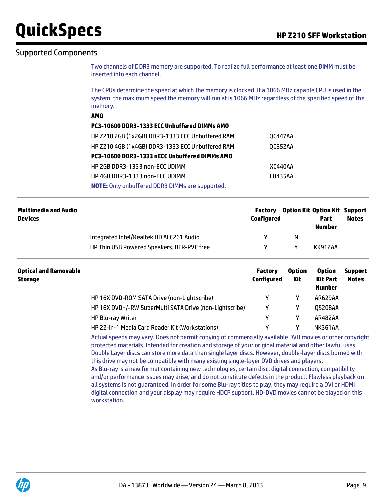#### Supported Components

Two channels of DDR3 memory are supported. To realize full performance at least one DIMM must be inserted into each channel.

The CPUs determine the speed at which the memory is clocked. If a 1066 MHz capable CPU is used in the system, the maximum speed the memory will run at is 1066 MHz regardless of the specified speed of the memory.

|                   | $\cdots$                                               |                                       |
|-------------------|--------------------------------------------------------|---------------------------------------|
|                   | <b>AMO</b>                                             |                                       |
|                   | PC3-10600 DDR3-1333 ECC Unbuffered DIMMs AMO           |                                       |
|                   | HP Z210 2GB (1x2GB) DDR3-1333 ECC Unbuffered RAM       | <b>OC447AA</b>                        |
|                   | HP Z210 4GB (1x4GB) DDR3-1333 ECC Unbuffered RAM       | <b>OC852AA</b>                        |
|                   | PC3-10600 DDR3-1333 nECC Unbuffered DIMMs AMO          |                                       |
|                   | HP 2GB DDR3-1333 non-ECC UDIMM                         | XC440AA                               |
|                   | HP 4GB DDR3-1333 non-ECC UDIMM                         | LB435AA                               |
|                   | <b>NOTE:</b> Only unbuffered DDR3 DIMMs are supported. |                                       |
|                   |                                                        |                                       |
| timadia and Audio |                                                        | Antion Kit Antion Kit Sunn<br>Eactory |
|                   |                                                        |                                       |

| <b>Multimedia and Audio</b><br><b>Devices</b> |                                            | Configured | <b>Factory</b> Option Kit Option Kit Support | Part    | <b>Notes</b> |
|-----------------------------------------------|--------------------------------------------|------------|----------------------------------------------|---------|--------------|
|                                               | Integrated Intel/Realtek HD ALC261 Audio   |            | N                                            | Number  |              |
|                                               | HP Thin USB Powered Speakers, BFR-PVC free |            |                                              | KK912AA |              |

| <b>Optical and Removable</b><br><b>Storage</b> |                                                         | <b>Factory</b><br><b>Configured</b> | <b>Option</b><br><b>Kit</b> | <b>Option</b><br>Kit Part<br><b>Number</b> | <b>Support</b><br><b>Notes</b> |
|------------------------------------------------|---------------------------------------------------------|-------------------------------------|-----------------------------|--------------------------------------------|--------------------------------|
|                                                | HP 16X DVD-ROM SATA Drive (non-Lightscribe)             |                                     |                             | AR629AA                                    |                                |
|                                                | HP 16X DVD+/-RW SuperMulti SATA Drive (non-Lightscribe) |                                     | γ                           | <b>QS208AA</b>                             |                                |
|                                                | <b>HP Blu-ray Writer</b>                                |                                     | γ                           | AR482AA                                    |                                |
|                                                | HP 22-in-1 Media Card Reader Kit (Workstations)         |                                     |                             | <b>NK361AA</b>                             |                                |

Actual speeds may vary. Does not permit copying of commercially available DVD movies or other copyright protected materials. Intended for creation and storage of your original material and other lawful uses. Double Layer discs can store more data than single layer discs. However, double-layer discs burned with this drive may not be compatible with many existing single-layer DVD drives and players. As Blu-ray is a new format containing new technologies, certain disc, digital connection, compatibility and/or performance issues may arise, and do not constitute defects in the product. Flawless playback on all systems is not guaranteed. In order for some Blu-ray titles to play, they may require a DVI or HDMI digital connection and your display may require HDCP support. HD-DVD movies cannot be played on this workstation.

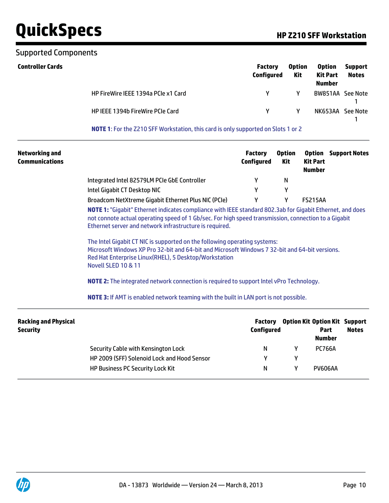#### Supported Components

| <b>Controller Cards</b> |                                     | <b>Factory</b><br>Configured | <b>Option</b><br><b>Kit</b> | <b>Option</b><br><b>Kit Part</b><br><b>Number</b> | <b>Support</b><br><b>Notes</b> |
|-------------------------|-------------------------------------|------------------------------|-----------------------------|---------------------------------------------------|--------------------------------|
|                         | HP FireWire IEEE 1394a PCIe x1 Card | Y.                           | γ                           | BW851AA See Note                                  |                                |
|                         | HP IEEE 1394b FireWire PCIe Card    | v.                           | γ                           | NK653AA See Note                                  |                                |

**NOTE 1**: For the Z210 SFF Workstation, this card is only supported on Slots 1 or 2

| <b>Networking and</b><br><b>Communications</b> |                                                                                                                                                                                                                                                                                                                                                                                                                                            | <b>Factory</b><br><b>Configured</b> | <b>Option</b><br>Kit | <b>Option</b><br><b>Support Notes</b><br><b>Kit Part</b><br><b>Number</b>     |
|------------------------------------------------|--------------------------------------------------------------------------------------------------------------------------------------------------------------------------------------------------------------------------------------------------------------------------------------------------------------------------------------------------------------------------------------------------------------------------------------------|-------------------------------------|----------------------|-------------------------------------------------------------------------------|
|                                                | Integrated Intel 82579LM PCIe GbE Controller                                                                                                                                                                                                                                                                                                                                                                                               | Υ                                   | N                    |                                                                               |
|                                                | Intel Gigabit CT Desktop NIC                                                                                                                                                                                                                                                                                                                                                                                                               | Υ                                   | Υ                    |                                                                               |
|                                                | Broadcom NetXtreme Gigabit Ethernet Plus NIC (PCIe)                                                                                                                                                                                                                                                                                                                                                                                        | Υ                                   | Υ                    | <b>FS215AA</b>                                                                |
|                                                | not connote actual operating speed of 1 Gb/sec. For high speed transmission, connection to a Gigabit<br>Ethernet server and network infrastructure is required.<br>The Intel Gigabit CT NIC is supported on the following operating systems:<br>Microsoft Windows XP Pro 32-bit and 64-bit and Microsoft Windows 7 32-bit and 64-bit versions.<br>Red Hat Enterprise Linux (RHEL), 5 Desktop/Workstation<br><b>Novell SLED 10 &amp; 11</b> |                                     |                      |                                                                               |
|                                                | <b>NOTE 2:</b> The integrated network connection is required to support Intel vPro Technology.<br><b>NOTE 3:</b> If AMT is enabled network teaming with the built in LAN port is not possible.                                                                                                                                                                                                                                             |                                     |                      |                                                                               |
| <b>Racking and Physical</b><br><b>Security</b> |                                                                                                                                                                                                                                                                                                                                                                                                                                            | <b>Factory</b><br><b>Configured</b> |                      | <b>Option Kit Option Kit Support</b><br><b>Notes</b><br>Part<br><b>Number</b> |
|                                                | Security Cable with Kensington Lock                                                                                                                                                                                                                                                                                                                                                                                                        | N                                   | Y                    | <b>PC766A</b>                                                                 |
|                                                | HP 2009 (SFF) Solenoid Lock and Hood Sensor                                                                                                                                                                                                                                                                                                                                                                                                | Υ                                   | Y                    |                                                                               |

HP Business PC Security Lock Kit N N Y PV606AA

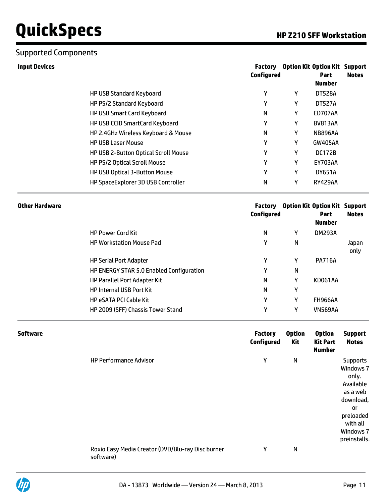#### Supported Components

| <b>Input Devices</b>                  | Factory<br><b>Configured</b> |   | <b>Option Kit Option Kit Support</b><br><b>Part</b><br><b>Number</b> | <b>Notes</b> |
|---------------------------------------|------------------------------|---|----------------------------------------------------------------------|--------------|
| <b>HP USB Standard Keyboard</b>       | Y                            | γ | <b>DT528A</b>                                                        |              |
| HP PS/2 Standard Keyboard             | Y                            | γ | <b>DT527A</b>                                                        |              |
| <b>HP USB Smart Card Keyboard</b>     | N                            | γ | ED707AA                                                              |              |
| <b>HP USB CCID SmartCard Keyboard</b> | γ                            | γ | <b>BV813AA</b>                                                       |              |
| HP 2.4GHz Wireless Keyboard & Mouse   | N                            | γ | <b>NB896AA</b>                                                       |              |
| <b>HP USB Laser Mouse</b>             | γ                            | γ | <b>GW405AA</b>                                                       |              |
| HP USB 2-Button Optical Scroll Mouse  | γ                            | γ | <b>DC172B</b>                                                        |              |
| HP PS/2 Optical Scroll Mouse          | γ                            | γ | <b>EY703AA</b>                                                       |              |
| <b>HP USB Optical 3-Button Mouse</b>  | Y                            | γ | <b>DY651A</b>                                                        |              |
| HP SpaceExplorer 3D USB Controller    | N                            | γ | <b>RY429AA</b>                                                       |              |

| Other Hardware                           | <b>Factory</b><br>Configured |   | <b>Option Kit Option Kit Support</b><br><b>Part</b><br><b>Number</b> | <b>Notes</b>  |
|------------------------------------------|------------------------------|---|----------------------------------------------------------------------|---------------|
| <b>HP Power Cord Kit</b>                 | N                            | Y | <b>DM293A</b>                                                        |               |
| <b>HP Workstation Mouse Pad</b>          | γ                            | N |                                                                      | Japan<br>only |
| <b>HP Serial Port Adapter</b>            | γ                            | Υ | <b>PA716A</b>                                                        |               |
| HP ENERGY STAR 5.0 Enabled Configuration | γ                            | N |                                                                      |               |
| <b>HP Parallel Port Adapter Kit</b>      | N                            | γ | <b>KD061AA</b>                                                       |               |
| <b>HP Internal USB Port Kit</b>          | N                            | γ |                                                                      |               |
| <b>HP eSATA PCI Cable Kit</b>            | γ                            | γ | <b>FH966AA</b>                                                       |               |
| HP 2009 (SFF) Chassis Tower Stand        | γ                            | γ | <b>VN569AA</b>                                                       |               |

| <b>Software</b> |                                                                | <b>Factory</b><br><b>Configured</b> | <b>Option</b><br><b>Kit</b> | <b>Option</b><br><b>Kit Part</b><br><b>Number</b> | <b>Support</b><br><b>Notes</b>                                                                                                                 |
|-----------------|----------------------------------------------------------------|-------------------------------------|-----------------------------|---------------------------------------------------|------------------------------------------------------------------------------------------------------------------------------------------------|
|                 | <b>HP Performance Advisor</b>                                  | Υ                                   | N                           |                                                   | <b>Supports</b><br>Windows 7<br>only.<br>Available<br>as a web<br>download,<br><b>or</b><br>preloaded<br>with all<br>Windows 7<br>preinstalls. |
|                 | Roxio Easy Media Creator (DVD/Blu-ray Disc burner<br>software) | Υ                                   | N                           |                                                   |                                                                                                                                                |

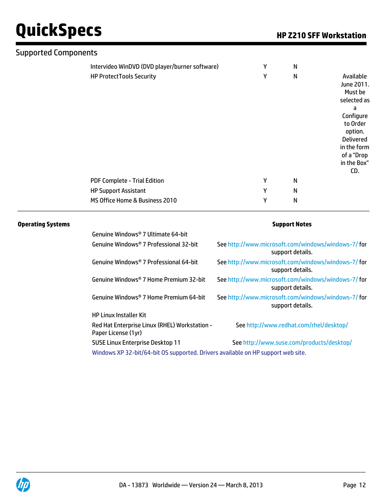| <b>Supported Components</b>                    |   |              |                                                                                                                                                                   |
|------------------------------------------------|---|--------------|-------------------------------------------------------------------------------------------------------------------------------------------------------------------|
| Intervideo WinDVD (DVD player/burner software) | Υ | N            |                                                                                                                                                                   |
| <b>HP ProtectTools Security</b>                | Y | $\mathsf{N}$ | Available<br>June 2011.<br>Must be<br>selected as<br>а<br>Configure<br>to Order<br>option.<br><b>Delivered</b><br>in the form<br>of a "Drop<br>in the Box"<br>CD. |
| PDF Complete - Trial Edition                   | Υ | N            |                                                                                                                                                                   |
| <b>HP Support Assistant</b>                    | Y | N            |                                                                                                                                                                   |
| MS Office Home & Business 2010                 | Y | N            |                                                                                                                                                                   |

#### **Operating Systems Support Notes**

| Genuine Windows® 7 Ultimate 64-bit                                                                                          |                                                                        |
|-----------------------------------------------------------------------------------------------------------------------------|------------------------------------------------------------------------|
| Genuine Windows® 7 Professional 32-bit                                                                                      | See http://www.microsoft.com/windows/windows-7/for<br>support details. |
| Genuine Windows® 7 Professional 64-bit                                                                                      | See http://www.microsoft.com/windows/windows-7/for<br>support details. |
| Genuine Windows® 7 Home Premium 32-bit                                                                                      | See http://www.microsoft.com/windows/windows-7/for<br>support details. |
| Genuine Windows® 7 Home Premium 64-bit                                                                                      | See http://www.microsoft.com/windows/windows-7/for<br>support details. |
| <b>HP Linux Installer Kit</b>                                                                                               |                                                                        |
| Red Hat Enterprise Linux (RHEL) Workstation -<br>Paper License (1yr)                                                        | See http://www.redhat.com/rhel/desktop/                                |
| <b>SUSE Linux Enterprise Desktop 11</b><br>Windows XP 32-bit/64-bit OS supported. Drivers available on HP support web site. | See http://www.suse.com/products/desktop/                              |
|                                                                                                                             |                                                                        |

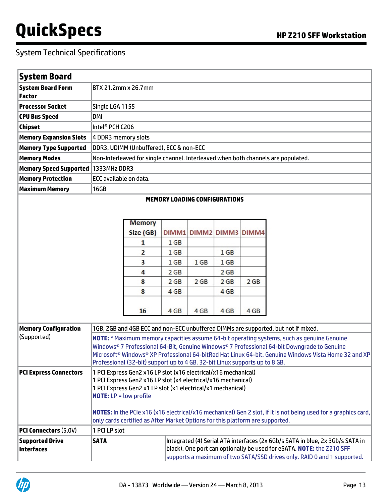| <b>System Board</b>                       |                                                                                                                                                                                                                                                                                                                                                                                              |                                                                                                                                                                                                                                                                                                                                                      |                                                                                  |                         |                                                                                               |      |                                                                                    |
|-------------------------------------------|----------------------------------------------------------------------------------------------------------------------------------------------------------------------------------------------------------------------------------------------------------------------------------------------------------------------------------------------------------------------------------------------|------------------------------------------------------------------------------------------------------------------------------------------------------------------------------------------------------------------------------------------------------------------------------------------------------------------------------------------------------|----------------------------------------------------------------------------------|-------------------------|-----------------------------------------------------------------------------------------------|------|------------------------------------------------------------------------------------|
| <b>System Board Form</b><br><b>Factor</b> |                                                                                                                                                                                                                                                                                                                                                                                              | BTX 21.2mm x 26.7mm                                                                                                                                                                                                                                                                                                                                  |                                                                                  |                         |                                                                                               |      |                                                                                    |
| <b>Processor Socket</b>                   | Single LGA 1155                                                                                                                                                                                                                                                                                                                                                                              |                                                                                                                                                                                                                                                                                                                                                      |                                                                                  |                         |                                                                                               |      |                                                                                    |
| <b>CPU Bus Speed</b>                      | DMI                                                                                                                                                                                                                                                                                                                                                                                          |                                                                                                                                                                                                                                                                                                                                                      |                                                                                  |                         |                                                                                               |      |                                                                                    |
| <b>Chipset</b>                            | Intel <sup>®</sup> PCH C206                                                                                                                                                                                                                                                                                                                                                                  |                                                                                                                                                                                                                                                                                                                                                      |                                                                                  |                         |                                                                                               |      |                                                                                    |
| <b>Memory Expansion Slots</b>             | 4 DDR3 memory slots                                                                                                                                                                                                                                                                                                                                                                          |                                                                                                                                                                                                                                                                                                                                                      |                                                                                  |                         |                                                                                               |      |                                                                                    |
| <b>Memory Type Supported</b>              |                                                                                                                                                                                                                                                                                                                                                                                              | DDR3, UDIMM (Unbuffered), ECC & non-ECC                                                                                                                                                                                                                                                                                                              |                                                                                  |                         |                                                                                               |      |                                                                                    |
| <b>Memory Modes</b>                       |                                                                                                                                                                                                                                                                                                                                                                                              |                                                                                                                                                                                                                                                                                                                                                      |                                                                                  |                         |                                                                                               |      | Non-Interleaved for single channel. Interleaved when both channels are populated.  |
| Memory Speed Supported   1333MHz DDR3     |                                                                                                                                                                                                                                                                                                                                                                                              |                                                                                                                                                                                                                                                                                                                                                      |                                                                                  |                         |                                                                                               |      |                                                                                    |
| <b>Memory Protection</b>                  | ECC available on data.                                                                                                                                                                                                                                                                                                                                                                       |                                                                                                                                                                                                                                                                                                                                                      |                                                                                  |                         |                                                                                               |      |                                                                                    |
| <b>Maximum Memory</b>                     | 16GB                                                                                                                                                                                                                                                                                                                                                                                         |                                                                                                                                                                                                                                                                                                                                                      |                                                                                  |                         |                                                                                               |      |                                                                                    |
|                                           |                                                                                                                                                                                                                                                                                                                                                                                              | <b>Memory</b><br>Size (GB)<br>1<br>2<br>3<br>4<br>8                                                                                                                                                                                                                                                                                                  | DIMM1<br>1 <sub>GB</sub><br>1 <sub>GB</sub><br>1 <sub>GB</sub><br>2 GB<br>$2$ GB | 1 <sub>GB</sub><br>2 GB | DIMM2 DIMM3 DIMM4<br>1 <sub>GB</sub><br>1 <sub>GB</sub><br>2 <sub>GB</sub><br>2 <sub>GB</sub> | 2 GB |                                                                                    |
|                                           |                                                                                                                                                                                                                                                                                                                                                                                              | 8                                                                                                                                                                                                                                                                                                                                                    | 4 GB                                                                             |                         | 4 <sub>GB</sub>                                                                               |      |                                                                                    |
|                                           |                                                                                                                                                                                                                                                                                                                                                                                              | 16                                                                                                                                                                                                                                                                                                                                                   | 4 GB                                                                             | 4 GB                    | 4 GB                                                                                          | 4 GB |                                                                                    |
| <b>Memory Configuration</b>               |                                                                                                                                                                                                                                                                                                                                                                                              |                                                                                                                                                                                                                                                                                                                                                      |                                                                                  |                         |                                                                                               |      | 1GB, 2GB and 4GB ECC and non-ECC unbuffered DIMMs are supported, but not if mixed. |
| (Supported)                               | NOTE: * Maximum memory capacities assume 64-bit operating systems, such as genuine Genuine<br>Windows® 7 Professional 64-Bit, Genuine Windows® 7 Professional 64-bit Downgrade to Genuine<br>Microsoft <sup>®</sup> Windows® XP Professional 64-bitRed Hat Linux 64-bit. Genuine Windows Vista Home 32 and XP<br>Professional (32-bit) support up to 4 GB. 32-bit Linux supports up to 8 GB. |                                                                                                                                                                                                                                                                                                                                                      |                                                                                  |                         |                                                                                               |      |                                                                                    |
| <b>PCI Express Connectors</b>             |                                                                                                                                                                                                                                                                                                                                                                                              | 1 PCI Express Gen2 x16 LP slot (x16 electrical/x16 mechanical)<br>1 PCI Express Gen2 x16 LP slot (x4 electrical/x16 mechanical)<br>1 PCI Express Gen2 x1 LP slot (x1 electrical/x1 mechanical)<br><b>NOTE:</b> $LP = low profile$<br>NOTES: In the PCIe x16 (x16 electrical/x16 mechanical) Gen 2 slot, if it is not being used for a graphics card, |                                                                                  |                         |                                                                                               |      |                                                                                    |
|                                           |                                                                                                                                                                                                                                                                                                                                                                                              | only cards certified as After Market Options for this platform are supported.                                                                                                                                                                                                                                                                        |                                                                                  |                         |                                                                                               |      |                                                                                    |

| <b>PCI Connectors (5.0V)</b>          | 11 PCI LP slot |                                                                                                                                                                                                                                   |  |  |  |  |  |
|---------------------------------------|----------------|-----------------------------------------------------------------------------------------------------------------------------------------------------------------------------------------------------------------------------------|--|--|--|--|--|
| <b>Supported Drive</b><br>∣Interfaces | <b>SATA</b>    | Integrated (4) Serial ATA interfaces (2x 6Gb/s SATA in blue, 2x 3Gb/s SATA in<br>black). One port can optionally be used for eSATA. NOTE: the Z210 SFF<br>supports a maximum of two SATA/SSD drives only. RAID 0 and 1 supported. |  |  |  |  |  |

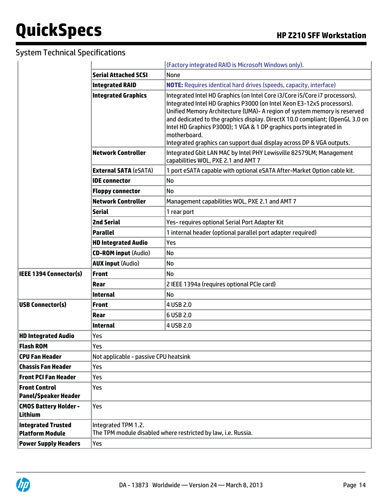|                                                     | (Factory integrated RAID is Microsoft Windows only).                |                                                                                                                                                                                                                                                                                                                                                                                                                                                                                     |  |  |
|-----------------------------------------------------|---------------------------------------------------------------------|-------------------------------------------------------------------------------------------------------------------------------------------------------------------------------------------------------------------------------------------------------------------------------------------------------------------------------------------------------------------------------------------------------------------------------------------------------------------------------------|--|--|
|                                                     | <b>Serial Attached SCSI</b>                                         | None                                                                                                                                                                                                                                                                                                                                                                                                                                                                                |  |  |
|                                                     | <b>Integrated RAID</b>                                              | <b>NOTE:</b> Requires identical hard drives (speeds, capacity, interface)                                                                                                                                                                                                                                                                                                                                                                                                           |  |  |
|                                                     | <b>Integrated Graphics</b>                                          | Integrated Intel HD Graphics (on Intel Core i3/Core i5/Core i7 processors).<br>Integrated Intel HD Graphics P3000 (on Intel Xeon E3-12x5 processors).<br>Unified Memory Architecture (UMA) - A region of system memory is reserved<br>and dedicated to the graphics display. DirectX 10.0 compliant; (OpenGL 3.0 on<br>Intel HD Graphics P3000); 1 VGA & 1 DP graphics ports integrated in<br>motherboard.<br>Integrated graphics can support dual display across DP & VGA outputs. |  |  |
|                                                     | <b>Network Controller</b>                                           | Integrated Gbit LAN MAC by Intel PHY Lewisville 82579LM; Management<br>capabilities WOL, PXE 2.1 and AMT 7                                                                                                                                                                                                                                                                                                                                                                          |  |  |
|                                                     | <b>External SATA (eSATA)</b>                                        | 1 port eSATA capable with optional eSATA After-Market Option cable kit.                                                                                                                                                                                                                                                                                                                                                                                                             |  |  |
|                                                     | <b>IDE</b> connector                                                | No                                                                                                                                                                                                                                                                                                                                                                                                                                                                                  |  |  |
|                                                     | <b>Floppy connector</b>                                             | No                                                                                                                                                                                                                                                                                                                                                                                                                                                                                  |  |  |
|                                                     | <b>Network Controller</b>                                           | Management capabilities WOL, PXE 2.1 and AMT 7                                                                                                                                                                                                                                                                                                                                                                                                                                      |  |  |
|                                                     | <b>Serial</b>                                                       | 1 rear port                                                                                                                                                                                                                                                                                                                                                                                                                                                                         |  |  |
|                                                     | <b>2nd Serial</b><br>Yes- requires optional Serial Port Adapter Kit |                                                                                                                                                                                                                                                                                                                                                                                                                                                                                     |  |  |
|                                                     | <b>Parallel</b>                                                     | 1 internal header (optional parallel port adapter required)                                                                                                                                                                                                                                                                                                                                                                                                                         |  |  |
|                                                     | <b>HD Integrated Audio</b>                                          | Yes                                                                                                                                                                                                                                                                                                                                                                                                                                                                                 |  |  |
|                                                     | <b>CD-ROM input (Audio)</b>                                         | No                                                                                                                                                                                                                                                                                                                                                                                                                                                                                  |  |  |
|                                                     | <b>AUX input (Audio)</b>                                            | No                                                                                                                                                                                                                                                                                                                                                                                                                                                                                  |  |  |
| <b>IEEE 1394 Connector(s)</b>                       | <b>Front</b>                                                        | No                                                                                                                                                                                                                                                                                                                                                                                                                                                                                  |  |  |
|                                                     | Rear                                                                | 2 IEEE 1394a (requires optional PCIe card)                                                                                                                                                                                                                                                                                                                                                                                                                                          |  |  |
|                                                     | <b>Internal</b>                                                     | No                                                                                                                                                                                                                                                                                                                                                                                                                                                                                  |  |  |
| <b>USB Connector(s)</b>                             | <b>Front</b>                                                        | 4 USB 2.0                                                                                                                                                                                                                                                                                                                                                                                                                                                                           |  |  |
|                                                     | Rear                                                                | 6 USB 2.0                                                                                                                                                                                                                                                                                                                                                                                                                                                                           |  |  |
|                                                     | <b>Internal</b>                                                     | 4 USB 2.0                                                                                                                                                                                                                                                                                                                                                                                                                                                                           |  |  |
| <b>HD Integrated Audio</b>                          | Yes                                                                 |                                                                                                                                                                                                                                                                                                                                                                                                                                                                                     |  |  |
| <b>Flash ROM</b>                                    | Yes                                                                 |                                                                                                                                                                                                                                                                                                                                                                                                                                                                                     |  |  |
| <b>CPU Fan Header</b>                               | Not applicable - passive CPU heatsink                               |                                                                                                                                                                                                                                                                                                                                                                                                                                                                                     |  |  |
| <b>Chassis Fan Header</b>                           | Yes                                                                 |                                                                                                                                                                                                                                                                                                                                                                                                                                                                                     |  |  |
| <b>Front PCI Fan Header</b>                         | Yes                                                                 |                                                                                                                                                                                                                                                                                                                                                                                                                                                                                     |  |  |
| <b>Front Control</b><br><b>Panel/Speaker Header</b> | Yes                                                                 |                                                                                                                                                                                                                                                                                                                                                                                                                                                                                     |  |  |
| <b>CMOS Battery Holder -</b><br><b>Lithium</b>      | Yes                                                                 |                                                                                                                                                                                                                                                                                                                                                                                                                                                                                     |  |  |
| <b>Integrated Trusted</b><br><b>Platform Module</b> | Integrated TPM 1.2.                                                 | The TPM module disabled where restricted by law, i.e. Russia.                                                                                                                                                                                                                                                                                                                                                                                                                       |  |  |
| <b>Power Supply Headers</b>                         | Yes                                                                 |                                                                                                                                                                                                                                                                                                                                                                                                                                                                                     |  |  |

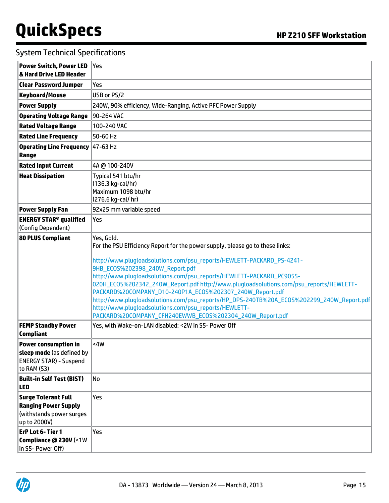| <b>Power Switch, Power LED</b><br>& Hard Drive LED Header                                                | ∣Yes                                                                                                                                                                                                                                                                                                                                                                                                                                                                                                                                                                                                                                                    |
|----------------------------------------------------------------------------------------------------------|---------------------------------------------------------------------------------------------------------------------------------------------------------------------------------------------------------------------------------------------------------------------------------------------------------------------------------------------------------------------------------------------------------------------------------------------------------------------------------------------------------------------------------------------------------------------------------------------------------------------------------------------------------|
| <b>Clear Password Jumper</b>                                                                             | Yes                                                                                                                                                                                                                                                                                                                                                                                                                                                                                                                                                                                                                                                     |
| <b>Keyboard/Mouse</b>                                                                                    | USB or PS/2                                                                                                                                                                                                                                                                                                                                                                                                                                                                                                                                                                                                                                             |
| <b>Power Supply</b>                                                                                      | 240W, 90% efficiency, Wide-Ranging, Active PFC Power Supply                                                                                                                                                                                                                                                                                                                                                                                                                                                                                                                                                                                             |
| <b>Operating Voltage Range</b>                                                                           | 90-264 VAC                                                                                                                                                                                                                                                                                                                                                                                                                                                                                                                                                                                                                                              |
| <b>Rated Voltage Range</b>                                                                               | 100-240 VAC                                                                                                                                                                                                                                                                                                                                                                                                                                                                                                                                                                                                                                             |
| <b>Rated Line Frequency</b>                                                                              | 50-60 Hz                                                                                                                                                                                                                                                                                                                                                                                                                                                                                                                                                                                                                                                |
| <b>Operating Line Frequency 47-63 Hz</b><br>Range                                                        |                                                                                                                                                                                                                                                                                                                                                                                                                                                                                                                                                                                                                                                         |
| <b>Rated Input Current</b>                                                                               | 4A @ 100-240V                                                                                                                                                                                                                                                                                                                                                                                                                                                                                                                                                                                                                                           |
| <b>Heat Dissipation</b>                                                                                  | Typical 541 btu/hr<br>(136.3 kg-cal/hr)<br>Maximum 1098 btu/hr<br>(276.6 kg-cal/ hr)                                                                                                                                                                                                                                                                                                                                                                                                                                                                                                                                                                    |
| <b>Power Supply Fan</b>                                                                                  | 92x25 mm variable speed                                                                                                                                                                                                                                                                                                                                                                                                                                                                                                                                                                                                                                 |
| <b>ENERGY STAR<sup>®</sup> qualified</b><br>(Config Dependent)                                           | Yes                                                                                                                                                                                                                                                                                                                                                                                                                                                                                                                                                                                                                                                     |
| <b>80 PLUS Compliant</b>                                                                                 | Yes, Gold.<br>For the PSU Efficiency Report for the power supply, please go to these links:<br>http://www.plugloadsolutions.com/psu_reports/HEWLETT-PACKARD_PS-4241-<br>9HB_EC0S%202398_240W_Report.pdf<br>http://www.plugloadsolutions.com/psu_reports/HEWLETT-PACKARD_PC9055-<br>020H_EC0S%202342_240W_Report.pdf http://www.plugloadsolutions.com/psu_reports/HEWLETT-<br>PACKARD%20COMPANY_D10-240P1A_EC0S%202307_240W_Report.pdf<br>http://www.plugloadsolutions.com/psu_reports/HP_DPS-240TB%20A_ECOS%202299_240W_Report.pdf<br>http://www.plugloadsolutions.com/psu_reports/HEWLETT-<br>PACKARD%20COMPANY_CFH240EWWB_EC0S%202304_240W_Report.pdf |
| <b>FEMP Standby Power</b><br><b>Compliant</b>                                                            | Yes, with Wake-on-LAN disabled: < 2W in S5- Power Off                                                                                                                                                                                                                                                                                                                                                                                                                                                                                                                                                                                                   |
| <b>Power consumption in</b><br>sleep mode (as defined by<br><b>ENERGY STAR) - Suspend</b><br>to RAM (S3) | <4W                                                                                                                                                                                                                                                                                                                                                                                                                                                                                                                                                                                                                                                     |
| <b>Built-in Self Test (BIST)</b><br>LED                                                                  | No                                                                                                                                                                                                                                                                                                                                                                                                                                                                                                                                                                                                                                                      |
| <b>Surge Tolerant Full</b><br><b>Ranging Power Supply</b><br>(withstands power surges<br>up to 2000V)    | Yes                                                                                                                                                                                                                                                                                                                                                                                                                                                                                                                                                                                                                                                     |
| ErP Lot 6- Tier 1<br>Compliance @ 230V (<1W<br>in S5- Power Off)                                         | Yes                                                                                                                                                                                                                                                                                                                                                                                                                                                                                                                                                                                                                                                     |

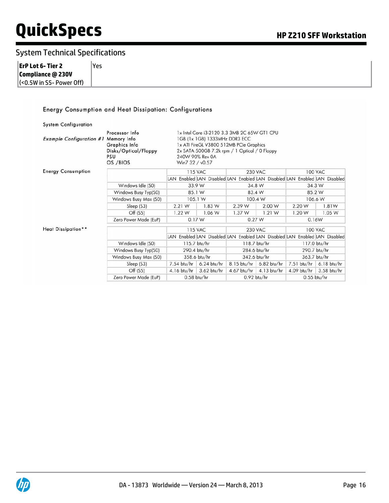#### System Technical Specifications

| ErP Lot 6- Tier 2            | Yes |
|------------------------------|-----|
| Compliance @ 230V            |     |
| $ $ (<0.5W in S5- Power Off) |     |

#### Energy Consumption and Heat Dissipation: Configurations

| <b>System Configuration</b>     |                                                                                           |                                                                                                                                                                                                                 |                         |               |                                                                            |               |                |
|---------------------------------|-------------------------------------------------------------------------------------------|-----------------------------------------------------------------------------------------------------------------------------------------------------------------------------------------------------------------|-------------------------|---------------|----------------------------------------------------------------------------|---------------|----------------|
| <b>Example Configuration #1</b> | Processor Info<br>Memory Info<br>Graphics Info<br>Disks/Optical/Floppy<br>PSU<br>OS /BIOS | 1x Intel Core i3-2120 3.3 3MB 2C 65W GT1 CPU<br>1GB (1x 1GB) 1333MHz DDR3 ECC<br>1x ATI FireGL V3800 512MB PCIe Graphics<br>2x SATA 500GB 7.2k rpm / 1 Optical / 0 Floppy<br>240W 90% Rev 0A<br>Win7 32 / v0.57 |                         |               |                                                                            |               |                |
| <b>Energy Consumption</b>       |                                                                                           |                                                                                                                                                                                                                 | <b>115 VAC</b>          |               | <b>230 VAC</b>                                                             |               | <b>100 VAC</b> |
|                                 |                                                                                           |                                                                                                                                                                                                                 |                         |               | LAN Enabled LAN Disabled LAN Enabled LAN Disabled LAN Enabled LAN Disabled |               |                |
|                                 | Windows Idle (S0)                                                                         |                                                                                                                                                                                                                 | 33.9 W                  | 34.8 W        |                                                                            | 34.3 W        |                |
|                                 | Windows Busy Typ(S0)                                                                      | 85.1 W                                                                                                                                                                                                          |                         | 83.4 W        |                                                                            | 85.2 W        |                |
|                                 | Windows Busy Max (S0)                                                                     | 105.1 W                                                                                                                                                                                                         |                         | 100.4 W       |                                                                            | 106.6 W       |                |
|                                 | Sleep (S3)                                                                                | 2.21 W                                                                                                                                                                                                          | 1.83 W                  | 2.39 W        | 2.00 W                                                                     | 2.20 W        | 1.81W          |
|                                 | Off (S5)                                                                                  | 1.22 W                                                                                                                                                                                                          | 1.06 W                  | 1.37 W        | 1.21 W                                                                     | 1.20 W        | 1.05 W         |
|                                 | Zero Power Mode (EuP)                                                                     | 0.17W                                                                                                                                                                                                           |                         | 0.27 W        |                                                                            | 0.16W         |                |
| Heat Dissipation**              |                                                                                           |                                                                                                                                                                                                                 | <b>115 VAC</b>          |               | <b>230 VAC</b>                                                             |               | <b>100 VAC</b> |
|                                 |                                                                                           |                                                                                                                                                                                                                 |                         |               | LAN Enabled LAN Disabled LAN Enabled LAN Disabled LAN Enabled LAN Disabled |               |                |
|                                 | Windows Idle (S0)                                                                         |                                                                                                                                                                                                                 | 115.7 btu/hr            | 118.7 btu/hr  |                                                                            | 117.0 btu/hr  |                |
|                                 | Windows Busy Typ(S0)                                                                      |                                                                                                                                                                                                                 | 290.4 btu/hr            | 284.6 btu/hr  |                                                                            | 290.7 btu/hr  |                |
|                                 | Windows Busy Max (S0)                                                                     |                                                                                                                                                                                                                 | 358.6 btu/hr            |               | 342.6 btu/hr                                                               |               | 363.7 btu/hr   |
|                                 | Sleep (S3)                                                                                | $7.54$ btu/hr                                                                                                                                                                                                   | $6.24$ btu/hr           | $8.15$ btu/hr | $6.82$ btu/hr                                                              | $7.51$ btu/hr | $6.18$ btu/hr  |
|                                 | Off (S5)                                                                                  |                                                                                                                                                                                                                 | 4.16 btu/hr 3.62 btu/hr | $4.67$ btu/hr | $4.13$ btu/hr                                                              | $4.09$ btu/hr | $3.58$ btu/hr  |
|                                 | Zero Power Mode (EuP)                                                                     |                                                                                                                                                                                                                 | $0.58$ btu/hr           |               | $0.92$ btu/hr                                                              |               | $0.55$ btu/hr  |

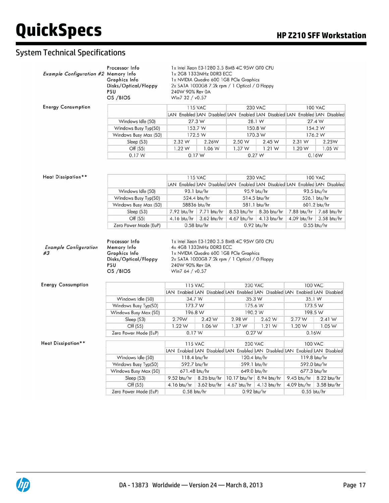| Example Configuration #2 Memory Info | Processor Info<br>Graphics Info<br>Disks/Optical/Floppy<br>PSU<br>OS /BIOS | 240W 90% Rev 0A<br>Win7 32 / v0.57                                                                                                                        | 1x Intel Xeon E3-1280 3.5 8MB 4C 95W GT0 CPU<br>1x 2GB 1333MHz DDR3 ECC | 1x NVIDIA Quadro 600 1GB PCIe Graphics<br>2x SATA 1000GB 7.2k rpm / 1 Optical / 0 Floppy |         |                              |                |
|--------------------------------------|----------------------------------------------------------------------------|-----------------------------------------------------------------------------------------------------------------------------------------------------------|-------------------------------------------------------------------------|------------------------------------------------------------------------------------------|---------|------------------------------|----------------|
| <b>Energy Consumption</b>            |                                                                            |                                                                                                                                                           | <b>115 VAC</b>                                                          | <b>230 VAC</b>                                                                           |         |                              | <b>100 VAC</b> |
|                                      |                                                                            |                                                                                                                                                           |                                                                         | LAN Enabled LAN Disabled LAN Enabled LAN Disabled LAN Enabled LAN Disabled               |         |                              |                |
|                                      | Windows Idle (S0)                                                          |                                                                                                                                                           | 27.3 W                                                                  | 28.1 W                                                                                   |         | 27.4 W                       |                |
|                                      | Windows Busy Typ(S0)                                                       |                                                                                                                                                           | 153.7 W                                                                 |                                                                                          | 150.8 W |                              | 154.2 W        |
|                                      | Windows Busy Max (S0)                                                      |                                                                                                                                                           | 172.5 W                                                                 |                                                                                          | 170.3 W |                              | 176.2 W        |
|                                      | Sleep (S3)                                                                 | 2.32 W                                                                                                                                                    | 2.26W                                                                   | 2.50 W                                                                                   | 2.45 W  | 2.31 W                       | 2.25W          |
|                                      | Off (S5)                                                                   | 1.22W                                                                                                                                                     | 1.06 W                                                                  | 1.37W                                                                                    | 1.21 W  | 1.20 W                       | 1.05 W         |
|                                      | 0.17W                                                                      |                                                                                                                                                           | 0.17W                                                                   | 0.27 W                                                                                   |         | 0.16W                        |                |
| Heat Dissipation**                   |                                                                            |                                                                                                                                                           | <b>115 VAC</b>                                                          | <b>230 VAC</b>                                                                           |         |                              | <b>100 VAC</b> |
|                                      |                                                                            |                                                                                                                                                           |                                                                         | LAN Enabled LAN Disabled LAN Enabled LAN Disabled LAN Enabled LAN Disabled               |         |                              |                |
|                                      | Windows Idle (S0)                                                          |                                                                                                                                                           | 93.1 btu/hr                                                             | 95.9 btu/hr                                                                              |         | 93.5 btu/hr                  |                |
|                                      | Windows Busy Typ(S0)                                                       |                                                                                                                                                           | 524.4 btu/hr                                                            | 514.5 btu/hr                                                                             |         | 526.1 btu/hr                 |                |
|                                      | Windows Busy Max (S0)                                                      |                                                                                                                                                           | 58836 btu/hr                                                            | 581.1 btu/hr                                                                             |         |                              | 601.2 btu/hr   |
|                                      | Sleep (S3)                                                                 |                                                                                                                                                           | 7.92 btu/hr 7.71 btu/hr                                                 | 8.53 btu/hr   8.36 btu/hr                                                                |         | 7.88 btu/hr                  | 7.68 btu/hr    |
|                                      | Off (S5)<br>Zero Power Mode (EuP)                                          |                                                                                                                                                           | 4.16 btu/hr 3.62 btu/hr<br>$0.58$ btu/hr                                | 4.67 btu/hr 4.13 btu/hr<br>$0.92$ btu/hr                                                 |         | 4.09 btu/hr<br>$0.55$ btu/hr | 3.58 btu/hr    |
| <b>Example Configuration</b><br>#3   | Memory Info<br>Graphics Info<br>Disks/Optical/Floppy<br>PSU<br>OS /BIOS    | 4x 4GB 1333MHz DDR3 ECC<br>1x NVIDIA Quadro 600 1GB PCIe Graphics<br>2x SATA 1000GB 7.2k rpm / 1 Optical / 0 Floppy<br>240W 90% Rev 0A<br>Win7 64 / v0.57 |                                                                         |                                                                                          |         |                              |                |
| <b>Energy Consumption</b>            |                                                                            |                                                                                                                                                           |                                                                         |                                                                                          |         |                              |                |
|                                      |                                                                            |                                                                                                                                                           |                                                                         |                                                                                          |         |                              |                |
|                                      |                                                                            | <b>115 VAC</b>                                                                                                                                            |                                                                         | <b>230 VAC</b>                                                                           |         | <b>100 VAC</b>               |                |
|                                      |                                                                            |                                                                                                                                                           |                                                                         | LAN Enabled LAN Disabled LAN Enabled LAN Disabled LAN Enabled LAN Disabled               |         |                              |                |
|                                      | Windows Idle (S0)                                                          | 34.7 W                                                                                                                                                    |                                                                         | 35.3 W                                                                                   |         | 35.1 W                       |                |
|                                      | Windows Busy Typ(S0)                                                       | 173.7 W                                                                                                                                                   |                                                                         | 175.6 W                                                                                  |         | 173.5 W                      |                |
|                                      | Windows Busy Max (S0)                                                      | 196.8 W                                                                                                                                                   |                                                                         | 190.2 W                                                                                  |         | 198.5 W                      |                |
|                                      | Sleep (S3)                                                                 | 2.79W                                                                                                                                                     | 2.42 W                                                                  | 2.98 W                                                                                   | 2.62 W  | 2.77 W                       | 2.41 W         |
|                                      | Off (S5)<br>Zero Power Mode (EuP)                                          | 1.22W<br>0.17 W                                                                                                                                           | 1.06 W                                                                  | 1.37 W<br>0.27 W                                                                         | 1.21 W  | 1.20 W<br>0.16W              | 1.05W          |
| Heat Dissipation**                   |                                                                            | <b>115 VAC</b>                                                                                                                                            |                                                                         | <b>230 VAC</b>                                                                           |         | <b>100 VAC</b>               |                |
|                                      |                                                                            |                                                                                                                                                           |                                                                         | LAN Enabled LAN Disabled LAN Enabled LAN Disabled LAN Enabled LAN Disabled               |         |                              |                |
|                                      | Windows Idle (S0)                                                          | 118.4 btu/hr                                                                                                                                              |                                                                         | 120.4 btu/hr                                                                             |         | 119.8 btu/hr                 |                |
|                                      | Windows Busy Typ(S0)                                                       | 592.7 btu/hr                                                                                                                                              |                                                                         | 599.1 btu/hr                                                                             |         | 592.0 btu/hr                 |                |
|                                      | Windows Busy Max (S0)                                                      | 671.48 btu/hr                                                                                                                                             |                                                                         | 649.0 btu/hr                                                                             |         | 677.3 btu/hr                 |                |
|                                      | Sleep (S3)                                                                 | 9.52 btu/hr   8.26 btu/hr                                                                                                                                 |                                                                         | 10.17 btu/hr 8.94 btu/hr                                                                 |         | 9.45 btu/hr   8.22 btu/hr    |                |
|                                      | Off (S5)                                                                   | 4.16 btu/hr 3.62 btu/hr                                                                                                                                   |                                                                         | 4.67 btu/hr 4.13 btu/hr                                                                  |         | 4.09 btu/hr 3.58 btu/hr      |                |

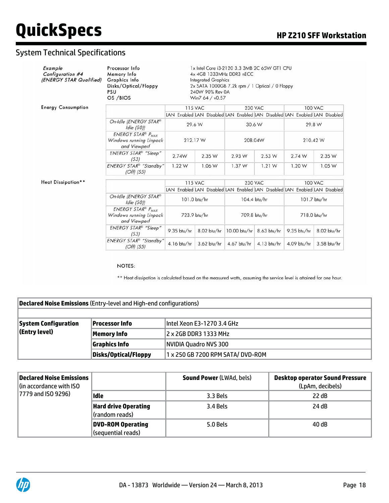#### System Technical Specifications

| Example<br>Configuration #4<br>(ENERGY STAR Qualified) | Processor Info<br>Memory Info<br>Graphics Info<br>Disks/Optical/Floppy<br>PSU<br>OS /BIOS  | 1x Intel Core i3-2120 3.3 3MB 2C 65W GT1 CPU<br>4x 4GB 1333MHz DDR3 nECC<br><b>Integrated Graphics</b><br>2x SATA 1000GB 7.2k rpm / 1 Optical / 0 Floppy<br>240W 90% Rev 0A<br>Win7 64 / v0.57 |                |                                                                            |               |               |                                                                            |
|--------------------------------------------------------|--------------------------------------------------------------------------------------------|------------------------------------------------------------------------------------------------------------------------------------------------------------------------------------------------|----------------|----------------------------------------------------------------------------|---------------|---------------|----------------------------------------------------------------------------|
| <b>Energy Consumption</b>                              |                                                                                            |                                                                                                                                                                                                | <b>115 VAC</b> | <b>230 VAC</b>                                                             |               |               | <b>100 VAC</b>                                                             |
|                                                        |                                                                                            |                                                                                                                                                                                                |                |                                                                            |               |               | LAN Enabled LAN Disabled LAN Enabled LAN Disabled LAN Enabled LAN Disabled |
|                                                        | On-Idle (ENERGY STAR®<br>$Idle$ (SO))                                                      |                                                                                                                                                                                                | 29.6 W         | 30.6 W                                                                     |               |               | 29.8 W                                                                     |
|                                                        | <b>ENERGY STAR® PMAX</b><br>Windows running Linpack<br>and Viewperf                        |                                                                                                                                                                                                | 212.17 W       |                                                                            | 208.04W       |               | 210.42 W                                                                   |
|                                                        | <b>ENERGY STAR®</b> "Sleep"<br>(S3)                                                        | 2.74W                                                                                                                                                                                          | 2.35 W         | 2.93 W                                                                     | 2.53 W        | 2.74 W        | 2.35 W                                                                     |
|                                                        | ENERGY STAR® "Standby"<br>$(Off)$ (S5)                                                     | 1.22 W                                                                                                                                                                                         | 1.06 W         | 1.37 W                                                                     | 1.21 W        | 1.20 W        | 1.05 W                                                                     |
| Heat Dissipation**                                     |                                                                                            |                                                                                                                                                                                                | <b>115 VAC</b> | <b>230 VAC</b>                                                             |               |               | <b>100 VAC</b>                                                             |
|                                                        |                                                                                            |                                                                                                                                                                                                |                | LAN Enabled LAN Disabled LAN Enabled LAN Disabled LAN Enabled LAN Disabled |               |               |                                                                            |
|                                                        | On-Idle (ENERGY STAR®<br>Idle (SO)                                                         |                                                                                                                                                                                                | 101.0 btu/hr   |                                                                            | 104.4 btu/hr  |               | 101.7 btu/hr                                                               |
|                                                        | <b>ENERGY STAR<sup>®</sup></b> P <sub>MAX</sub><br>Windows running Linpack<br>and Viewperf |                                                                                                                                                                                                | 723.9 btu/hr   |                                                                            | 709.8 btu/hr  |               | 718.0 btu/hr                                                               |
|                                                        | <b>ENERGY STAR®</b> "Sleep"<br>(S3)                                                        | 9.35 btu/hr                                                                                                                                                                                    | 8.02 btu/hr    | 10.00 btu/hr 8.63 btu/hr                                                   |               | $9.35$ btu/hr | 8.02 btu/hr                                                                |
|                                                        | ENERGY STAR <sup>®</sup> "Standby"<br>$(Off)$ (S5)                                         | 4.16 btu/hr                                                                                                                                                                                    | $3.62$ btu/hr  | $4.67$ btu/hr                                                              | $4.13$ btu/hr | 4.09 btu/hr   | 3.58 btu/hr                                                                |

NOTES:

\*\* Heat dissipation is calculated based on the measured watts, assuming the service level is attained for one hour.

| <b>Declared Noise Emissions</b> (Entry-level and High-end configurations) |                      |                                   |  |  |  |  |
|---------------------------------------------------------------------------|----------------------|-----------------------------------|--|--|--|--|
|                                                                           |                      |                                   |  |  |  |  |
| <b>System Configuration</b>                                               | Processor Info       | Intel Xeon E3-1270 3.4 GHz        |  |  |  |  |
| (Entry level)                                                             | Memory Info          | 2 x 2GB DDR3 1333 MHz             |  |  |  |  |
|                                                                           | Graphics Info        | NVIDIA Quadro NVS 300             |  |  |  |  |
|                                                                           | Disks/Optical/Floppy | 1 x 250 GB 7200 RPM SATA/ DVD-ROM |  |  |  |  |

| Declared Noise Emissions<br>(in accordance with ISO |                          | <b>Sound Power (LWAd, bels)</b> | <b>Desktop operator Sound Pressure</b><br>(LpAm, decibels) |
|-----------------------------------------------------|--------------------------|---------------------------------|------------------------------------------------------------|
| 7779 and ISO 9296)                                  | Idle                     | 3.3 Bels                        | 22 dB                                                      |
|                                                     | Hard drive Operating     | 3.4 Bels                        | 24 dB                                                      |
|                                                     | (random reads)           |                                 |                                                            |
|                                                     | <b>DVD-ROM Operating</b> | 5.0 Bels                        | 40 dB                                                      |
|                                                     | (sequential reads)       |                                 |                                                            |

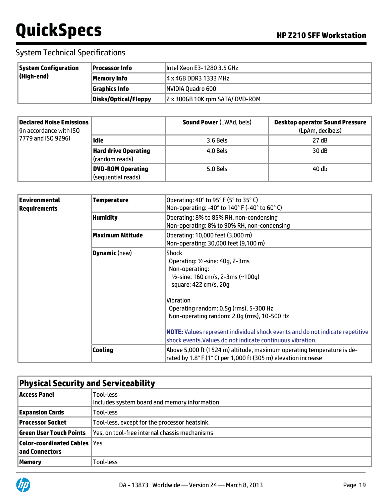| <b>System Configuration</b> | Processor Info       | Intel Xeon E3-1280 3.5 GHz     |
|-----------------------------|----------------------|--------------------------------|
| $\vert$ (High-end)          | Memory Info          | 4 x 4GB DDR3 1333 MHz          |
|                             | <b>Graphics Info</b> | NVIDIA Quadro 600              |
|                             | Disks/Optical/Floppy | 2 x 300GB 10K rpm SATA/DVD-ROM |

| Declared Noise Emissions<br>$\left  \right $ (in accordance with ISO |                             | <b>Sound Power (LWAd, bels)</b> | <b>Desktop operator Sound Pressure</b><br>(LpAm, decibels) |
|----------------------------------------------------------------------|-----------------------------|---------------------------------|------------------------------------------------------------|
| 7779 and ISO 9296)                                                   | Idle                        | 3.6 Bels                        | 27 dB                                                      |
|                                                                      | <b>Hard drive Operating</b> | 4.0 Bels                        | 30 dB                                                      |
|                                                                      | (random reads)              |                                 |                                                            |
|                                                                      | DVD-ROM Operating           | 5.0 Bels                        | 40 db                                                      |
|                                                                      | (sequential reads)          |                                 |                                                            |

| <b>Environmental</b><br><b>Requirements</b> | <b>Temperature</b>      | Operating: 40° to 95° F (5° to 35° C)<br>Non-operating: -40° to 140° F (-40° to 60° C)                                                                                                                                                                                                                                                                                                                |
|---------------------------------------------|-------------------------|-------------------------------------------------------------------------------------------------------------------------------------------------------------------------------------------------------------------------------------------------------------------------------------------------------------------------------------------------------------------------------------------------------|
|                                             | <b>Humidity</b>         | Operating: 8% to 85% RH, non-condensing<br>Non-operating: 8% to 90% RH, non-condensing                                                                                                                                                                                                                                                                                                                |
|                                             | <b>Maximum Altitude</b> | Operating: 10,000 feet (3,000 m)<br>Non-operating: 30,000 feet (9,100 m)                                                                                                                                                                                                                                                                                                                              |
|                                             | <b>Dynamic</b> (new)    | <b>Shock</b><br>Operating: 1/2-sine: 40g, 2-3ms<br>Non-operating:<br>$1/2$ -sine: 160 cm/s, 2-3ms (~100g)<br>square: 422 cm/s, 20g<br><b>Vibration</b><br>Operating random: 0.5g (rms), 5-300 Hz<br>Non-operating random: 2.0g (rms), 10-500 Hz<br><b>NOTE:</b> Values represent individual shock events and do not indicate repetitive<br>shock events. Values do not indicate continuous vibration. |
|                                             | <b>Cooling</b>          | Above 5,000 ft (1524 m) altitude, maximum operating temperature is de-<br>rated by 1.8° F (1° C) per 1,000 ft (305 m) elevation increase                                                                                                                                                                                                                                                              |

|                                                        | <b>Physical Security and Serviceability</b>               |  |  |  |
|--------------------------------------------------------|-----------------------------------------------------------|--|--|--|
| Access Panel                                           | Tool-less<br>Includes system board and memory information |  |  |  |
| <b>Expansion Cards</b>                                 | Tool-less                                                 |  |  |  |
| Processor Socket                                       | Tool-less, except for the processor heatsink.             |  |  |  |
| Green User Touch Points                                | Yes, on tool-free internal chassis mechanisms             |  |  |  |
| <b>Color-coordinated Cables  Yes</b><br>and Connectors |                                                           |  |  |  |
| Memory                                                 | Tool-less                                                 |  |  |  |

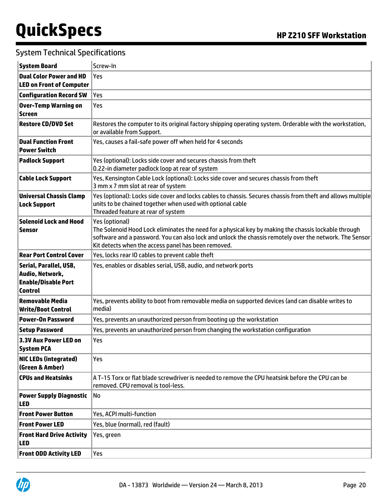| <b>System Board</b>                                                                       | Screw-In                                                                                                                                                                                                                                                                                 |  |  |  |  |
|-------------------------------------------------------------------------------------------|------------------------------------------------------------------------------------------------------------------------------------------------------------------------------------------------------------------------------------------------------------------------------------------|--|--|--|--|
| <b>Dual Color Power and HD</b>                                                            | Yes                                                                                                                                                                                                                                                                                      |  |  |  |  |
| <b>LED on Front of Computer</b>                                                           |                                                                                                                                                                                                                                                                                          |  |  |  |  |
| <b>Configuration Record SW</b>                                                            | Yes                                                                                                                                                                                                                                                                                      |  |  |  |  |
| <b>Over-Temp Warning on</b><br><b>Screen</b>                                              | Yes                                                                                                                                                                                                                                                                                      |  |  |  |  |
| <b>Restore CD/DVD Set</b>                                                                 | Restores the computer to its original factory shipping operating system. Orderable with the workstation,<br>or available from Support.                                                                                                                                                   |  |  |  |  |
| <b>Dual Function Front</b><br><b>Power Switch</b>                                         | Yes, causes a fail-safe power off when held for 4 seconds                                                                                                                                                                                                                                |  |  |  |  |
| <b>Padlock Support</b>                                                                    | Yes (optional): Locks side cover and secures chassis from theft<br>0.22-in diameter padlock loop at rear of system                                                                                                                                                                       |  |  |  |  |
| <b>Cable Lock Support</b>                                                                 | Yes, Kensington Cable Lock (optional): Locks side cover and secures chassis from theft<br>3 mm x 7 mm slot at rear of system                                                                                                                                                             |  |  |  |  |
| <b>Universal Chassis Clamp</b><br><b>Lock Support</b>                                     | Yes (optional): Locks side cover and locks cables to chassis. Secures chassis from theft and allows multiple<br>units to be chained together when used with optional cable<br>Threaded feature at rear of system                                                                         |  |  |  |  |
| <b>Solenoid Lock and Hood</b><br><b>Sensor</b>                                            | Yes (optional)<br>The Solenoid Hood Lock eliminates the need for a physical key by making the chassis lockable through<br>software and a password. You can also lock and unlock the chassis remotely over the network. The Sensor<br>Kit detects when the access panel has been removed. |  |  |  |  |
| <b>Rear Port Control Cover</b>                                                            | Yes, locks rear IO cables to prevent cable theft                                                                                                                                                                                                                                         |  |  |  |  |
| Serial, Parallel, USB,<br>Audio, Network,<br><b>Enable/Disable Port</b><br><b>Control</b> | Yes, enables or disables serial, USB, audio, and network ports                                                                                                                                                                                                                           |  |  |  |  |
| <b>Removable Media</b><br><b>Write/Boot Control</b>                                       | Yes, prevents ability to boot from removable media on supported devices (and can disable writes to<br>media)                                                                                                                                                                             |  |  |  |  |
| <b>Power-On Password</b>                                                                  | Yes, prevents an unauthorized person from booting up the workstation                                                                                                                                                                                                                     |  |  |  |  |
| <b>Setup Password</b>                                                                     | Yes, prevents an unauthorized person from changing the workstation configuration                                                                                                                                                                                                         |  |  |  |  |
| 3.3V Aux Power LED on<br><b>System PCA</b>                                                | Yes                                                                                                                                                                                                                                                                                      |  |  |  |  |
| <b>NIC LEDs (integrated)</b><br>(Green & Amber)                                           | Yes                                                                                                                                                                                                                                                                                      |  |  |  |  |
| <b>CPUs and Heatsinks</b>                                                                 | A T-15 Torx or flat blade screwdriver is needed to remove the CPU heatsink before the CPU can be<br>removed. CPU removal is tool-less.                                                                                                                                                   |  |  |  |  |
| <b>Power Supply Diagnostic</b><br>LED                                                     | No                                                                                                                                                                                                                                                                                       |  |  |  |  |
| <b>Front Power Button</b>                                                                 | Yes, ACPI multi-function                                                                                                                                                                                                                                                                 |  |  |  |  |
| <b>Front Power LED</b>                                                                    | Yes, blue (normal), red (fault)                                                                                                                                                                                                                                                          |  |  |  |  |
| <b>Front Hard Drive Activity</b><br><b>LED</b>                                            | Yes, green                                                                                                                                                                                                                                                                               |  |  |  |  |
|                                                                                           |                                                                                                                                                                                                                                                                                          |  |  |  |  |

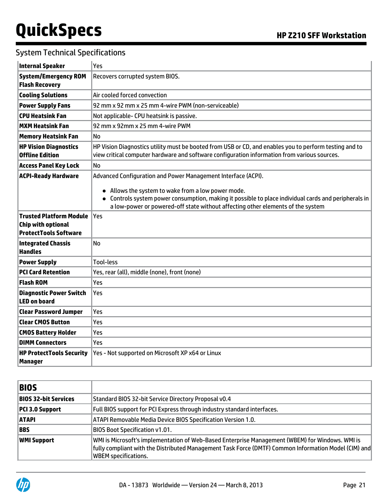| <b>Internal Speaker</b>                                                                     | Yes                                                                                                                                                                                                                                           |  |  |  |  |
|---------------------------------------------------------------------------------------------|-----------------------------------------------------------------------------------------------------------------------------------------------------------------------------------------------------------------------------------------------|--|--|--|--|
| <b>System/Emergency ROM</b><br><b>Flash Recovery</b>                                        | Recovers corrupted system BIOS.                                                                                                                                                                                                               |  |  |  |  |
| <b>Cooling Solutions</b>                                                                    | Air cooled forced convection                                                                                                                                                                                                                  |  |  |  |  |
| <b>Power Supply Fans</b>                                                                    | 92 mm x 92 mm x 25 mm 4-wire PWM (non-serviceable)                                                                                                                                                                                            |  |  |  |  |
| <b>CPU Heatsink Fan</b>                                                                     | Not applicable- CPU heatsink is passive.                                                                                                                                                                                                      |  |  |  |  |
| <b>MXM Heatsink Fan</b>                                                                     | 92 mm x 92mm x 25 mm 4-wire PWM                                                                                                                                                                                                               |  |  |  |  |
| <b>Memory Heatsink Fan</b>                                                                  | No                                                                                                                                                                                                                                            |  |  |  |  |
| <b>HP Vision Diagnostics</b><br><b>Offline Edition</b>                                      | HP Vision Diagnostics utility must be booted from USB or CD, and enables you to perform testing and to<br>view critical computer hardware and software configuration information from various sources.                                        |  |  |  |  |
| <b>Access Panel Key Lock</b>                                                                | No                                                                                                                                                                                                                                            |  |  |  |  |
| <b>ACPI-Ready Hardware</b>                                                                  | Advanced Configuration and Power Management Interface (ACPI).                                                                                                                                                                                 |  |  |  |  |
|                                                                                             | • Allows the system to wake from a low power mode.<br>• Controls system power consumption, making it possible to place individual cards and peripherals in<br>a low-power or powered-off state without affecting other elements of the system |  |  |  |  |
| <b>Trusted Platform Module</b><br><b>Chip with optional</b><br><b>ProtectTools Software</b> | Yes                                                                                                                                                                                                                                           |  |  |  |  |
| <b>Integrated Chassis</b><br><b>Handles</b>                                                 | <b>No</b>                                                                                                                                                                                                                                     |  |  |  |  |
| <b>Power Supply</b>                                                                         | <b>Tool-less</b>                                                                                                                                                                                                                              |  |  |  |  |
| <b>PCI Card Retention</b>                                                                   | Yes, rear (all), middle (none), front (none)                                                                                                                                                                                                  |  |  |  |  |
| <b>Flash ROM</b>                                                                            | Yes                                                                                                                                                                                                                                           |  |  |  |  |
| <b>Diagnostic Power Switch</b><br><b>LED on board</b>                                       | Yes                                                                                                                                                                                                                                           |  |  |  |  |
| <b>Clear Password Jumper</b>                                                                | Yes                                                                                                                                                                                                                                           |  |  |  |  |
| <b>Clear CMOS Button</b>                                                                    | Yes                                                                                                                                                                                                                                           |  |  |  |  |
| <b>CMOS Battery Holder</b>                                                                  | Yes                                                                                                                                                                                                                                           |  |  |  |  |
| <b>DIMM Connectors</b>                                                                      | Yes                                                                                                                                                                                                                                           |  |  |  |  |
| <b>HP ProtectTools Security</b><br><b>Manager</b>                                           | Yes - Not supported on Microsoft XP x64 or Linux                                                                                                                                                                                              |  |  |  |  |

| <b>BIOS</b>            |                                                                                                                                                                                                                                        |
|------------------------|----------------------------------------------------------------------------------------------------------------------------------------------------------------------------------------------------------------------------------------|
| BIOS 32-bit Services   | Standard BIOS 32-bit Service Directory Proposal v0.4                                                                                                                                                                                   |
| <b>PCI 3.0 Support</b> | Full BIOS support for PCI Express through industry standard interfaces.                                                                                                                                                                |
| <b>ATAPI</b>           | ATAPI Removable Media Device BIOS Specification Version 1.0.                                                                                                                                                                           |
| <b>BBS</b>             | <b>BIOS Boot Specification v1.01.</b>                                                                                                                                                                                                  |
| <b>WMI Support</b>     | WMI is Microsoft's implementation of Web-Based Enterprise Management (WBEM) for Windows. WMI is<br>fully compliant with the Distributed Management Task Force (DMTF) Common Information Model (CIM) and<br><b>WBEM</b> specifications. |

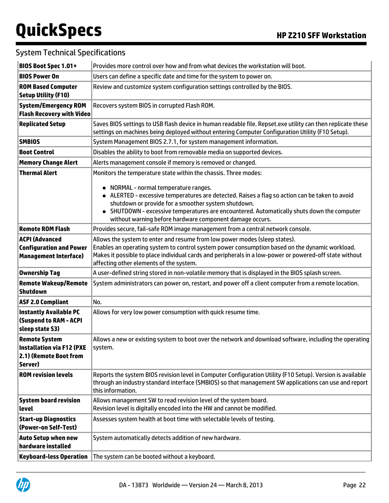| BIOS Boot Spec 1.01+                                                                          | Provides more control over how and from what devices the workstation will boot.                                                                                                                                                                                                                                                                                                                                           |  |  |  |  |
|-----------------------------------------------------------------------------------------------|---------------------------------------------------------------------------------------------------------------------------------------------------------------------------------------------------------------------------------------------------------------------------------------------------------------------------------------------------------------------------------------------------------------------------|--|--|--|--|
| <b>BIOS Power On</b>                                                                          | Users can define a specific date and time for the system to power on.                                                                                                                                                                                                                                                                                                                                                     |  |  |  |  |
| <b>ROM Based Computer</b><br><b>Setup Utility (F10)</b>                                       | Review and customize system configuration settings controlled by the BIOS.                                                                                                                                                                                                                                                                                                                                                |  |  |  |  |
| <b>System/Emergency ROM</b><br><b>Flash Recovery with Video</b>                               | Recovers system BIOS in corrupted Flash ROM.                                                                                                                                                                                                                                                                                                                                                                              |  |  |  |  |
| <b>Replicated Setup</b>                                                                       | Saves BIOS settings to USB flash device in human readable file. Repset.exe utility can then replicate these<br>settings on machines being deployed without entering Computer Configuration Utility (F10 Setup).                                                                                                                                                                                                           |  |  |  |  |
| <b>SMBIOS</b>                                                                                 | System Management BIOS 2.7.1, for system management information.                                                                                                                                                                                                                                                                                                                                                          |  |  |  |  |
| <b>Boot Control</b>                                                                           | Disables the ability to boot from removable media on supported devices.                                                                                                                                                                                                                                                                                                                                                   |  |  |  |  |
| <b>Memory Change Alert</b>                                                                    | Alerts management console if memory is removed or changed.                                                                                                                                                                                                                                                                                                                                                                |  |  |  |  |
| <b>Thermal Alert</b>                                                                          | Monitors the temperature state within the chassis. Three modes:<br>NORMAL - normal temperature ranges.<br>• ALERTED - excessive temperatures are detected. Raises a flag so action can be taken to avoid<br>shutdown or provide for a smoother system shutdown.<br>• SHUTDOWN - excessive temperatures are encountered. Automatically shuts down the computer<br>without warning before hardware component damage occurs. |  |  |  |  |
| <b>Remote ROM Flash</b>                                                                       | Provides secure, fail-safe ROM image management from a central network console.                                                                                                                                                                                                                                                                                                                                           |  |  |  |  |
| <b>ACPI (Advanced</b><br><b>Configuration and Power</b><br><b>Management Interface)</b>       | Allows the system to enter and resume from low power modes (sleep states).<br>Enables an operating system to control system power consumption based on the dynamic workload.<br>Makes it possible to place individual cards and peripherals in a low-power or powered-off state without<br>affecting other elements of the system.                                                                                        |  |  |  |  |
| <b>Ownership Tag</b>                                                                          | A user-defined string stored in non-volatile memory that is displayed in the BIOS splash screen.                                                                                                                                                                                                                                                                                                                          |  |  |  |  |
| <b>Remote Wakeup/Remote</b><br><b>Shutdown</b>                                                | System administrators can power on, restart, and power off a client computer from a remote location.                                                                                                                                                                                                                                                                                                                      |  |  |  |  |
| <b>ASF 2.0 Compliant</b>                                                                      | No.                                                                                                                                                                                                                                                                                                                                                                                                                       |  |  |  |  |
| <b>Instantly Available PC</b><br><b>(Suspend to RAM - ACPI</b><br>sleep state S3)             | Allows for very low power consumption with quick resume time.                                                                                                                                                                                                                                                                                                                                                             |  |  |  |  |
| <b>Remote System</b><br><b>Installation via F12 (PXE</b><br>2.1) (Remote Boot from<br>Server) | Allows a new or existing system to boot over the network and download software, including the operating<br>system.                                                                                                                                                                                                                                                                                                        |  |  |  |  |
| <b>ROM revision levels</b>                                                                    | Reports the system BIOS revision level in Computer Configuration Utility (F10 Setup). Version is available<br>through an industry standard interface (SMBIOS) so that management SW applications can use and report<br>this information.                                                                                                                                                                                  |  |  |  |  |
| <b>System board revision</b><br><b>level</b>                                                  | Allows management SW to read revision level of the system board.<br>Revision level is digitally encoded into the HW and cannot be modified.                                                                                                                                                                                                                                                                               |  |  |  |  |
| <b>Start-up Diagnostics</b><br>(Power-on Self-Test)                                           | Assesses system health at boot time with selectable levels of testing.                                                                                                                                                                                                                                                                                                                                                    |  |  |  |  |
| <b>Auto Setup when new</b><br>hardware installed                                              | System automatically detects addition of new hardware.                                                                                                                                                                                                                                                                                                                                                                    |  |  |  |  |
| <b>Keyboard-less Operation</b>                                                                | The system can be booted without a keyboard.                                                                                                                                                                                                                                                                                                                                                                              |  |  |  |  |

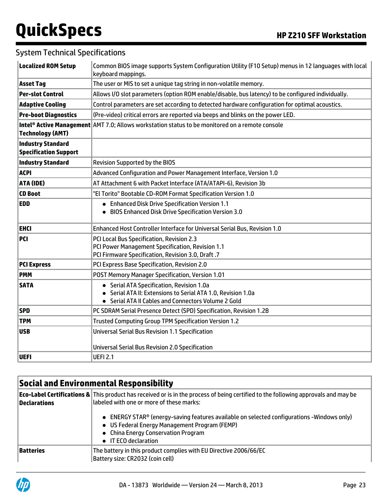#### System Technical Specifications

| The user or MIS to set a unique tag string in non-volatile memory.<br><b>Asset Tag</b><br>Allows I/O slot parameters (option ROM enable/disable, bus latency) to be configured individually.<br><b>Per-slot Control</b><br>Control parameters are set according to detected hardware configuration for optimal acoustics.<br><b>Adaptive Cooling</b><br><b>Pre-boot Diagnostics</b><br>(Pre-video) critical errors are reported via beeps and blinks on the power LED.<br>Intel® Active Management AMT 7.0; Allows workstation status to be monitored on a remote console<br><b>Technology (AMT)</b><br><b>Industry Standard</b><br><b>Specification Support</b><br><b>Industry Standard</b><br><b>Revision Supported by the BIOS</b><br><b>ACPI</b><br>Advanced Configuration and Power Management Interface, Version 1.0<br>ATA (IDE)<br>AT Attachment 6 with Packet Interface (ATA/ATAPI-6), Revision 3b<br><b>CD Boot</b><br>"El Torito" Bootable CD-ROM Format Specification Version 1.0<br><b>EDD</b><br>• Enhanced Disk Drive Specification Version 1.1<br>• BIOS Enhanced Disk Drive Specification Version 3.0<br>Enhanced Host Controller Interface for Universal Serial Bus, Revision 1.0<br><b>EHCI</b><br><b>PCI Local Bus Specification, Revision 2.3</b><br>PCI<br>PCI Power Management Specification, Revision 1.1<br>PCI Firmware Specification, Revision 3.0, Draft .7<br><b>PCI Express</b><br>PCI Express Base Specification, Revision 2.0<br><b>PMM</b><br>POST Memory Manager Specification, Version 1.01<br><b>SATA</b><br>• Serial ATA Specification, Revision 1.0a<br>• Serial ATA II: Extensions to Serial ATA 1.0, Revision 1.0a<br>• Serial ATA II Cables and Connectors Volume 2 Gold<br><b>SPD</b><br>PC SDRAM Serial Presence Detect (SPD) Specification, Revision 1.2B<br><b>TPM</b><br>Trusted Computing Group TPM Specification Version 1.2<br><b>Universal Serial Bus Revision 1.1 Specification</b><br><b>USB</b><br><b>Universal Serial Bus Revision 2.0 Specification</b> | <b>Localized ROM Setup</b> | Common BIOS image supports System Configuration Utility (F10 Setup) menus in 12 languages with local<br>keyboard mappings. |  |  |  |  |
|----------------------------------------------------------------------------------------------------------------------------------------------------------------------------------------------------------------------------------------------------------------------------------------------------------------------------------------------------------------------------------------------------------------------------------------------------------------------------------------------------------------------------------------------------------------------------------------------------------------------------------------------------------------------------------------------------------------------------------------------------------------------------------------------------------------------------------------------------------------------------------------------------------------------------------------------------------------------------------------------------------------------------------------------------------------------------------------------------------------------------------------------------------------------------------------------------------------------------------------------------------------------------------------------------------------------------------------------------------------------------------------------------------------------------------------------------------------------------------------------------------------------------------------------------------------------------------------------------------------------------------------------------------------------------------------------------------------------------------------------------------------------------------------------------------------------------------------------------------------------------------------------------------------------------------------------------------------------------------------------------------------|----------------------------|----------------------------------------------------------------------------------------------------------------------------|--|--|--|--|
|                                                                                                                                                                                                                                                                                                                                                                                                                                                                                                                                                                                                                                                                                                                                                                                                                                                                                                                                                                                                                                                                                                                                                                                                                                                                                                                                                                                                                                                                                                                                                                                                                                                                                                                                                                                                                                                                                                                                                                                                                |                            |                                                                                                                            |  |  |  |  |
|                                                                                                                                                                                                                                                                                                                                                                                                                                                                                                                                                                                                                                                                                                                                                                                                                                                                                                                                                                                                                                                                                                                                                                                                                                                                                                                                                                                                                                                                                                                                                                                                                                                                                                                                                                                                                                                                                                                                                                                                                |                            |                                                                                                                            |  |  |  |  |
|                                                                                                                                                                                                                                                                                                                                                                                                                                                                                                                                                                                                                                                                                                                                                                                                                                                                                                                                                                                                                                                                                                                                                                                                                                                                                                                                                                                                                                                                                                                                                                                                                                                                                                                                                                                                                                                                                                                                                                                                                |                            |                                                                                                                            |  |  |  |  |
|                                                                                                                                                                                                                                                                                                                                                                                                                                                                                                                                                                                                                                                                                                                                                                                                                                                                                                                                                                                                                                                                                                                                                                                                                                                                                                                                                                                                                                                                                                                                                                                                                                                                                                                                                                                                                                                                                                                                                                                                                |                            |                                                                                                                            |  |  |  |  |
|                                                                                                                                                                                                                                                                                                                                                                                                                                                                                                                                                                                                                                                                                                                                                                                                                                                                                                                                                                                                                                                                                                                                                                                                                                                                                                                                                                                                                                                                                                                                                                                                                                                                                                                                                                                                                                                                                                                                                                                                                |                            |                                                                                                                            |  |  |  |  |
|                                                                                                                                                                                                                                                                                                                                                                                                                                                                                                                                                                                                                                                                                                                                                                                                                                                                                                                                                                                                                                                                                                                                                                                                                                                                                                                                                                                                                                                                                                                                                                                                                                                                                                                                                                                                                                                                                                                                                                                                                |                            |                                                                                                                            |  |  |  |  |
|                                                                                                                                                                                                                                                                                                                                                                                                                                                                                                                                                                                                                                                                                                                                                                                                                                                                                                                                                                                                                                                                                                                                                                                                                                                                                                                                                                                                                                                                                                                                                                                                                                                                                                                                                                                                                                                                                                                                                                                                                |                            |                                                                                                                            |  |  |  |  |
|                                                                                                                                                                                                                                                                                                                                                                                                                                                                                                                                                                                                                                                                                                                                                                                                                                                                                                                                                                                                                                                                                                                                                                                                                                                                                                                                                                                                                                                                                                                                                                                                                                                                                                                                                                                                                                                                                                                                                                                                                |                            |                                                                                                                            |  |  |  |  |
|                                                                                                                                                                                                                                                                                                                                                                                                                                                                                                                                                                                                                                                                                                                                                                                                                                                                                                                                                                                                                                                                                                                                                                                                                                                                                                                                                                                                                                                                                                                                                                                                                                                                                                                                                                                                                                                                                                                                                                                                                |                            |                                                                                                                            |  |  |  |  |
|                                                                                                                                                                                                                                                                                                                                                                                                                                                                                                                                                                                                                                                                                                                                                                                                                                                                                                                                                                                                                                                                                                                                                                                                                                                                                                                                                                                                                                                                                                                                                                                                                                                                                                                                                                                                                                                                                                                                                                                                                |                            |                                                                                                                            |  |  |  |  |
|                                                                                                                                                                                                                                                                                                                                                                                                                                                                                                                                                                                                                                                                                                                                                                                                                                                                                                                                                                                                                                                                                                                                                                                                                                                                                                                                                                                                                                                                                                                                                                                                                                                                                                                                                                                                                                                                                                                                                                                                                |                            |                                                                                                                            |  |  |  |  |
|                                                                                                                                                                                                                                                                                                                                                                                                                                                                                                                                                                                                                                                                                                                                                                                                                                                                                                                                                                                                                                                                                                                                                                                                                                                                                                                                                                                                                                                                                                                                                                                                                                                                                                                                                                                                                                                                                                                                                                                                                |                            |                                                                                                                            |  |  |  |  |
|                                                                                                                                                                                                                                                                                                                                                                                                                                                                                                                                                                                                                                                                                                                                                                                                                                                                                                                                                                                                                                                                                                                                                                                                                                                                                                                                                                                                                                                                                                                                                                                                                                                                                                                                                                                                                                                                                                                                                                                                                |                            |                                                                                                                            |  |  |  |  |
|                                                                                                                                                                                                                                                                                                                                                                                                                                                                                                                                                                                                                                                                                                                                                                                                                                                                                                                                                                                                                                                                                                                                                                                                                                                                                                                                                                                                                                                                                                                                                                                                                                                                                                                                                                                                                                                                                                                                                                                                                |                            |                                                                                                                            |  |  |  |  |
|                                                                                                                                                                                                                                                                                                                                                                                                                                                                                                                                                                                                                                                                                                                                                                                                                                                                                                                                                                                                                                                                                                                                                                                                                                                                                                                                                                                                                                                                                                                                                                                                                                                                                                                                                                                                                                                                                                                                                                                                                |                            |                                                                                                                            |  |  |  |  |
|                                                                                                                                                                                                                                                                                                                                                                                                                                                                                                                                                                                                                                                                                                                                                                                                                                                                                                                                                                                                                                                                                                                                                                                                                                                                                                                                                                                                                                                                                                                                                                                                                                                                                                                                                                                                                                                                                                                                                                                                                |                            |                                                                                                                            |  |  |  |  |
|                                                                                                                                                                                                                                                                                                                                                                                                                                                                                                                                                                                                                                                                                                                                                                                                                                                                                                                                                                                                                                                                                                                                                                                                                                                                                                                                                                                                                                                                                                                                                                                                                                                                                                                                                                                                                                                                                                                                                                                                                |                            |                                                                                                                            |  |  |  |  |
|                                                                                                                                                                                                                                                                                                                                                                                                                                                                                                                                                                                                                                                                                                                                                                                                                                                                                                                                                                                                                                                                                                                                                                                                                                                                                                                                                                                                                                                                                                                                                                                                                                                                                                                                                                                                                                                                                                                                                                                                                |                            |                                                                                                                            |  |  |  |  |
|                                                                                                                                                                                                                                                                                                                                                                                                                                                                                                                                                                                                                                                                                                                                                                                                                                                                                                                                                                                                                                                                                                                                                                                                                                                                                                                                                                                                                                                                                                                                                                                                                                                                                                                                                                                                                                                                                                                                                                                                                |                            |                                                                                                                            |  |  |  |  |
|                                                                                                                                                                                                                                                                                                                                                                                                                                                                                                                                                                                                                                                                                                                                                                                                                                                                                                                                                                                                                                                                                                                                                                                                                                                                                                                                                                                                                                                                                                                                                                                                                                                                                                                                                                                                                                                                                                                                                                                                                | UEFI                       | <b>UEFI 2.1</b>                                                                                                            |  |  |  |  |

### **Social and Environmental Responsibility**

| Declarations | <b>Eco-Label Certifications &amp;</b> This product has received or is in the process of being certified to the following approvals and may be<br>llabeled with one or more of these marks:                         |  |  |
|--------------|--------------------------------------------------------------------------------------------------------------------------------------------------------------------------------------------------------------------|--|--|
|              | $\bullet$ ENERGY STAR® (energy-saving features available on selected configurations -Windows only)<br>• US Federal Energy Management Program (FEMP)<br>• China Energy Conservation Program<br>• IT ECO declaration |  |  |
| Batteries    | The battery in this product complies with EU Directive 2006/66/EC<br>Battery size: CR2032 (coin cell)                                                                                                              |  |  |

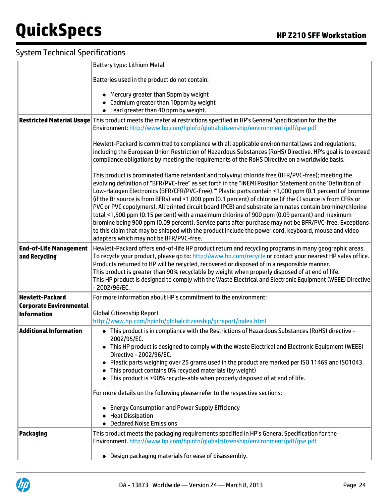|                                                                                | Battery type: Lithium Metal                                                                                                                                                                                                                                                                                                                                                                                                                                                                                                                                                                                                                                                                                                                                                                                                                                                                                       |  |  |  |  |  |
|--------------------------------------------------------------------------------|-------------------------------------------------------------------------------------------------------------------------------------------------------------------------------------------------------------------------------------------------------------------------------------------------------------------------------------------------------------------------------------------------------------------------------------------------------------------------------------------------------------------------------------------------------------------------------------------------------------------------------------------------------------------------------------------------------------------------------------------------------------------------------------------------------------------------------------------------------------------------------------------------------------------|--|--|--|--|--|
|                                                                                | Batteries used in the product do not contain:                                                                                                                                                                                                                                                                                                                                                                                                                                                                                                                                                                                                                                                                                                                                                                                                                                                                     |  |  |  |  |  |
|                                                                                | • Mercury greater than 5ppm by weight<br>• Cadmium greater than 10ppm by weight<br>• Lead greater than 40 ppm by weight.                                                                                                                                                                                                                                                                                                                                                                                                                                                                                                                                                                                                                                                                                                                                                                                          |  |  |  |  |  |
|                                                                                | Restricted Material Usage This product meets the material restrictions specified in HP's General Specification for the the<br>Environment: http://www.hp.com/hpinfo/globalcitizenship/environment/pdf/gse.pdf                                                                                                                                                                                                                                                                                                                                                                                                                                                                                                                                                                                                                                                                                                     |  |  |  |  |  |
|                                                                                | Hewlett-Packard is committed to compliance with all applicable environmental laws and regulations,<br>including the European Union Restriction of Hazardous Substances (RoHS) Directive. HP's goal is to exceed<br>compliance obligations by meeting the requirements of the RoHS Directive on a worldwide basis.                                                                                                                                                                                                                                                                                                                                                                                                                                                                                                                                                                                                 |  |  |  |  |  |
|                                                                                | This product is brominated flame retardant and polyvinyl chloride free (BFR/PVC-free); meeting the<br>evolving definition of "BFR/PVC-free" as set forth in the "iNEMI Position Statement on the 'Definition of<br>Low-Halogen Electronics (BFR/CFR/PVC-Free)." Plastic parts contain <1,000 ppm (0.1 percent) of bromine<br>(if the Br source is from BFRs) and <1,000 ppm (0.1 percent) of chlorine (if the Cl source is from CFRs or<br>PVC or PVC copolymers). All printed circuit board (PCB) and substrate laminates contain bromine/chlorine<br>total <1,500 ppm (0.15 percent) with a maximum chlorine of 900 ppm (0.09 percent) and maximum<br>bromine being 900 ppm (0.09 percent). Service parts after purchase may not be BFR/PVC-free. Exceptions<br>to this claim that may be shipped with the product include the power cord, keyboard, mouse and video<br>adapters which may not be BFR/PVC-free. |  |  |  |  |  |
| <b>End-of-Life Management</b><br>and Recycling                                 | Hewlett-Packard offers end-of-life HP product return and recycling programs in many geographic areas.<br>To recycle your product, please go to: http://www.hp.com/recycle or contact your nearest HP sales office.<br>Products returned to HP will be recycled, recovered or disposed of in a responsible manner.<br>This product is greater than 90% recyclable by weight when properly disposed of at end of life.<br>This HP product is designed to comply with the Waste Electrical and Electronic Equipment (WEEE) Directive<br>- 2002/96/EC.                                                                                                                                                                                                                                                                                                                                                                |  |  |  |  |  |
| <b>Hewlett-Packard</b><br><b>Corporate Environmental</b><br><b>Information</b> | For more information about HP's commitment to the environment:<br><b>Global Citizenship Report</b>                                                                                                                                                                                                                                                                                                                                                                                                                                                                                                                                                                                                                                                                                                                                                                                                                |  |  |  |  |  |
|                                                                                | http://www.hp.com/hpinfo/globalcitizenship/gcreport/index.html                                                                                                                                                                                                                                                                                                                                                                                                                                                                                                                                                                                                                                                                                                                                                                                                                                                    |  |  |  |  |  |
| <b>Additional Information</b>                                                  | • This product is in compliance with the Restrictions of Hazardous Substances (RoHS) directive -<br>2002/95/EC.<br>This HP product is designed to comply with the Waste Electrical and Electronic Equipment (WEEE)                                                                                                                                                                                                                                                                                                                                                                                                                                                                                                                                                                                                                                                                                                |  |  |  |  |  |
|                                                                                | Directive - 2002/96/EC.<br>Plastic parts weighing over 25 grams used in the product are marked per ISO 11469 and ISO1043.<br>This product contains 0% recycled materials (by weight)                                                                                                                                                                                                                                                                                                                                                                                                                                                                                                                                                                                                                                                                                                                              |  |  |  |  |  |
|                                                                                | • This product is >90% recycle-able when properly disposed of at end of life.                                                                                                                                                                                                                                                                                                                                                                                                                                                                                                                                                                                                                                                                                                                                                                                                                                     |  |  |  |  |  |
|                                                                                | For more details on the following please refer to the respective sections:                                                                                                                                                                                                                                                                                                                                                                                                                                                                                                                                                                                                                                                                                                                                                                                                                                        |  |  |  |  |  |
|                                                                                | <b>Energy Consumption and Power Supply Efficiency</b><br><b>Heat Dissipation</b><br>• Declared Noise Emissions                                                                                                                                                                                                                                                                                                                                                                                                                                                                                                                                                                                                                                                                                                                                                                                                    |  |  |  |  |  |
| <b>Packaging</b>                                                               | This product meets the packaging requirements specified in HP's General Specification for the<br>Environment. http://www.hp.com/hpinfo/globalcitizenship/environment/pdf/gse.pdf                                                                                                                                                                                                                                                                                                                                                                                                                                                                                                                                                                                                                                                                                                                                  |  |  |  |  |  |
|                                                                                | Design packaging materials for ease of disassembly.<br>$\bullet$                                                                                                                                                                                                                                                                                                                                                                                                                                                                                                                                                                                                                                                                                                                                                                                                                                                  |  |  |  |  |  |

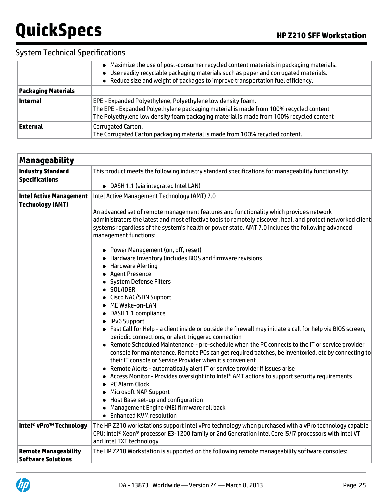|                            | • Maximize the use of post-consumer recycled content materials in packaging materials.<br>• Use readily recyclable packaging materials such as paper and corrugated materials.<br>• Reduce size and weight of packages to improve transportation fuel efficiency. |
|----------------------------|-------------------------------------------------------------------------------------------------------------------------------------------------------------------------------------------------------------------------------------------------------------------|
| <b>Packaging Materials</b> |                                                                                                                                                                                                                                                                   |
| ∣Internal                  | EPE - Expanded Polyethylene, Polyethylene low density foam.<br>The EPE - Expanded Polyethylene packaging material is made from 100% recycled content<br>The Polyethylene low density foam packaging material is made from 100% recycled content                   |
| External                   | Corrugated Carton.<br>The Corrugated Carton packaging material is made from 100% recycled content.                                                                                                                                                                |

| <b>Manageability</b>                                      |                                                                                                                                                                                                                                                                                                                                                                                                                                                                                                                                                                                                                                                                                                                                                                                                                                                                                                                                                                                                                                                                                                                                                                                                                                                                                                                                                                                                                                                                            |  |  |  |  |  |
|-----------------------------------------------------------|----------------------------------------------------------------------------------------------------------------------------------------------------------------------------------------------------------------------------------------------------------------------------------------------------------------------------------------------------------------------------------------------------------------------------------------------------------------------------------------------------------------------------------------------------------------------------------------------------------------------------------------------------------------------------------------------------------------------------------------------------------------------------------------------------------------------------------------------------------------------------------------------------------------------------------------------------------------------------------------------------------------------------------------------------------------------------------------------------------------------------------------------------------------------------------------------------------------------------------------------------------------------------------------------------------------------------------------------------------------------------------------------------------------------------------------------------------------------------|--|--|--|--|--|
| <b>Industry Standard</b><br><b>Specifications</b>         | This product meets the following industry standard specifications for manageability functionality:<br>• DASH 1.1 (via integrated Intel LAN)                                                                                                                                                                                                                                                                                                                                                                                                                                                                                                                                                                                                                                                                                                                                                                                                                                                                                                                                                                                                                                                                                                                                                                                                                                                                                                                                |  |  |  |  |  |
| <b>Intel Active Management</b><br><b>Technology (AMT)</b> | Intel Active Management Technology (AMT) 7.0<br>An advanced set of remote management features and functionality which provides network<br>administrators the latest and most effective tools to remotely discover, heal, and protect networked client<br>systems regardless of the system's health or power state. AMT 7.0 includes the following advanced<br>management functions:<br>• Power Management (on, off, reset)<br>• Hardware Inventory (includes BIOS and firmware revisions<br>• Hardware Alerting<br>• Agent Presence<br>• System Defense Filters<br>• SOL/IDER<br>• Cisco NAC/SDN Support<br>• ME Wake-on-LAN<br>• DASH 1.1 compliance<br>• IPv6 Support<br>• Fast Call for Help - a client inside or outside the firewall may initiate a call for help via BIOS screen,<br>periodic connections, or alert triggered connection<br>• Remote Scheduled Maintenance - pre-schedule when the PC connects to the IT or service provider<br>console for maintenance. Remote PCs can get required patches, be inventoried, etc by connecting to<br>their IT console or Service Provider when it's convenient<br>• Remote Alerts - automatically alert IT or service provider if issues arise<br>• Access Monitor - Provides oversight into Intel® AMT actions to support security requirements<br>• PC Alarm Clock<br>• Microsoft NAP Support<br>• Host Base set-up and configuration<br>• Management Engine (ME) firmware roll back<br>• Enhanced KVM resolution |  |  |  |  |  |
| Intel® vPro™ Technology                                   | The HP Z210 workstations support Intel vPro technology when purchased with a vPro technology capable<br>CPU: Intel® Xeon® processor E3-1200 family or 2nd Generation Intel Core i5/i7 processors with Intel VT<br>and Intel TXT technology                                                                                                                                                                                                                                                                                                                                                                                                                                                                                                                                                                                                                                                                                                                                                                                                                                                                                                                                                                                                                                                                                                                                                                                                                                 |  |  |  |  |  |
| <b>Remote Manageability</b><br>Software Solutions         | The HP Z210 Workstation is supported on the following remote manageability software consoles:                                                                                                                                                                                                                                                                                                                                                                                                                                                                                                                                                                                                                                                                                                                                                                                                                                                                                                                                                                                                                                                                                                                                                                                                                                                                                                                                                                              |  |  |  |  |  |

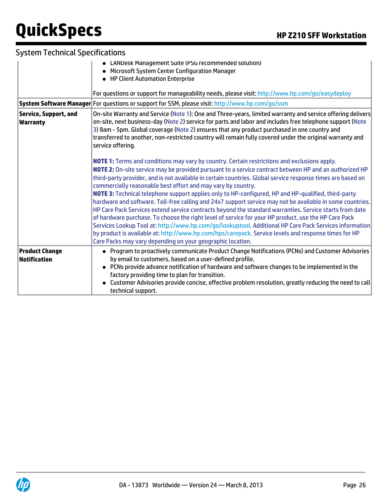|                                                 | • LANDesk Management Suite (PSG recommended solution)<br>• Microsoft System Center Configuration Manager<br>• HP Client Automation Enterprise<br>For questions or support for manageability needs, please visit: http://www.hp.com/go/easydeploy<br>System Software Manager For questions or support for SSM, please visit: http://www.hp.com/go/ssm                                                                                                                                                                                                                                                                                                                                                                                                                                                                                                                                                                                                                                                                                                                                                         |
|-------------------------------------------------|--------------------------------------------------------------------------------------------------------------------------------------------------------------------------------------------------------------------------------------------------------------------------------------------------------------------------------------------------------------------------------------------------------------------------------------------------------------------------------------------------------------------------------------------------------------------------------------------------------------------------------------------------------------------------------------------------------------------------------------------------------------------------------------------------------------------------------------------------------------------------------------------------------------------------------------------------------------------------------------------------------------------------------------------------------------------------------------------------------------|
| <b>Service, Support, and</b><br><b>Warranty</b> | On-site Warranty and Service (Note 1): One and Three-years, limited warranty and service offering delivers<br>on-site, next business-day (Note 2) service for parts and labor and includes free telephone support (Note<br>3) 8am - 5pm. Global coverage (Note 2) ensures that any product purchased in one country and<br>transferred to another, non-restricted country will remain fully covered under the original warranty and<br>service offering.                                                                                                                                                                                                                                                                                                                                                                                                                                                                                                                                                                                                                                                     |
|                                                 | NOTE 1: Terms and conditions may vary by country. Certain restrictions and exclusions apply.<br>NOTE 2: On-site service may be provided pursuant to a service contract between HP and an authorized HP<br>third-party provider, and is not available in certain countries. Global service response times are based on<br>commercially reasonable best effort and may vary by country.<br>NOTE 3: Technical telephone support applies only to HP-configured, HP and HP-qualified, third-party<br>hardware and software. Toll-free calling and 24x7 support service may not be available in some countries.<br>HP Care Pack Services extend service contracts beyond the standard warranties. Service starts from date<br>of hardware purchase. To choose the right level of service for your HP product, use the HP Care Pack<br>Services Lookup Tool at: http://www.hp.com/go/lookuptool. Additional HP Care Pack Services information<br>by product is available at: http://www.hp.com/hps/carepack. Service levels and response times for HP<br>Care Packs may vary depending on your geographic location. |
| <b>Product Change</b><br>Notification           | • Program to proactively communicate Product Change Notifications (PCNs) and Customer Advisories<br>by email to customers, based on a user-defined profile.<br>• PCNs provide advance notification of hardware and software changes to be implemented in the<br>factory providing time to plan for transition.<br>Customer Advisories provide concise, effective problem resolution, greatly reducing the need to call<br>technical support.                                                                                                                                                                                                                                                                                                                                                                                                                                                                                                                                                                                                                                                                 |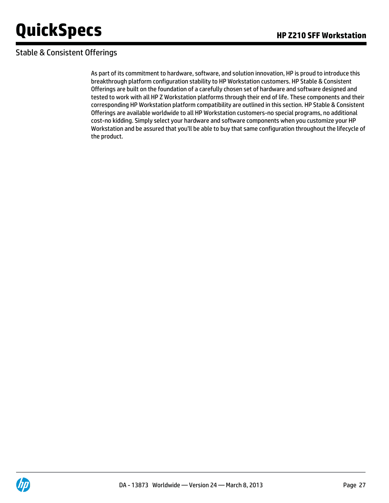### Stable & Consistent Offerings

As part of its commitment to hardware, software, and solution innovation, HP is proud to introduce this breakthrough platform configuration stability to HP Workstation customers. HP Stable & Consistent Offerings are built on the foundation of a carefully chosen set of hardware and software designed and tested to work with all HP Z Workstation platforms through their end of life. These components and their corresponding HP Workstation platform compatibility are outlined in this section. HP Stable & Consistent Offerings are available worldwide to all HP Workstation customers-no special programs, no additional cost-no kidding. Simply select your hardware and software components when you customize your HP Workstation and be assured that you'll be able to buy that same configuration throughout the lifecycle of the product.

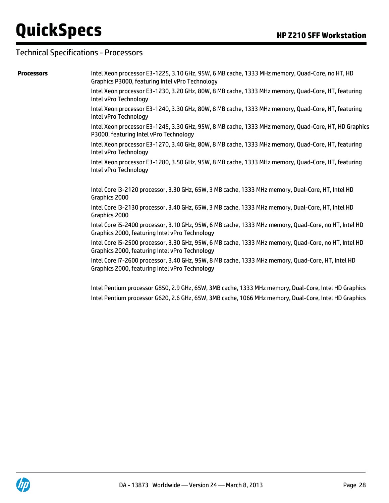#### Technical Specifications - Processors

**Processors** Intel Xeon processor E3-1225, 3.10 GHz, 95W, 6 MB cache, 1333 MHz memory, Quad-Core, no HT, HD Graphics P3000, featuring Intel vPro Technology

> Intel Xeon processor E3-1230, 3.20 GHz, 80W, 8 MB cache, 1333 MHz memory, Quad-Core, HT, featuring Intel vPro Technology

> Intel Xeon processor E3-1240, 3.30 GHz, 80W, 8 MB cache, 1333 MHz memory, Quad-Core, HT, featuring Intel vPro Technology

Intel Xeon processor E3-1245, 3.30 GHz, 95W, 8 MB cache, 1333 MHz memory, Quad-Core, HT, HD Graphics P3000, featuring Intel vPro Technology

Intel Xeon processor E3-1270, 3.40 GHz, 80W, 8 MB cache, 1333 MHz memory, Quad-Core, HT, featuring Intel vPro Technology

Intel Xeon processor E3-1280, 3.50 GHz, 95W, 8 MB cache, 1333 MHz memory, Quad-Core, HT, featuring Intel vPro Technology

Intel Core i3-2120 processor, 3.30 GHz, 65W, 3 MB cache, 1333 MHz memory, Dual-Core, HT, Intel HD Graphics 2000

Intel Core i3-2130 processor, 3.40 GHz, 65W, 3 MB cache, 1333 MHz memory, Dual-Core, HT, Intel HD Graphics 2000

Intel Core i5-2400 processor, 3.10 GHz, 95W, 6 MB cache, 1333 MHz memory, Quad-Core, no HT, Intel HD Graphics 2000, featuring Intel vPro Technology

Intel Core i5-2500 processor, 3.30 GHz, 95W, 6 MB cache, 1333 MHz memory, Quad-Core, no HT, Intel HD Graphics 2000, featuring Intel vPro Technology

Intel Core i7-2600 processor, 3.40 GHz, 95W, 8 MB cache, 1333 MHz memory, Quad-Core, HT, Intel HD Graphics 2000, featuring Intel vPro Technology

Intel Pentium processor G850, 2.9 GHz, 65W, 3MB cache, 1333 MHz memory, Dual-Core, Intel HD Graphics Intel Pentium processor G620, 2.6 GHz, 65W, 3MB cache, 1066 MHz memory, Dual-Core, Intel HD Graphics

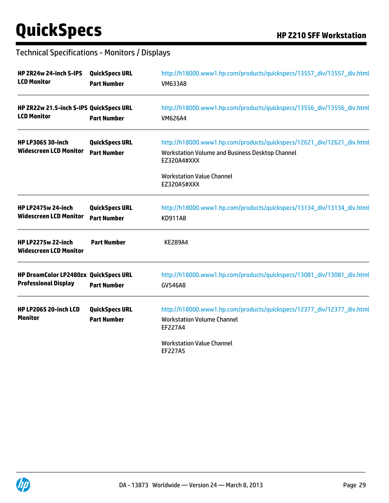### Technical Specifications - Monitors / Displays

| HP ZR24w 24-inch S-IPS<br><b>LCD Monitor</b>                         | <b>QuickSpecs URL</b><br><b>Part Number</b> | http://h18000.www1.hp.com/products/quickspecs/13557_div/13557_div.html<br><b>VM633A8</b>                                                 |  |  |  |
|----------------------------------------------------------------------|---------------------------------------------|------------------------------------------------------------------------------------------------------------------------------------------|--|--|--|
| HP ZR22w 21.5-inch S-IPS QuickSpecs URL<br><b>LCD Monitor</b>        | <b>Part Number</b>                          | http://h18000.www1.hp.com/products/quickspecs/13556_div/13556_div.html<br><b>VM626A4</b>                                                 |  |  |  |
| <b>HP LP3065 30-inch</b><br><b>Widescreen LCD Monitor</b>            | <b>QuickSpecs URL</b><br><b>Part Number</b> | http://h18000.www1.hp.com/products/quickspecs/12621_div/12621_div.html<br>Workstation Volume and Business Desktop Channel<br>EZ320A4#XXX |  |  |  |
|                                                                      |                                             | <b>Workstation Value Channel</b><br>EZ320A5#XXX                                                                                          |  |  |  |
| <b>HP LP2475w 24-inch</b><br><b>Widescreen LCD Monitor</b>           | <b>QuickSpecs URL</b><br><b>Part Number</b> | http://h18000.www1.hp.com/products/quickspecs/13134_div/13134_div.html<br>KD911A8                                                        |  |  |  |
| <b>HP LP2275w 22-inch</b><br><b>Widescreen LCD Monitor</b>           | <b>Part Number</b>                          | <b>KE289A4</b>                                                                                                                           |  |  |  |
| HP DreamColor LP2480zx QuickSpecs URL<br><b>Professional Display</b> | <b>Part Number</b>                          | http://h18000.www1.hp.com/products/quickspecs/13081_div/13081_div.html<br><b>GV546A8</b>                                                 |  |  |  |
| HP LP2065 20-inch LCD<br><b>Monitor</b>                              | <b>QuickSpecs URL</b><br><b>Part Number</b> | http://h18000.www1.hp.com/products/quickspecs/12377_div/12377_div.html<br><b>Workstation Volume Channel</b><br>EF227A4                   |  |  |  |
|                                                                      |                                             | <b>Workstation Value Channel</b><br><b>EF227A5</b>                                                                                       |  |  |  |

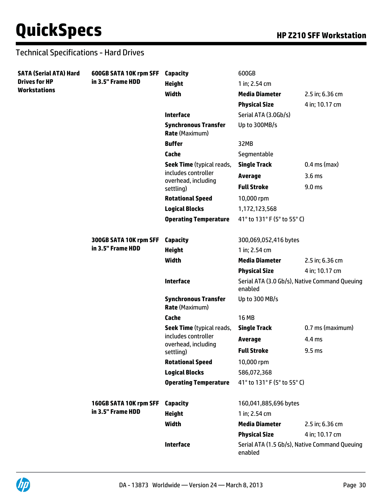#### Technical Specifications - Hard Drives

| <b>SATA (Serial ATA) Hard</b><br><b>Drives for HP</b><br><b>Workstations</b> | 600GB SATA 10K rpm SFF<br>in 3.5" Frame HDD | <b>Capacity</b>                                         | 600GB                       |                                               |
|------------------------------------------------------------------------------|---------------------------------------------|---------------------------------------------------------|-----------------------------|-----------------------------------------------|
|                                                                              |                                             | <b>Height</b>                                           | 1 in; 2.54 cm               |                                               |
|                                                                              |                                             | Width                                                   | <b>Media Diameter</b>       | 2.5 in; 6.36 cm                               |
|                                                                              |                                             |                                                         | <b>Physical Size</b>        | 4 in; 10.17 cm                                |
|                                                                              |                                             | <b>Interface</b>                                        | Serial ATA (3.0Gb/s)        |                                               |
|                                                                              |                                             | <b>Synchronous Transfer</b><br><b>Rate (Maximum)</b>    | Up to 300MB/s               |                                               |
|                                                                              |                                             | <b>Buffer</b>                                           | 32MB                        |                                               |
|                                                                              |                                             | Cache                                                   | Segmentable                 |                                               |
|                                                                              |                                             | Seek Time (typical reads,                               | <b>Single Track</b>         | $0.4$ ms (max)                                |
|                                                                              |                                             | includes controller                                     | <b>Average</b>              | 3.6 <sub>ms</sub>                             |
|                                                                              |                                             | overhead, including<br>settling)                        | <b>Full Stroke</b>          | 9.0 <sub>ms</sub>                             |
|                                                                              |                                             | <b>Rotational Speed</b>                                 | 10,000 rpm                  |                                               |
|                                                                              |                                             | <b>Logical Blocks</b>                                   | 1,172,123,568               |                                               |
|                                                                              |                                             | <b>Operating Temperature</b>                            | 41° to 131° F (5° to 55° C) |                                               |
|                                                                              | 300GB SATA 10K rpm SFF                      | <b>Capacity</b>                                         | 300,069,052,416 bytes       |                                               |
|                                                                              | in 3.5" Frame HDD                           | <b>Height</b>                                           | 1 in; 2.54 cm               |                                               |
|                                                                              |                                             | Width                                                   | <b>Media Diameter</b>       | 2.5 in; 6.36 cm                               |
|                                                                              |                                             |                                                         | <b>Physical Size</b>        | 4 in; 10.17 cm                                |
|                                                                              |                                             | <b>Interface</b>                                        | enabled                     | Serial ATA (3.0 Gb/s), Native Command Queuing |
|                                                                              |                                             | <b>Synchronous Transfer</b><br><b>Rate (Maximum)</b>    | Up to 300 MB/s              |                                               |
|                                                                              |                                             | Cache                                                   | <b>16 MB</b>                |                                               |
|                                                                              |                                             | Seek Time (typical reads,                               | <b>Single Track</b>         | 0.7 ms (maximum)                              |
|                                                                              |                                             | includes controller<br>overhead, including<br>settling) | <b>Average</b>              | 4.4 ms                                        |
|                                                                              |                                             |                                                         | <b>Full Stroke</b>          | 9.5 <sub>ms</sub>                             |
|                                                                              |                                             | <b>Rotational Speed</b>                                 | 10,000 rpm                  |                                               |
|                                                                              |                                             | <b>Logical Blocks</b>                                   | 586,072,368                 |                                               |
|                                                                              |                                             | <b>Operating Temperature</b>                            | 41° to 131° F (5° to 55° C) |                                               |
|                                                                              | 160GB SATA 10K rpm SFF<br>in 3.5" Frame HDD | <b>Capacity</b>                                         | 160,041,885,696 bytes       |                                               |
|                                                                              |                                             | <b>Height</b>                                           | 1 in; 2.54 cm               |                                               |
|                                                                              |                                             | Width                                                   | <b>Media Diameter</b>       | 2.5 in; 6.36 cm                               |
|                                                                              |                                             |                                                         | <b>Physical Size</b>        | 4 in; 10.17 cm                                |
|                                                                              |                                             | <b>Interface</b>                                        | enabled                     | Serial ATA (1.5 Gb/s), Native Command Queuing |

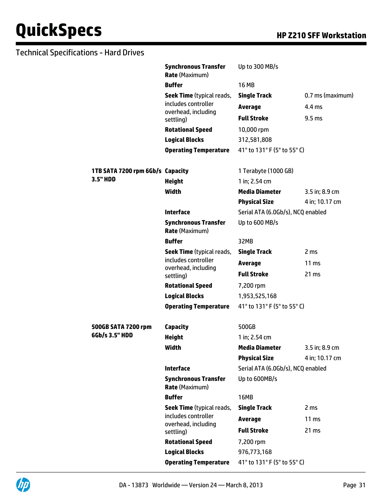#### Technical Specifications - Hard Drives

|                                              | <b>Synchronous Transfer</b><br><b>Rate (Maximum)</b>    | Up to 300 MB/s                    |                   |
|----------------------------------------------|---------------------------------------------------------|-----------------------------------|-------------------|
|                                              | <b>Buffer</b>                                           | <b>16 MB</b>                      |                   |
|                                              | <b>Seek Time</b> (typical reads,                        | <b>Single Track</b>               | 0.7 ms (maximum)  |
|                                              | includes controller                                     | <b>Average</b>                    | 4.4 ms            |
|                                              | overhead, including<br>settling)                        | <b>Full Stroke</b>                | 9.5 <sub>ms</sub> |
|                                              | <b>Rotational Speed</b>                                 | 10,000 rpm                        |                   |
|                                              | <b>Logical Blocks</b>                                   | 312,581,808                       |                   |
|                                              | <b>Operating Temperature</b>                            | 41° to 131° F (5° to 55° C)       |                   |
|                                              |                                                         |                                   |                   |
| 1TB SATA 7200 rpm 6Gb/s Capacity<br>3.5" HDD |                                                         | 1 Terabyte (1000 GB)              |                   |
|                                              | <b>Height</b>                                           | 1 in; 2.54 cm                     |                   |
|                                              | Width                                                   | <b>Media Diameter</b>             | 3.5 in; 8.9 cm    |
|                                              |                                                         | <b>Physical Size</b>              | 4 in; 10.17 cm    |
|                                              | <b>Interface</b>                                        | Serial ATA (6.0Gb/s), NCQ enabled |                   |
|                                              | <b>Synchronous Transfer</b><br><b>Rate (Maximum)</b>    | Up to 600 MB/s                    |                   |
|                                              | <b>Buffer</b>                                           | 32MB                              |                   |
|                                              | <b>Seek Time</b> (typical reads,<br>includes controller | <b>Single Track</b>               | 2 ms              |
|                                              |                                                         | <b>Average</b>                    | $11 \text{ ms}$   |
|                                              | overhead, including<br>settling)                        | <b>Full Stroke</b>                | 21 ms             |
|                                              | <b>Rotational Speed</b>                                 | 7,200 rpm                         |                   |
|                                              | <b>Logical Blocks</b>                                   | 1,953,525,168                     |                   |
|                                              | <b>Operating Temperature</b>                            | 41° to 131° F (5° to 55° C)       |                   |
| 500GB SATA 7200 rpm                          | <b>Capacity</b>                                         | 500GB                             |                   |
| 6Gb/s 3.5" HDD                               | <b>Height</b>                                           | 1 in; 2.54 cm                     |                   |
|                                              | Width                                                   | <b>Media Diameter</b>             | 3.5 in; 8.9 cm    |
|                                              |                                                         | <b>Physical Size</b>              | 4 in; 10.17 cm    |
|                                              | <b>Interface</b>                                        | Serial ATA (6.0Gb/s), NCQ enabled |                   |
|                                              | <b>Synchronous Transfer</b><br><b>Rate (Maximum)</b>    | Up to 600MB/s                     |                   |
|                                              | <b>Buffer</b>                                           | 16MB                              |                   |
|                                              | <b>Seek Time</b> (typical reads,                        | <b>Single Track</b>               | 2 ms              |
|                                              | includes controller                                     | Average                           | 11 <sub>ms</sub>  |
|                                              | overhead, including<br>settling)                        | <b>Full Stroke</b>                | 21 ms             |
|                                              | <b>Rotational Speed</b>                                 | 7,200 rpm                         |                   |
|                                              | <b>Logical Blocks</b>                                   | 976,773,168                       |                   |
|                                              | <b>Operating Temperature</b>                            | 41° to 131° F (5° to 55° C)       |                   |

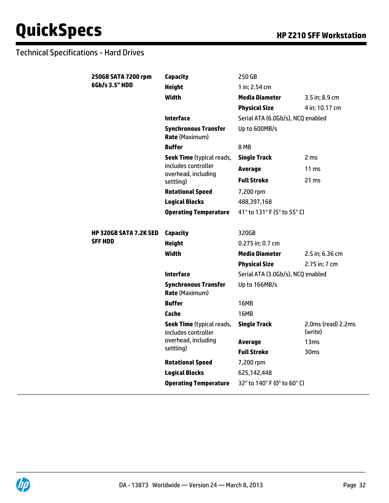### Technical Specifications - Hard Drives

| 250GB SATA 7200 rpm           | <b>Capacity</b>                                         | 250 GB                            |                                   |
|-------------------------------|---------------------------------------------------------|-----------------------------------|-----------------------------------|
| 6Gb/s 3.5" HDD                | <b>Height</b>                                           | 1 in; 2.54 cm                     |                                   |
|                               | <b>Width</b>                                            | <b>Media Diameter</b>             | 3.5 in; 8.9 cm                    |
|                               |                                                         | <b>Physical Size</b>              | 4 in; 10.17 cm                    |
|                               | <b>Interface</b>                                        | Serial ATA (6.0Gb/s), NCQ enabled |                                   |
|                               | <b>Synchronous Transfer</b><br><b>Rate (Maximum)</b>    | Up to 600MB/s                     |                                   |
|                               | <b>Buffer</b>                                           | 8 MB                              |                                   |
|                               | <b>Seek Time</b> (typical reads,                        | <b>Single Track</b>               | 2 <sub>ms</sub>                   |
|                               | includes controller<br>overhead, including              | <b>Average</b>                    | 11 <sub>ms</sub>                  |
|                               | settling)                                               | <b>Full Stroke</b>                | 21 ms                             |
|                               | <b>Rotational Speed</b>                                 | 7,200 rpm                         |                                   |
|                               | <b>Logical Blocks</b>                                   | 488,397,168                       |                                   |
|                               | <b>Operating Temperature</b>                            | 41° to 131° F (5° to 55° C)       |                                   |
|                               |                                                         |                                   |                                   |
| <b>HP 320GB SATA 7.2K SED</b> | <b>Capacity</b>                                         | 320GB                             |                                   |
| <b>SFF HDD</b>                | <b>Height</b>                                           | 0.275 in; 0.7 cm                  |                                   |
|                               | <b>Width</b>                                            | <b>Media Diameter</b>             | 2.5 in; 6.36 cm                   |
|                               |                                                         | <b>Physical Size</b>              | 2.75 in; 7 cm                     |
|                               | <b>Interface</b>                                        | Serial ATA (3.0Gb/s), NCQ enabled |                                   |
|                               | <b>Synchronous Transfer</b><br><b>Rate (Maximum)</b>    | Up to 166MB/s                     |                                   |
|                               | <b>Buffer</b>                                           | <b>16MB</b>                       |                                   |
|                               | Cache                                                   | 16MB                              |                                   |
|                               | <b>Seek Time</b> (typical reads,<br>includes controller | <b>Single Track</b>               | $2.0ms$ (read) $2.2ms$<br>(write) |
|                               | overhead, including                                     | <b>Average</b>                    | 13 <sub>ms</sub>                  |
|                               | settling)                                               | <b>Full Stroke</b>                | 30 <sub>ms</sub>                  |
|                               | <b>Rotational Speed</b>                                 | 7,200 rpm                         |                                   |
|                               | <b>Logical Blocks</b>                                   | 625,142,448                       |                                   |
|                               | <b>Operating Temperature</b>                            | 32° to 140° F (0° to 60° C)       |                                   |

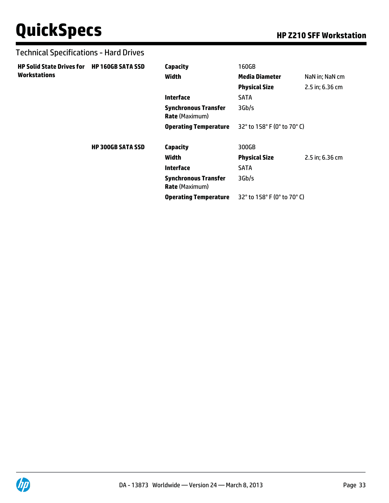#### Technical Specifications - Hard Drives

**Workstations**

| <b>HP Solid State Drives for</b> | <b>HP 160GB SATA SSD</b> | <b>Capacity</b>                                      | 160GB                       |                 |
|----------------------------------|--------------------------|------------------------------------------------------|-----------------------------|-----------------|
| Workstations                     |                          | Width                                                | <b>Media Diameter</b>       | NaN in; NaN cm  |
|                                  |                          |                                                      | <b>Physical Size</b>        | 2.5 in; 6.36 cm |
|                                  |                          | <b>Interface</b>                                     | <b>SATA</b>                 |                 |
|                                  |                          | <b>Synchronous Transfer</b><br><b>Rate (Maximum)</b> | 3Gb/s                       |                 |
|                                  |                          | <b>Operating Temperature</b>                         | 32° to 158° F (0° to 70° C) |                 |
|                                  | <b>HP 300GB SATA SSD</b> | <b>Capacity</b>                                      | 300GB                       |                 |
|                                  |                          | Width                                                | <b>Physical Size</b>        | 2.5 in; 6.36 cm |
|                                  |                          | <b>Interface</b>                                     | <b>SATA</b>                 |                 |
|                                  |                          | <b>Synchronous Transfer</b><br><b>Rate</b> (Maximum) | 3Gb/s                       |                 |
|                                  |                          | <b>Operating Temperature</b>                         | 32° to 158° F (0° to 70° C) |                 |

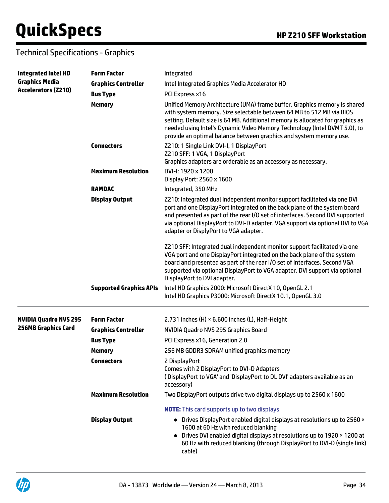### Technical Specifications - Graphics

| <b>Integrated Intel HD</b><br><b>Graphics Media</b><br><b>Accelerators (Z210)</b> | <b>Form Factor</b>             | Integrated                                                                                                                                                                                                                                                                                                                                                                             |
|-----------------------------------------------------------------------------------|--------------------------------|----------------------------------------------------------------------------------------------------------------------------------------------------------------------------------------------------------------------------------------------------------------------------------------------------------------------------------------------------------------------------------------|
|                                                                                   | <b>Graphics Controller</b>     | Intel Integrated Graphics Media Accelerator HD                                                                                                                                                                                                                                                                                                                                         |
|                                                                                   | <b>Bus Type</b>                | PCI Express x16                                                                                                                                                                                                                                                                                                                                                                        |
|                                                                                   | <b>Memory</b>                  | Unified Memory Architecture (UMA) frame buffer. Graphics memory is shared<br>with system memory. Size selectable between 64 MB to 512 MB via BIOS<br>setting. Default size is 64 MB. Additional memory is allocated for graphics as<br>needed using Intel's Dynamic Video Memory Technology (Intel DVMT 5.0), to<br>provide an optimal balance between graphics and system memory use. |
|                                                                                   | <b>Connectors</b>              | Z210: 1 Single Link DVI-I, 1 DisplayPort<br>Z210 SFF: 1 VGA, 1 DisplayPort<br>Graphics adapters are orderable as an accessory as necessary.                                                                                                                                                                                                                                            |
|                                                                                   | <b>Maximum Resolution</b>      | DVI-I: 1920 x 1200<br>Display Port: 2560 x 1600                                                                                                                                                                                                                                                                                                                                        |
|                                                                                   | <b>RAMDAC</b>                  | Integrated, 350 MHz                                                                                                                                                                                                                                                                                                                                                                    |
|                                                                                   | <b>Display Output</b>          | Z210: Integrated dual independent monitor support facilitated via one DVI<br>port and one DisplayPort integrated on the back plane of the system board<br>and presented as part of the rear I/O set of interfaces. Second DVI supported<br>via optional DisplayPort to DVI-D adapter. VGA support via optional DVI to VGA<br>adapter or DisplyPort to VGA adapter.                     |
|                                                                                   |                                | Z210 SFF: Integrated dual independent monitor support facilitated via one<br>VGA port and one DisplayPort integrated on the back plane of the system<br>board and presented as part of the rear I/O set of interfaces. Second VGA<br>supported via optional DisplayPort to VGA adapter. DVI support via optional<br>DisplayPort to DVI adapter.                                        |
|                                                                                   | <b>Supported Graphics APIs</b> | Intel HD Graphics 2000: Microsoft DirectX 10, OpenGL 2.1<br>Intel HD Graphics P3000: Microsoft DirectX 10.1, OpenGL 3.0                                                                                                                                                                                                                                                                |
| <b>NVIDIA Quadro NVS 295</b>                                                      | <b>Form Factor</b>             | 2.731 inches (H) × 6.600 inches (L), Half-Height                                                                                                                                                                                                                                                                                                                                       |
| <b>256MB Graphics Card</b>                                                        | <b>Graphics Controller</b>     | NVIDIA Quadro NVS 295 Graphics Board                                                                                                                                                                                                                                                                                                                                                   |
|                                                                                   | <b>Bus Type</b>                | PCI Express x16, Generation 2.0                                                                                                                                                                                                                                                                                                                                                        |
|                                                                                   | <b>Memory</b>                  | 256 MB GDDR3 SDRAM unified graphics memory                                                                                                                                                                                                                                                                                                                                             |
|                                                                                   | <b>Connectors</b>              | 2 DisplayPort<br>Comes with 2 DisplayPort to DVI-D Adapters<br>('DisplayPort to VGA' and 'DisplayPort to DL DVI' adapters available as an<br>accessory)                                                                                                                                                                                                                                |
|                                                                                   | <b>Maximum Resolution</b>      | Two DisplayPort outputs drive two digital displays up to 2560 x 1600                                                                                                                                                                                                                                                                                                                   |
|                                                                                   |                                | <b>NOTE:</b> This card supports up to two displays                                                                                                                                                                                                                                                                                                                                     |
|                                                                                   | <b>Display Output</b>          | • Drives DisplayPort enabled digital displays at resolutions up to 2560 x<br>1600 at 60 Hz with reduced blanking<br>Drives DVI enabled digital displays at resolutions up to 1920 x 1200 at<br>60 Hz with reduced blanking (through DisplayPort to DVI-D (single link)<br>cable)                                                                                                       |

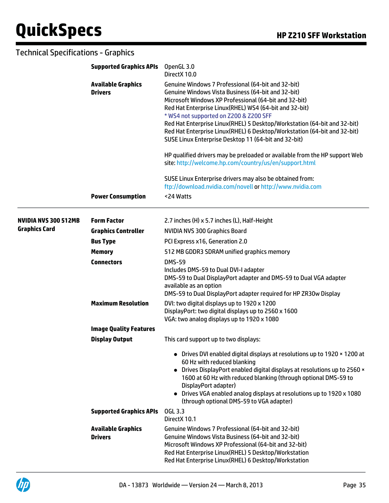### Technical Specifications - Graphics

|                             | <b>Supported Graphics APIs</b><br><b>Available Graphics</b><br><b>Drivers</b> | OpenGL 3.0<br>DirectX 10.0                                                                                                                                                                                                                                                                                                                                                                                                                                                            |  |  |
|-----------------------------|-------------------------------------------------------------------------------|---------------------------------------------------------------------------------------------------------------------------------------------------------------------------------------------------------------------------------------------------------------------------------------------------------------------------------------------------------------------------------------------------------------------------------------------------------------------------------------|--|--|
|                             |                                                                               | Genuine Windows 7 Professional (64-bit and 32-bit)<br>Genuine Windows Vista Business (64-bit and 32-bit)<br>Microsoft Windows XP Professional (64-bit and 32-bit)<br>Red Hat Enterprise Linux(RHEL) WS4 (64-bit and 32-bit)<br>* WS4 not supported on Z200 & Z200 SFF<br>Red Hat Enterprise Linux(RHEL) 5 Desktop/Workstation (64-bit and 32-bit)<br>Red Hat Enterprise Linux(RHEL) 6 Desktop/Workstation (64-bit and 32-bit)<br>SUSE Linux Enterprise Desktop 11 (64-bit and 32-bit) |  |  |
|                             |                                                                               | HP qualified drivers may be preloaded or available from the HP support Web<br>site: http://welcome.hp.com/country/us/en/support.html                                                                                                                                                                                                                                                                                                                                                  |  |  |
|                             |                                                                               | SUSE Linux Enterprise drivers may also be obtained from:<br>ftp://download.nvidia.com/novell or http://www.nvidia.com                                                                                                                                                                                                                                                                                                                                                                 |  |  |
|                             | <b>Power Consumption</b>                                                      | <24 Watts                                                                                                                                                                                                                                                                                                                                                                                                                                                                             |  |  |
| <b>NVIDIA NVS 300 512MB</b> | <b>Form Factor</b>                                                            | 2.7 inches (H) x 5.7 inches (L), Half-Height                                                                                                                                                                                                                                                                                                                                                                                                                                          |  |  |
| <b>Graphics Card</b>        | <b>Graphics Controller</b>                                                    | <b>NVIDIA NVS 300 Graphics Board</b>                                                                                                                                                                                                                                                                                                                                                                                                                                                  |  |  |
|                             | <b>Bus Type</b>                                                               | PCI Express x16, Generation 2.0                                                                                                                                                                                                                                                                                                                                                                                                                                                       |  |  |
|                             | <b>Memory</b>                                                                 | 512 MB GDDR3 SDRAM unified graphics memory                                                                                                                                                                                                                                                                                                                                                                                                                                            |  |  |
|                             | <b>Connectors</b>                                                             | <b>DMS-59</b><br>Includes DMS-59 to Dual DVI-I adapter<br>DMS-59 to Dual DisplayPort adapter and DMS-59 to Dual VGA adapter<br>available as an option<br>DMS-59 to Dual DisplayPort adapter required for HP ZR30w Display                                                                                                                                                                                                                                                             |  |  |
|                             | <b>Maximum Resolution</b>                                                     | DVI: two digital displays up to 1920 x 1200<br>DisplayPort: two digital displays up to 2560 x 1600<br>VGA: two analog displays up to 1920 x 1080                                                                                                                                                                                                                                                                                                                                      |  |  |
|                             | <b>Image Quality Features</b>                                                 |                                                                                                                                                                                                                                                                                                                                                                                                                                                                                       |  |  |
|                             | <b>Display Output</b>                                                         | This card support up to two displays:                                                                                                                                                                                                                                                                                                                                                                                                                                                 |  |  |
|                             |                                                                               | • Drives DVI enabled digital displays at resolutions up to 1920 x 1200 at<br>60 Hz with reduced blanking<br>• Drives DisplayPort enabled digital displays at resolutions up to 2560 x<br>1600 at 60 Hz with reduced blanking (through optional DMS-59 to<br>DisplayPort adapter)<br>• Drives VGA enabled analog displays at resolutions up to 1920 x 1080<br>(through optional DMS-59 to VGA adapter)                                                                                 |  |  |
|                             | <b>Supported Graphics APIs</b>                                                | <b>OGL 3.3</b><br>DirectX 10.1                                                                                                                                                                                                                                                                                                                                                                                                                                                        |  |  |
|                             | <b>Available Graphics</b><br><b>Drivers</b>                                   | Genuine Windows 7 Professional (64-bit and 32-bit)<br>Genuine Windows Vista Business (64-bit and 32-bit)<br>Microsoft Windows XP Professional (64-bit and 32-bit)<br>Red Hat Enterprise Linux(RHEL) 5 Desktop/Workstation<br>Red Hat Enterprise Linux(RHEL) 6 Desktop/Workstation                                                                                                                                                                                                     |  |  |

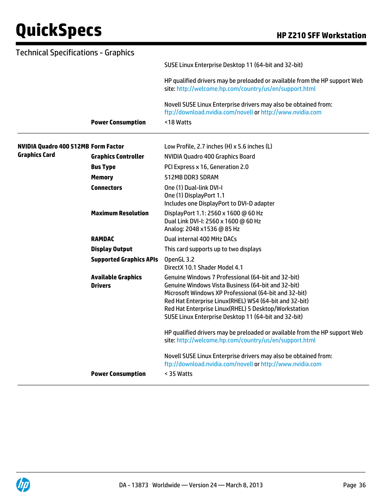| <b>Technical Specifications - Graphics</b> |                                             |                                                                                                                                                                                                                                                                                                                                             |
|--------------------------------------------|---------------------------------------------|---------------------------------------------------------------------------------------------------------------------------------------------------------------------------------------------------------------------------------------------------------------------------------------------------------------------------------------------|
|                                            |                                             | SUSE Linux Enterprise Desktop 11 (64-bit and 32-bit)                                                                                                                                                                                                                                                                                        |
|                                            |                                             | HP qualified drivers may be preloaded or available from the HP support Web<br>site: http://welcome.hp.com/country/us/en/support.html                                                                                                                                                                                                        |
|                                            | <b>Power Consumption</b>                    | Novell SUSE Linux Enterprise drivers may also be obtained from:<br>ftp://download.nvidia.com/novell or http://www.nvidia.com<br><18 Watts                                                                                                                                                                                                   |
| <b>NVIDIA Quadro 400 512MB Form Factor</b> |                                             | Low Profile, 2.7 inches (H) x 5.6 inches (L)                                                                                                                                                                                                                                                                                                |
| <b>Graphics Card</b>                       | <b>Graphics Controller</b>                  | NVIDIA Quadro 400 Graphics Board                                                                                                                                                                                                                                                                                                            |
|                                            | <b>Bus Type</b>                             | PCI Express x 16, Generation 2.0                                                                                                                                                                                                                                                                                                            |
|                                            | <b>Memory</b>                               | 512MB DDR3 SDRAM                                                                                                                                                                                                                                                                                                                            |
|                                            | <b>Connectors</b>                           | One (1) Dual-link DVI-I<br>One (1) DisplayPort 1.1<br>Includes one DisplayPort to DVI-D adapter                                                                                                                                                                                                                                             |
|                                            | <b>Maximum Resolution</b>                   | DisplayPort 1.1: 2560 x 1600 @ 60 Hz<br>Dual Link DVI-I: 2560 x 1600 @ 60 Hz<br>Analog: 2048 x1536 @ 85 Hz                                                                                                                                                                                                                                  |
|                                            | <b>RAMDAC</b>                               | Dual internal 400 MHz DACs                                                                                                                                                                                                                                                                                                                  |
|                                            | <b>Display Output</b>                       | This card supports up to two displays                                                                                                                                                                                                                                                                                                       |
|                                            | <b>Supported Graphics APIs</b>              | OpenGL 3.2<br>DirectX 10.1 Shader Model 4.1                                                                                                                                                                                                                                                                                                 |
|                                            | <b>Available Graphics</b><br><b>Drivers</b> | Genuine Windows 7 Professional (64-bit and 32-bit)<br>Genuine Windows Vista Business (64-bit and 32-bit)<br>Microsoft Windows XP Professional (64-bit and 32-bit)<br>Red Hat Enterprise Linux(RHEL) WS4 (64-bit and 32-bit)<br>Red Hat Enterprise Linux(RHEL) 5 Desktop/Workstation<br>SUSE Linux Enterprise Desktop 11 (64-bit and 32-bit) |
|                                            |                                             | HP qualified drivers may be preloaded or available from the HP support Web<br>site: http://welcome.hp.com/country/us/en/support.html                                                                                                                                                                                                        |
|                                            | <b>Power Consumption</b>                    | Novell SUSE Linux Enterprise drivers may also be obtained from:<br>ftp://download.nvidia.com/novell or http://www.nvidia.com<br>< 35 Watts                                                                                                                                                                                                  |
|                                            |                                             |                                                                                                                                                                                                                                                                                                                                             |

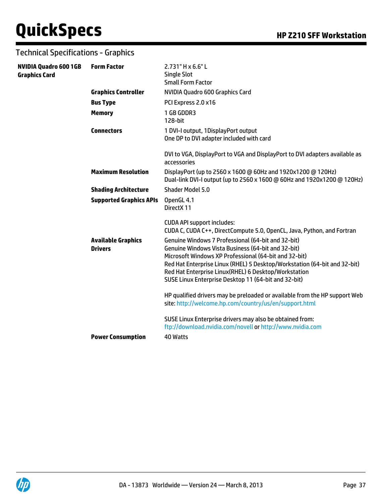### Technical Specifications - Graphics

| <b>NVIDIA Quadro 600 1GB</b><br><b>Graphics Card</b> | <b>Form Factor</b>                          | 2.731" H x 6.6" L<br><b>Single Slot</b><br><b>Small Form Factor</b>                                                                                                                                                                                                                                                                                             |
|------------------------------------------------------|---------------------------------------------|-----------------------------------------------------------------------------------------------------------------------------------------------------------------------------------------------------------------------------------------------------------------------------------------------------------------------------------------------------------------|
|                                                      | <b>Graphics Controller</b>                  | NVIDIA Quadro 600 Graphics Card                                                                                                                                                                                                                                                                                                                                 |
|                                                      | <b>Bus Type</b>                             | PCI Express 2.0 x16                                                                                                                                                                                                                                                                                                                                             |
|                                                      | <b>Memory</b>                               | 1 GB GDDR3<br>128-bit                                                                                                                                                                                                                                                                                                                                           |
|                                                      | <b>Connectors</b>                           | 1 DVI-I output, 1 DisplayPort output<br>One DP to DVI adapter included with card                                                                                                                                                                                                                                                                                |
|                                                      |                                             | DVI to VGA, DisplayPort to VGA and DisplayPort to DVI adapters available as<br>accessories                                                                                                                                                                                                                                                                      |
|                                                      | <b>Maximum Resolution</b>                   | DisplayPort (up to 2560 x 1600 @ 60Hz and 1920x1200 @ 120Hz)<br>Dual-link DVI-I output (up to 2560 x 1600 @ 60Hz and 1920x1200 @ 120Hz)                                                                                                                                                                                                                         |
|                                                      | <b>Shading Architecture</b>                 | Shader Model 5.0                                                                                                                                                                                                                                                                                                                                                |
|                                                      | <b>Supported Graphics APIs</b>              | OpenGL 4.1<br>DirectX 11                                                                                                                                                                                                                                                                                                                                        |
|                                                      |                                             | <b>CUDA API support includes:</b><br>CUDA C, CUDA C++, DirectCompute 5.0, OpenCL, Java, Python, and Fortran                                                                                                                                                                                                                                                     |
|                                                      | <b>Available Graphics</b><br><b>Drivers</b> | Genuine Windows 7 Professional (64-bit and 32-bit)<br>Genuine Windows Vista Business (64-bit and 32-bit)<br>Microsoft Windows XP Professional (64-bit and 32-bit)<br>Red Hat Enterprise Linux (RHEL) 5 Desktop/Workstation (64-bit and 32-bit)<br>Red Hat Enterprise Linux (RHEL) 6 Desktop/Workstation<br>SUSE Linux Enterprise Desktop 11 (64-bit and 32-bit) |
|                                                      |                                             | HP qualified drivers may be preloaded or available from the HP support Web<br>site: http://welcome.hp.com/country/us/en/support.html                                                                                                                                                                                                                            |
|                                                      | <b>Power Consumption</b>                    | SUSE Linux Enterprise drivers may also be obtained from:<br>ftp://download.nvidia.com/novell or http://www.nvidia.com<br>40 Watts                                                                                                                                                                                                                               |

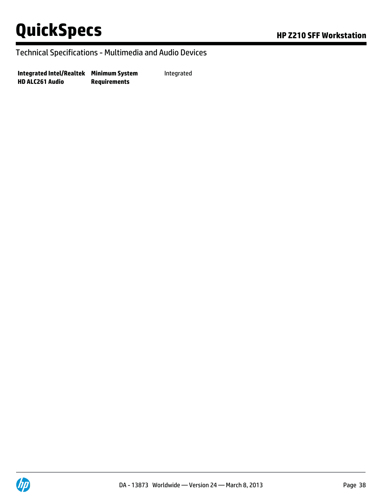#### Technical Specifications - Multimedia and Audio Devices

**Integrated Intel/Realtek Minimum System HD ALC261 Audio Requirements** Integrated

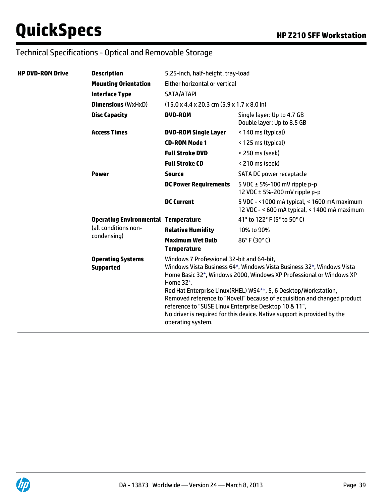| <b>HP DVD-ROM Drive</b> | <b>Description</b>                                                                | 5.25-inch, half-height, tray-load                                                                                                                                                                                                                                                                                                                                                                                                                                                                                                 |                                                                                              |  |
|-------------------------|-----------------------------------------------------------------------------------|-----------------------------------------------------------------------------------------------------------------------------------------------------------------------------------------------------------------------------------------------------------------------------------------------------------------------------------------------------------------------------------------------------------------------------------------------------------------------------------------------------------------------------------|----------------------------------------------------------------------------------------------|--|
|                         | <b>Mounting Orientation</b>                                                       | Either horizontal or vertical                                                                                                                                                                                                                                                                                                                                                                                                                                                                                                     |                                                                                              |  |
|                         | <b>Interface Type</b>                                                             | SATA/ATAPI                                                                                                                                                                                                                                                                                                                                                                                                                                                                                                                        |                                                                                              |  |
|                         | <b>Dimensions (WxHxD)</b>                                                         | $(15.0 \times 4.4 \times 20.3 \text{ cm} (5.9 \times 1.7 \times 8.0 \text{ in})$                                                                                                                                                                                                                                                                                                                                                                                                                                                  |                                                                                              |  |
|                         | <b>Disc Capacity</b>                                                              | <b>DVD-ROM</b>                                                                                                                                                                                                                                                                                                                                                                                                                                                                                                                    | Single layer: Up to 4.7 GB<br>Double layer: Up to 8.5 GB                                     |  |
|                         | <b>Access Times</b>                                                               | <b>DVD-ROM Single Layer</b>                                                                                                                                                                                                                                                                                                                                                                                                                                                                                                       | < 140 ms (typical)                                                                           |  |
|                         |                                                                                   | <b>CD-ROM Mode 1</b>                                                                                                                                                                                                                                                                                                                                                                                                                                                                                                              | < 125 ms (typical)                                                                           |  |
|                         |                                                                                   | <b>Full Stroke DVD</b>                                                                                                                                                                                                                                                                                                                                                                                                                                                                                                            | < 250 ms (seek)                                                                              |  |
|                         |                                                                                   | <b>Full Stroke CD</b>                                                                                                                                                                                                                                                                                                                                                                                                                                                                                                             | < 210 ms (seek)                                                                              |  |
|                         | <b>Power</b>                                                                      | <b>Source</b>                                                                                                                                                                                                                                                                                                                                                                                                                                                                                                                     | SATA DC power receptacle                                                                     |  |
|                         |                                                                                   | <b>DC Power Requirements</b>                                                                                                                                                                                                                                                                                                                                                                                                                                                                                                      | 5 VDC $\pm$ 5%-100 mV ripple p-p<br>12 VDC $\pm$ 5%-200 mV ripple p-p                        |  |
|                         |                                                                                   | <b>DC Current</b>                                                                                                                                                                                                                                                                                                                                                                                                                                                                                                                 | 5 VDC - < 1000 mA typical, < 1600 mA maximum<br>12 VDC - < 600 mA typical, < 1400 mA maximum |  |
|                         | <b>Operating Environmental Temperature</b><br>(all conditions non-<br>condensing) |                                                                                                                                                                                                                                                                                                                                                                                                                                                                                                                                   | 41° to 122° F (5° to 50° C)                                                                  |  |
|                         |                                                                                   | <b>Relative Humidity</b>                                                                                                                                                                                                                                                                                                                                                                                                                                                                                                          | 10% to 90%                                                                                   |  |
|                         |                                                                                   | <b>Maximum Wet Bulb</b><br><b>Temperature</b>                                                                                                                                                                                                                                                                                                                                                                                                                                                                                     | $86^{\circ}$ F (30 $^{\circ}$ C)                                                             |  |
|                         | <b>Operating Systems</b><br><b>Supported</b>                                      | Windows 7 Professional 32-bit and 64-bit,<br>Windows Vista Business 64*, Windows Vista Business 32*, Windows Vista<br>Home Basic 32*, Windows 2000, Windows XP Professional or Windows XP<br>Home $32^*$ .<br>Red Hat Enterprise Linux (RHEL) WS4 <sup>**</sup> , 5, 6 Desktop/Workstation,<br>Removed reference to "Novell" because of acquisition and changed product<br>reference to "SUSE Linux Enterprise Desktop 10 & 11",<br>No driver is required for this device. Native support is provided by the<br>operating system. |                                                                                              |  |

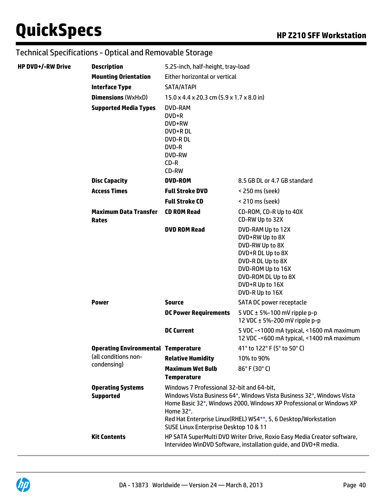| <b>HP DVD+/-RW Drive</b> | <b>Description</b>                           | 5.25-inch, half-height, tray-load                                                                    |                                                                                                                                                                                                                              |  |
|--------------------------|----------------------------------------------|------------------------------------------------------------------------------------------------------|------------------------------------------------------------------------------------------------------------------------------------------------------------------------------------------------------------------------------|--|
|                          | <b>Mounting Orientation</b>                  | Either horizontal or vertical                                                                        |                                                                                                                                                                                                                              |  |
|                          | <b>Interface Type</b>                        | SATA/ATAPI                                                                                           |                                                                                                                                                                                                                              |  |
|                          | <b>Dimensions (WxHxD)</b>                    | $15.0 \times 4.4 \times 20.3$ cm $(5.9 \times 1.7 \times 8.0)$ in                                    |                                                                                                                                                                                                                              |  |
|                          | <b>Supported Media Types</b>                 | DVD-RAM<br>DVD+R<br>DVD+RW<br>DVD+RDL<br><b>DVD-RDL</b><br>DVD-R<br><b>DVD-RW</b><br>$CD-R$<br>CD-RW |                                                                                                                                                                                                                              |  |
|                          | <b>Disc Capacity</b>                         | <b>DVD-ROM</b>                                                                                       | 8.5 GB DL or 4.7 GB standard                                                                                                                                                                                                 |  |
|                          | <b>Access Times</b>                          | <b>Full Stroke DVD</b>                                                                               | < 250 ms (seek)                                                                                                                                                                                                              |  |
|                          |                                              | <b>Full Stroke CD</b>                                                                                | < 210 ms (seek)                                                                                                                                                                                                              |  |
|                          | <b>Maximum Data Transfer</b><br>Rates        | <b>CD ROM Read</b>                                                                                   | CD-ROM, CD-R Up to 40X<br>CD-RW Up to 32X                                                                                                                                                                                    |  |
|                          |                                              | <b>DVD ROM Read</b>                                                                                  | DVD-RAM Up to 12X<br>DVD+RW Up to 8X<br>DVD-RW Up to 8X<br>DVD+R DL Up to 8X<br>DVD-R DL Up to 8X<br>DVD-ROM Up to 16X<br>DVD-ROM DL Up to 8X<br>DVD+R Up to 16X<br>DVD-R Up to 16X                                          |  |
|                          | <b>Power</b>                                 | <b>Source</b>                                                                                        | SATA DC power receptacle                                                                                                                                                                                                     |  |
|                          |                                              | <b>DC Power Requirements</b>                                                                         | 5 VDC $\pm$ 5%-100 mV ripple p-p<br>12 VDC $\pm$ 5%-200 mV ripple p-p                                                                                                                                                        |  |
|                          |                                              | <b>DC Current</b>                                                                                    | 5 VDC -< 1000 mA typical, < 1600 mA maximum<br>12 VDC -< 600 mA typical, < 1400 mA maximum                                                                                                                                   |  |
|                          | <b>Operating Environmental Temperature</b>   |                                                                                                      | 41° to 122° F (5° to 50° C)                                                                                                                                                                                                  |  |
|                          | (all conditions non-                         | <b>Relative Humidity</b>                                                                             | 10% to 90%                                                                                                                                                                                                                   |  |
|                          | condensing)                                  | <b>Maximum Wet Bulb</b><br><b>Temperature</b>                                                        | $86^{\circ}$ F (30 $^{\circ}$ C)                                                                                                                                                                                             |  |
|                          | <b>Operating Systems</b><br><b>Supported</b> | Windows 7 Professional 32-bit and 64-bit,<br>Home 32*.<br>SUSE Linux Enterprise Desktop 10 & 11      | Windows Vista Business 64*, Windows Vista Business 32*, Windows Vista<br>Home Basic 32*, Windows 2000, Windows XP Professional or Windows XP<br>Red Hat Enterprise Linux (RHEL) WS4 <sup>**</sup> , 5, 6 Desktop/Workstation |  |
|                          | <b>Kit Contents</b>                          |                                                                                                      | HP SATA SuperMulti DVD Writer Drive, Roxio Easy Media Creator software,<br>Intervideo WinDVD Software, installation guide, and DVD+R media.                                                                                  |  |

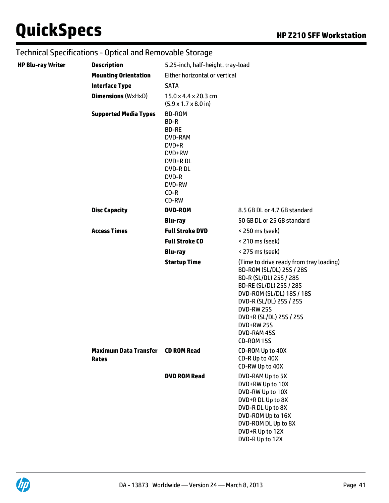| <b>HP Blu-ray Writer</b> | <b>Description</b>           | 5.25-inch, half-height, tray-load                                                                                                             |                                                                                                                                                                                                                                                                                           |
|--------------------------|------------------------------|-----------------------------------------------------------------------------------------------------------------------------------------------|-------------------------------------------------------------------------------------------------------------------------------------------------------------------------------------------------------------------------------------------------------------------------------------------|
|                          | <b>Mounting Orientation</b>  | Either horizontal or vertical                                                                                                                 |                                                                                                                                                                                                                                                                                           |
|                          | <b>Interface Type</b>        | <b>SATA</b>                                                                                                                                   |                                                                                                                                                                                                                                                                                           |
|                          | <b>Dimensions (WxHxD)</b>    | 15.0 x 4.4 x 20.3 cm<br>$(5.9 \times 1.7 \times 8.0 \text{ in})$                                                                              |                                                                                                                                                                                                                                                                                           |
|                          | <b>Supported Media Types</b> | <b>BD-ROM</b><br>BD-R<br><b>BD-RE</b><br><b>DVD-RAM</b><br>DVD+R<br>DVD+RW<br>DVD+RDL<br><b>DVD-RDL</b><br>DVD-R<br>DVD-RW<br>$CD-R$<br>CD-RW |                                                                                                                                                                                                                                                                                           |
|                          | <b>Disc Capacity</b>         | <b>DVD-ROM</b>                                                                                                                                | 8.5 GB DL or 4.7 GB standard                                                                                                                                                                                                                                                              |
|                          |                              | <b>Blu-ray</b>                                                                                                                                | 50 GB DL or 25 GB standard                                                                                                                                                                                                                                                                |
|                          | <b>Access Times</b>          | <b>Full Stroke DVD</b>                                                                                                                        | < 250 ms (seek)                                                                                                                                                                                                                                                                           |
|                          |                              | <b>Full Stroke CD</b>                                                                                                                         | < 210 ms (seek)                                                                                                                                                                                                                                                                           |
|                          |                              | <b>Blu-ray</b>                                                                                                                                | < 275 ms (seek)                                                                                                                                                                                                                                                                           |
|                          | <b>Maximum Data Transfer</b> | <b>Startup Time</b><br><b>CD ROM Read</b>                                                                                                     | (Time to drive ready from tray loading)<br>BD-ROM (SL/DL) 25S / 28S<br>BD-R (SL/DL) 25S / 28S<br>BD-RE (SL/DL) 25S / 28S<br>DVD-ROM (SL/DL) 18S / 18S<br>DVD-R (SL/DL) 25S / 25S<br><b>DVD-RW 25S</b><br>DVD+R (SL/DL) 25S / 25S<br><b>DVD+RW 25S</b><br>DVD-RAM 45S<br><b>CD-ROM 15S</b> |
|                          | Rates                        |                                                                                                                                               | CD-ROM Up to 40X<br>CD-R Up to 40X<br>CD-RW Up to 40X                                                                                                                                                                                                                                     |
|                          |                              | <b>DVD ROM Read</b>                                                                                                                           | DVD-RAM Up to 5X<br>DVD+RW Up to 10X<br>DVD-RW Up to 10X<br>DVD+R DL Up to 8X<br>DVD-R DL Up to 8X<br>DVD-ROM Up to 16X<br>DVD-ROM DL Up to 8X<br>DVD+R Up to 12X<br>DVD-R Up to 12X                                                                                                      |

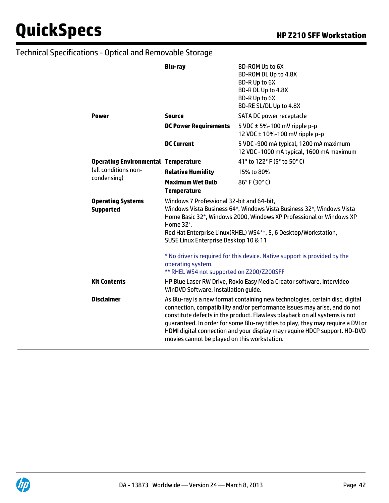|                                              | <b>Blu-ray</b>                                                                                                                                                                                                                                                                                                                                                                                                                                           | BD-ROM Up to 6X<br>BD-ROM DL Up to 4.8X<br>BD-R Up to 6X<br>BD-R DL Up to 4.8X<br>BD-R Up to 6X<br>BD-RE SL/DL Up to 4.8X |  |
|----------------------------------------------|----------------------------------------------------------------------------------------------------------------------------------------------------------------------------------------------------------------------------------------------------------------------------------------------------------------------------------------------------------------------------------------------------------------------------------------------------------|---------------------------------------------------------------------------------------------------------------------------|--|
| <b>Power</b>                                 | Source                                                                                                                                                                                                                                                                                                                                                                                                                                                   | SATA DC power receptacle                                                                                                  |  |
|                                              | <b>DC Power Requirements</b>                                                                                                                                                                                                                                                                                                                                                                                                                             | 5 VDC $\pm$ 5%-100 mV ripple p-p<br>12 VDC ± 10%-100 mV ripple p-p                                                        |  |
|                                              | <b>DC Current</b>                                                                                                                                                                                                                                                                                                                                                                                                                                        | 5 VDC -900 mA typical, 1200 mA maximum<br>12 VDC -1000 mA typical, 1600 mA maximum                                        |  |
| <b>Operating Environmental Temperature</b>   |                                                                                                                                                                                                                                                                                                                                                                                                                                                          | 41° to 122° F (5° to 50° C)                                                                                               |  |
| (all conditions non-<br>condensing)          | <b>Relative Humidity</b>                                                                                                                                                                                                                                                                                                                                                                                                                                 | 15% to 80%                                                                                                                |  |
|                                              | <b>Maximum Wet Bulb</b><br><b>Temperature</b>                                                                                                                                                                                                                                                                                                                                                                                                            | $86^{\circ}$ F (30 $^{\circ}$ C)                                                                                          |  |
| <b>Operating Systems</b><br><b>Supported</b> | Windows 7 Professional 32-bit and 64-bit,<br>Windows Vista Business 64*, Windows Vista Business 32*, Windows Vista<br>Home Basic 32*, Windows 2000, Windows XP Professional or Windows XP<br>Home 32*.<br>Red Hat Enterprise Linux (RHEL) WS4 <sup>**</sup> , 5, 6 Desktop/Workstation,<br>SUSE Linux Enterprise Desktop 10 & 11                                                                                                                         |                                                                                                                           |  |
|                                              | * No driver is required for this device. Native support is provided by the<br>operating system.<br>** RHEL WS4 not supported on Z200/Z200SFF                                                                                                                                                                                                                                                                                                             |                                                                                                                           |  |
| <b>Kit Contents</b>                          | HP Blue Laser RW Drive, Roxio Easy Media Creator software, Intervideo<br>WinDVD Software, installation guide.                                                                                                                                                                                                                                                                                                                                            |                                                                                                                           |  |
| <b>Disclaimer</b>                            | As Blu-ray is a new format containing new technologies, certain disc, digital<br>connection, compatibility and/or performance issues may arise, and do not<br>constitute defects in the product. Flawless playback on all systems is not<br>guaranteed. In order for some Blu-ray titles to play, they may require a DVI or<br>HDMI digital connection and your display may require HDCP support. HD-DVD<br>movies cannot be played on this workstation. |                                                                                                                           |  |

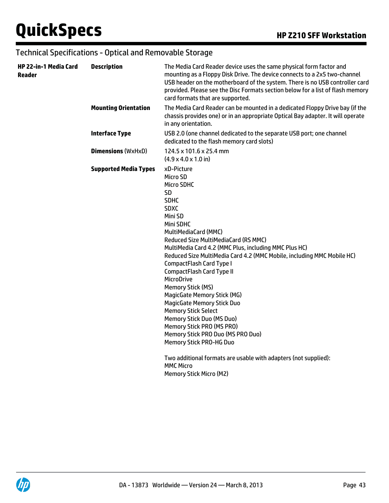| HP 22-in-1 Media Card<br>Reader | <b>Description</b>           | The Media Card Reader device uses the same physical form factor and<br>mounting as a Floppy Disk Drive. The device connects to a 2x5 two-channel<br>USB header on the motherboard of the system. There is no USB controller card<br>provided. Please see the Disc Formats section below for a list of flash memory<br>card formats that are supported.                                                                                                                                                                                                                                                                                                                                                                                                                                                |
|---------------------------------|------------------------------|-------------------------------------------------------------------------------------------------------------------------------------------------------------------------------------------------------------------------------------------------------------------------------------------------------------------------------------------------------------------------------------------------------------------------------------------------------------------------------------------------------------------------------------------------------------------------------------------------------------------------------------------------------------------------------------------------------------------------------------------------------------------------------------------------------|
|                                 | <b>Mounting Orientation</b>  | The Media Card Reader can be mounted in a dedicated Floppy Drive bay (if the<br>chassis provides one) or in an appropriate Optical Bay adapter. It will operate<br>in any orientation.                                                                                                                                                                                                                                                                                                                                                                                                                                                                                                                                                                                                                |
|                                 | <b>Interface Type</b>        | USB 2.0 (one channel dedicated to the separate USB port; one channel<br>dedicated to the flash memory card slots)                                                                                                                                                                                                                                                                                                                                                                                                                                                                                                                                                                                                                                                                                     |
|                                 | <b>Dimensions (WxHxD)</b>    | 124.5 x 101.6 x 25.4 mm<br>$(4.9 \times 4.0 \times 1.0 \text{ in})$                                                                                                                                                                                                                                                                                                                                                                                                                                                                                                                                                                                                                                                                                                                                   |
|                                 | <b>Supported Media Types</b> | xD-Picture<br>Micro SD<br><b>Micro SDHC</b><br>SD<br><b>SDHC</b><br><b>SDXC</b><br>Mini SD<br>Mini SDHC<br>MultiMediaCard (MMC)<br>Reduced Size MultiMediaCard (RS MMC)<br>MultiMedia Card 4.2 (MMC Plus, including MMC Plus HC)<br>Reduced Size MultiMedia Card 4.2 (MMC Mobile, including MMC Mobile HC)<br>CompactFlash Card Type I<br><b>CompactFlash Card Type II</b><br><b>MicroDrive</b><br><b>Memory Stick (MS)</b><br><b>MagicGate Memory Stick (MG)</b><br><b>MagicGate Memory Stick Duo</b><br><b>Memory Stick Select</b><br><b>Memory Stick Duo (MS Duo)</b><br>Memory Stick PRO (MS PRO)<br>Memory Stick PRO Duo (MS PRO Duo)<br><b>Memory Stick PRO-HG Duo</b><br>Two additional formats are usable with adapters (not supplied):<br><b>MMC Micro</b><br><b>Memory Stick Micro (M2)</b> |

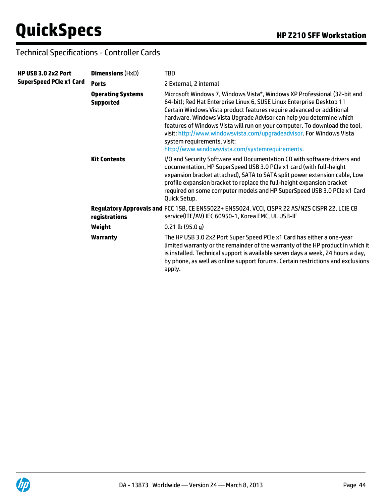### Technical Specifications - Controller Cards

| <b>HP USB 3.0 2x2 Port</b><br>SuperSpeed PCIe x1 Card | <b>Dimensions (HxD)</b>                      | TBD                                                                                                                                                                                                                                                                                                                                                                                                                                                                                                                                        |
|-------------------------------------------------------|----------------------------------------------|--------------------------------------------------------------------------------------------------------------------------------------------------------------------------------------------------------------------------------------------------------------------------------------------------------------------------------------------------------------------------------------------------------------------------------------------------------------------------------------------------------------------------------------------|
|                                                       | <b>Ports</b>                                 | 2 External, 2 internal                                                                                                                                                                                                                                                                                                                                                                                                                                                                                                                     |
|                                                       | <b>Operating Systems</b><br><b>Supported</b> | Microsoft Windows 7, Windows Vista*, Windows XP Professional (32-bit and<br>64-bit); Red Hat Enterprise Linux 6, SUSE Linux Enterprise Desktop 11<br>Certain Windows Vista product features require advanced or additional<br>hardware. Windows Vista Upgrade Advisor can help you determine which<br>features of Windows Vista will run on your computer. To download the tool,<br>visit: http://www.windowsvista.com/upgradeadvisor. For Windows Vista<br>system requirements, visit:<br>http://www.windowsvista.com/systemrequirements. |
|                                                       | <b>Kit Contents</b>                          | I/O and Security Software and Documentation CD with software drivers and<br>documentation, HP SuperSpeed USB 3.0 PCIe x1 card (with full-height<br>expansion bracket attached), SATA to SATA split power extension cable, Low<br>profile expansion bracket to replace the full-height expansion bracket<br>required on some computer models and HP SuperSpeed USB 3.0 PCIe x1 Card<br>Quick Setup.                                                                                                                                         |
|                                                       | registrations                                | Regulatory Approvals and FCC 15B, CE EN55022+ EN55024, VCCI, CISPR 22 AS/NZS CISPR 22, LCIE CB<br>service(ITE/AV) IEC 60950-1, Korea EMC, UL USB-IF                                                                                                                                                                                                                                                                                                                                                                                        |
|                                                       | Weight                                       | $0.21$ lb (95.0 g)                                                                                                                                                                                                                                                                                                                                                                                                                                                                                                                         |
|                                                       | <b>Warranty</b>                              | The HP USB 3.0 2x2 Port Super Speed PCIe x1 Card has either a one-year<br>limited warranty or the remainder of the warranty of the HP product in which it<br>is installed. Technical support is available seven days a week, 24 hours a day,<br>by phone, as well as online support forums. Certain restrictions and exclusions<br>apply.                                                                                                                                                                                                  |
|                                                       |                                              |                                                                                                                                                                                                                                                                                                                                                                                                                                                                                                                                            |

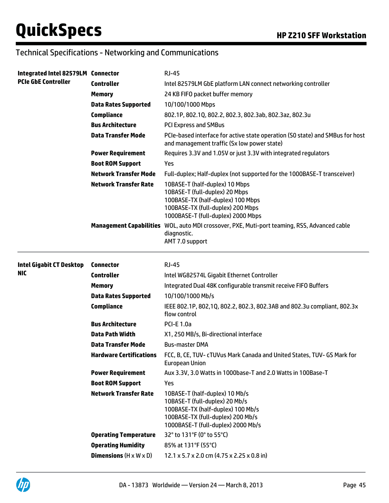### Technical Specifications - Networking and Communications

| Integrated Intel 82579LM Connector<br><b>PCIe GbE Controller</b> |                                                                        | <b>RJ-45</b>                                                                                                                                                                     |
|------------------------------------------------------------------|------------------------------------------------------------------------|----------------------------------------------------------------------------------------------------------------------------------------------------------------------------------|
|                                                                  | <b>Controller</b>                                                      | Intel 82579LM GbE platform LAN connect networking controller                                                                                                                     |
|                                                                  | <b>Memory</b>                                                          | 24 KB FIFO packet buffer memory                                                                                                                                                  |
|                                                                  | <b>Data Rates Supported</b>                                            | 10/100/1000 Mbps                                                                                                                                                                 |
|                                                                  | <b>Compliance</b>                                                      | 802.1P, 802.1Q, 802.2, 802.3, 802.3ab, 802.3az, 802.3u                                                                                                                           |
|                                                                  | <b>Bus Architecture</b>                                                | <b>PCI Express and SMBus</b>                                                                                                                                                     |
|                                                                  | <b>Data Transfer Mode</b>                                              | PCIe-based interface for active state operation (SO state) and SMBus for host<br>and management traffic (Sx low power state)                                                     |
|                                                                  | <b>Power Requirement</b>                                               | Requires 3.3V and 1.05V or just 3.3V with integrated regulators                                                                                                                  |
|                                                                  | <b>Boot ROM Support</b>                                                | Yes                                                                                                                                                                              |
|                                                                  | <b>Network Transfer Mode</b>                                           | Full-duplex; Half-duplex (not supported for the 1000BASE-T transceiver)                                                                                                          |
|                                                                  | <b>Network Transfer Rate</b>                                           | 10BASE-T (half-duplex) 10 Mbps<br>10BASE-T (full-duplex) 20 Mbps<br>100BASE-TX (half-duplex) 100 Mbps<br>100BASE-TX (full-duplex) 200 Mbps<br>1000BASE-T (full-duplex) 2000 Mbps |
|                                                                  |                                                                        | Management Capabilities WOL, auto MDI crossover, PXE, Muti-port teaming, RSS, Advanced cable<br>diagnostic.<br>AMT 7.0 support                                                   |
| <b>Intel Gigabit CT Desktop</b><br>NIC.                          | <b>Connector</b>                                                       | <b>RJ-45</b>                                                                                                                                                                     |
|                                                                  | <b>Controller</b>                                                      | Intel WG82574L Gigabit Ethernet Controller                                                                                                                                       |
|                                                                  | <b>Memory</b>                                                          | Integrated Dual 48K configurable transmit receive FIFO Buffers                                                                                                                   |
|                                                                  |                                                                        |                                                                                                                                                                                  |
|                                                                  | <b>Data Rates Supported</b>                                            | 10/100/1000 Mb/s                                                                                                                                                                 |
|                                                                  | <b>Compliance</b>                                                      | IEEE 802.1P, 802,1Q, 802.2, 802.3, 802.3AB and 802.3u compliant, 802.3x<br>flow control                                                                                          |
|                                                                  | <b>Bus Architecture</b>                                                | <b>PCI-E 1.0a</b>                                                                                                                                                                |
|                                                                  | Data Path Width                                                        | X1, 250 MB/s, Bi-directional interface                                                                                                                                           |
|                                                                  | <b>Data Transfer Mode</b>                                              | <b>Bus-master DMA</b>                                                                                                                                                            |
|                                                                  | Hardware Certifications                                                | FCC, B, CE, TUV- cTUVus Mark Canada and United States, TUV- GS Mark for<br>European Union                                                                                        |
|                                                                  | <b>Power Requirement</b>                                               | Aux 3.3V, 3.0 Watts in 1000base-T and 2.0 Watts in 100Base-T                                                                                                                     |
|                                                                  | <b>Boot ROM Support</b>                                                | Yes                                                                                                                                                                              |
|                                                                  | <b>Network Transfer Rate</b>                                           | 10BASE-T (half-duplex) 10 Mb/s<br>10BASE-T (full-duplex) 20 Mb/s<br>100BASE-TX (half-duplex) 100 Mb/s<br>100BASE-TX (full-duplex) 200 Mb/s<br>1000BASE-T (full-duplex) 2000 Mb/s |
|                                                                  | <b>Operating Temperature</b>                                           | 32° to 131°F (0° to 55°C)                                                                                                                                                        |
|                                                                  | <b>Operating Humidity</b><br><b>Dimensions</b> $(H \times W \times D)$ | 85% at 131°F (55°C)                                                                                                                                                              |

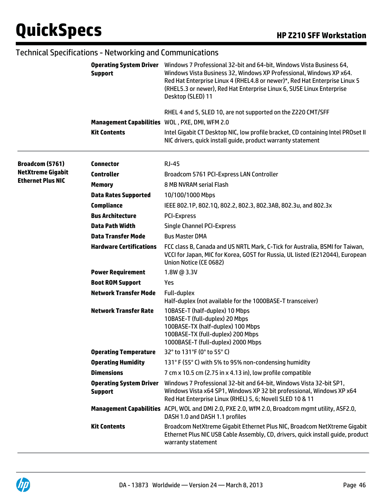|                                                      | <b>Operating System Driver</b><br><b>Support</b><br>Management Capabilities WOL, PXE, DMI, WFM 2.0<br><b>Kit Contents</b> | Windows 7 Professional 32-bit and 64-bit, Windows Vista Business 64,<br>Windows Vista Business 32, Windows XP Professional, Windows XP x64.<br>Red Hat Enterprise Linux 4 (RHEL4.8 or newer)*, Red Hat Enterprise Linux 5<br>(RHEL5.3 or newer), Red Hat Enterprise Linux 6, SUSE Linux Enterprise<br>Desktop (SLED) 11<br>RHEL 4 and 5, SLED 10, are not supported on the Z220 CMT/SFF<br>Intel Gigabit CT Desktop NIC, low profile bracket, CD containing Intel PROset II<br>NIC drivers, quick install guide, product warranty statement |
|------------------------------------------------------|---------------------------------------------------------------------------------------------------------------------------|---------------------------------------------------------------------------------------------------------------------------------------------------------------------------------------------------------------------------------------------------------------------------------------------------------------------------------------------------------------------------------------------------------------------------------------------------------------------------------------------------------------------------------------------|
|                                                      |                                                                                                                           |                                                                                                                                                                                                                                                                                                                                                                                                                                                                                                                                             |
| Broadcom (5761)                                      | <b>Connector</b>                                                                                                          | <b>RJ-45</b>                                                                                                                                                                                                                                                                                                                                                                                                                                                                                                                                |
| <b>NetXtreme Gigabit</b><br><b>Ethernet Plus NIC</b> | <b>Controller</b>                                                                                                         | Broadcom 5761 PCI-Express LAN Controller                                                                                                                                                                                                                                                                                                                                                                                                                                                                                                    |
|                                                      | <b>Memory</b>                                                                                                             | 8 MB NVRAM serial Flash                                                                                                                                                                                                                                                                                                                                                                                                                                                                                                                     |
|                                                      | <b>Data Rates Supported</b>                                                                                               | 10/100/1000 Mbps                                                                                                                                                                                                                                                                                                                                                                                                                                                                                                                            |
|                                                      | <b>Compliance</b>                                                                                                         | IEEE 802.1P, 802.1Q, 802.2, 802.3, 802.3AB, 802.3u, and 802.3x                                                                                                                                                                                                                                                                                                                                                                                                                                                                              |
|                                                      | <b>Bus Architecture</b>                                                                                                   | <b>PCI-Express</b>                                                                                                                                                                                                                                                                                                                                                                                                                                                                                                                          |
|                                                      | <b>Data Path Width</b>                                                                                                    | <b>Single Channel PCI-Express</b>                                                                                                                                                                                                                                                                                                                                                                                                                                                                                                           |
|                                                      | <b>Data Transfer Mode</b>                                                                                                 | <b>Bus Master DMA</b>                                                                                                                                                                                                                                                                                                                                                                                                                                                                                                                       |
|                                                      | <b>Hardware Certifications</b>                                                                                            | FCC class B, Canada and US NRTL Mark, C-Tick for Australia, BSMI for Taiwan,<br>VCCI for Japan, MIC for Korea, GOST for Russia, UL listed (E212044), European<br>Union Notice (CE 0682)                                                                                                                                                                                                                                                                                                                                                     |
|                                                      | <b>Power Requirement</b>                                                                                                  | 1.8W @ 3.3V                                                                                                                                                                                                                                                                                                                                                                                                                                                                                                                                 |
|                                                      | <b>Boot ROM Support</b>                                                                                                   | Yes                                                                                                                                                                                                                                                                                                                                                                                                                                                                                                                                         |
|                                                      | <b>Network Transfer Mode</b>                                                                                              | Full-duplex<br>Half-duplex (not available for the 1000BASE-T transceiver)                                                                                                                                                                                                                                                                                                                                                                                                                                                                   |
|                                                      | <b>Network Transfer Rate</b>                                                                                              | 10BASE-T (half-duplex) 10 Mbps<br>10BASE-T (full-duplex) 20 Mbps<br>100BASE-TX (half-duplex) 100 Mbps<br>100BASE-TX (full-duplex) 200 Mbps<br>1000BASE-T (full-duplex) 2000 Mbps                                                                                                                                                                                                                                                                                                                                                            |
|                                                      | <b>Operating Temperature</b>                                                                                              | 32° to 131°F (0° to 55° C)                                                                                                                                                                                                                                                                                                                                                                                                                                                                                                                  |
|                                                      | <b>Operating Humidity</b>                                                                                                 | 131° F (55° C) with 5% to 95% non-condensing humidity                                                                                                                                                                                                                                                                                                                                                                                                                                                                                       |
|                                                      | <b>Dimensions</b>                                                                                                         | 7 cm x 10.5 cm (2.75 in x 4.13 in), low profile compatible                                                                                                                                                                                                                                                                                                                                                                                                                                                                                  |
|                                                      | <b>Operating System Driver</b><br><b>Support</b>                                                                          | Windows 7 Professional 32-bit and 64-bit, Windows Vista 32-bit SP1,<br>Windows Vista x64 SP1, Windows XP 32 bit professional, Windows XP x64<br>Red Hat Enterprise Linux (RHEL) 5, 6; Novell SLED 10 & 11                                                                                                                                                                                                                                                                                                                                   |
|                                                      |                                                                                                                           | Management Capabilities ACPI, WOL and DMI 2.0, PXE 2.0, WfM 2.0, Broadcom mgmt utility, ASF2.0,<br>DASH 1.0 and DASH 1.1 profiles                                                                                                                                                                                                                                                                                                                                                                                                           |
|                                                      | <b>Kit Contents</b>                                                                                                       | Broadcom NetXtreme Gigabit Ethernet Plus NIC, Broadcom NetXtreme Gigabit<br>Ethernet Plus NIC USB Cable Assembly, CD, drivers, quick install guide, product<br>warranty statement                                                                                                                                                                                                                                                                                                                                                           |

#### Technical Specifications - Networking and Communications